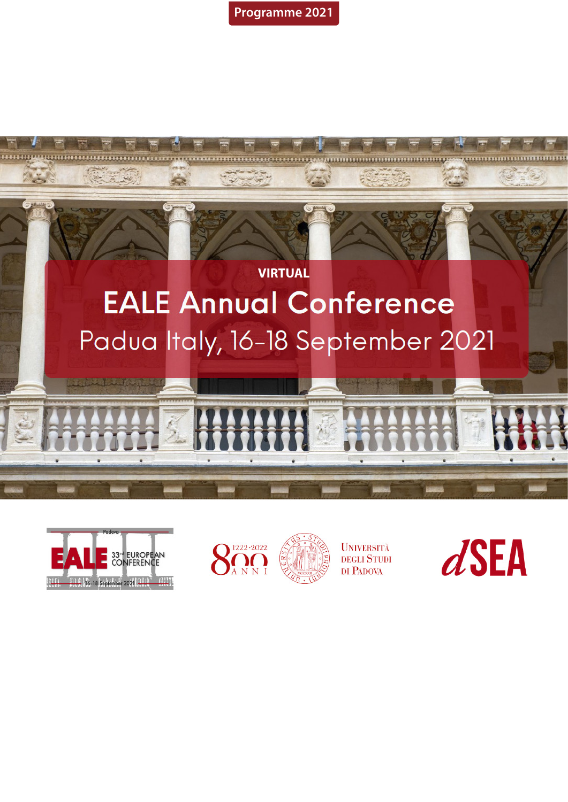**Programme 2021**







**UNIVERSITÀ** DEGLI STUDI DI PADOVA

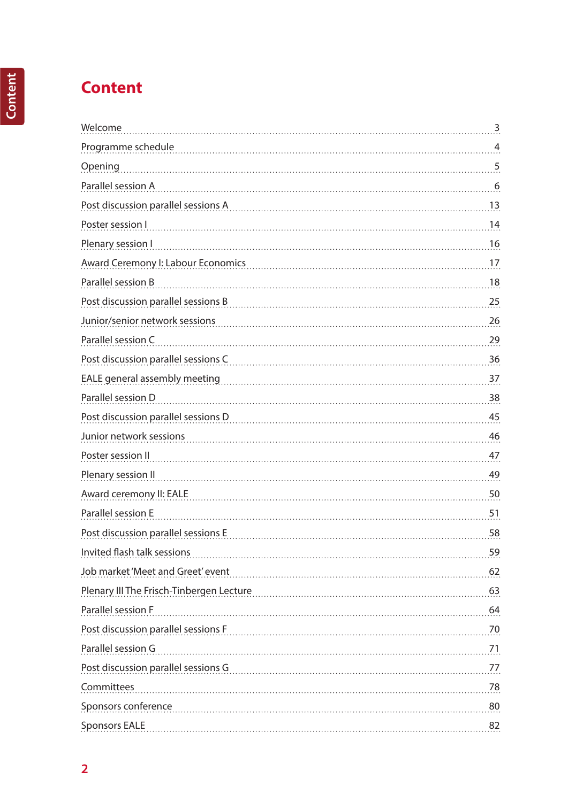# **Content**

| Welcome                                  | 3    |
|------------------------------------------|------|
| Programme schedule                       | 4    |
| Opening                                  | 5    |
| Parallel session A                       | 6    |
| Post discussion parallel sessions A      | 13   |
| Poster session I                         | 14   |
| Plenary session I                        | 16   |
| Award Ceremony I: Labour Economics       | 17   |
| Parallel session B                       | 18   |
| Post discussion parallel sessions B      | 25   |
| Junior/senior network sessions           | 26   |
| Parallel session C                       | 29   |
| Post discussion parallel sessions C      | 36   |
| EALE general assembly meeting            | 37   |
| Parallel session D                       | 38   |
| Post discussion parallel sessions D      | 45   |
| Junior network sessions                  | 46   |
| Poster session II                        | 47   |
| Plenary session II                       | 49   |
| Award ceremony II: EALE                  | 50   |
| Parallel session E                       | 51   |
| Post discussion parallel sessions E      | 58   |
| Invited flash talk sessions              | 59   |
| Job market 'Meet and Greet' event        | 62   |
| Plenary III The Frisch-Tinbergen Lecture | 63   |
| Parallel session F                       | 64   |
| Post discussion parallel sessions F      | 70   |
| Parallel session G                       | 71   |
| Post discussion parallel sessions G      | 77.  |
| Committees                               | . 78 |
| Sponsors conference                      | 80   |
| <b>Sponsors EALE</b>                     | 82   |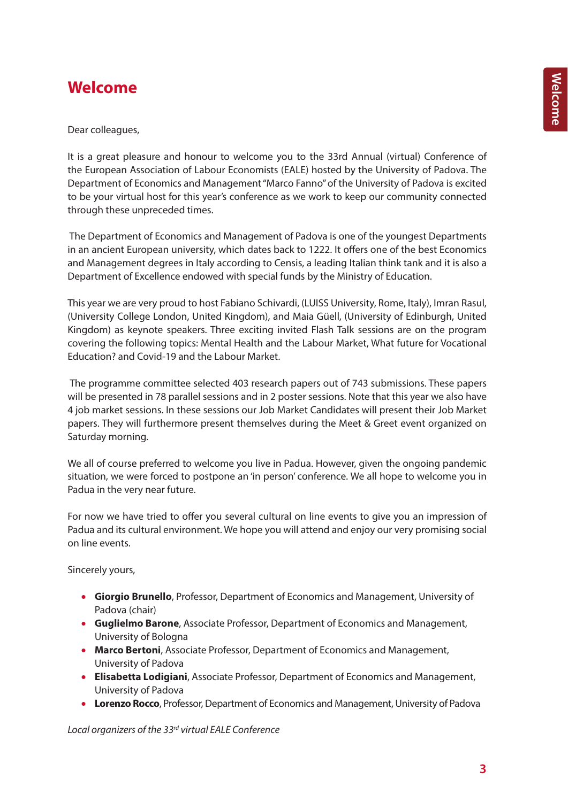# **Welcome**

Dear colleagues,

It is a great pleasure and honour to welcome you to the 33rd Annual (virtual) Conference of the European Association of Labour Economists (EALE) hosted by the University of Padova. The Department of Economics and Management "Marco Fanno" of the University of Padova is excited to be your virtual host for this year's conference as we work to keep our community connected through these unpreceded times.

The Department of Economics and Management of Padova is one of the youngest Departments in an ancient European university, which dates back to 1222. It offers one of the best Economics and Management degrees in Italy according to Censis, a leading Italian think tank and it is also a Department of Excellence endowed with special funds by the Ministry of Education.

This year we are very proud to host Fabiano Schivardi, (LUISS University, Rome, Italy), Imran Rasul, (University College London, United Kingdom), and Maia Güell, (University of Edinburgh, United Kingdom) as keynote speakers. Three exciting invited Flash Talk sessions are on the program covering the following topics: Mental Health and the Labour Market, What future for Vocational Education? and Covid-19 and the Labour Market.

 The programme committee selected 403 research papers out of 743 submissions. These papers will be presented in 78 parallel sessions and in 2 poster sessions. Note that this year we also have 4 job market sessions. In these sessions our Job Market Candidates will present their Job Market papers. They will furthermore present themselves during the Meet & Greet event organized on Saturday morning.

We all of course preferred to welcome you live in Padua. However, given the ongoing pandemic situation, we were forced to postpone an 'in person' conference. We all hope to welcome you in Padua in the very near future.

For now we have tried to offer you several cultural on line events to give you an impression of Padua and its cultural environment. We hope you will attend and enjoy our very promising social on line events.

Sincerely yours,

- **Giorgio Brunello**, Professor, Department of Economics and Management, University of Padova (chair)
- **Guglielmo Barone**, Associate Professor, Department of Economics and Management, University of Bologna
- **Marco Bertoni**, Associate Professor, Department of Economics and Management, University of Padova
- **Elisabetta Lodigiani**, Associate Professor, Department of Economics and Management, University of Padova
- **Lorenzo Rocco**, Professor, Department of Economics and Management, University of Padova

*Local organizers of the 33rd virtual EALE Conference*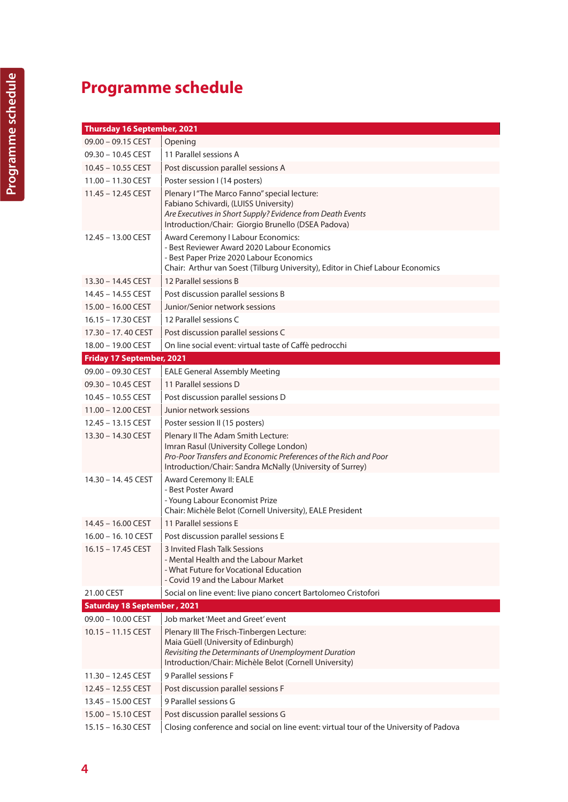# **Programme schedule**

| Thursday 16 September, 2021        |                                                                                                                                                                                                                 |  |
|------------------------------------|-----------------------------------------------------------------------------------------------------------------------------------------------------------------------------------------------------------------|--|
| 09.00 - 09.15 CEST                 | Opening                                                                                                                                                                                                         |  |
| 09.30 - 10.45 CEST                 | 11 Parallel sessions A                                                                                                                                                                                          |  |
| 10.45 - 10.55 CEST                 | Post discussion parallel sessions A                                                                                                                                                                             |  |
| 11.00 - 11.30 CEST                 | Poster session I (14 posters)                                                                                                                                                                                   |  |
| $11.45 - 12.45$ CEST               | Plenary I "The Marco Fanno" special lecture:<br>Fabiano Schivardi, (LUISS University)<br>Are Executives in Short Supply? Evidence from Death Events<br>Introduction/Chair: Giorgio Brunello (DSEA Padova)       |  |
| 12.45 - 13.00 CEST                 | Award Ceremony I Labour Economics:<br>- Best Reviewer Award 2020 Labour Economics<br>- Best Paper Prize 2020 Labour Economics<br>Chair: Arthur van Soest (Tilburg University), Editor in Chief Labour Economics |  |
| 13.30 - 14.45 CEST                 | 12 Parallel sessions B                                                                                                                                                                                          |  |
| 14.45 - 14.55 CEST                 | Post discussion parallel sessions B                                                                                                                                                                             |  |
| 15.00 - 16.00 CEST                 | Junior/Senior network sessions                                                                                                                                                                                  |  |
| $16.15 - 17.30$ CEST               | 12 Parallel sessions C                                                                                                                                                                                          |  |
| $17.30 - 17.40$ CEST               | Post discussion parallel sessions C                                                                                                                                                                             |  |
| 18.00 - 19.00 CEST                 | On line social event: virtual taste of Caffè pedrocchi                                                                                                                                                          |  |
| Friday 17 September, 2021          |                                                                                                                                                                                                                 |  |
| $09.00 - 09.30$ CEST               | <b>EALE General Assembly Meeting</b>                                                                                                                                                                            |  |
| 09.30 - 10.45 CEST                 | 11 Parallel sessions D                                                                                                                                                                                          |  |
| 10.45 - 10.55 CEST                 | Post discussion parallel sessions D                                                                                                                                                                             |  |
| 11.00 - 12.00 CEST                 | Junior network sessions                                                                                                                                                                                         |  |
| 12.45 - 13.15 CEST                 | Poster session II (15 posters)                                                                                                                                                                                  |  |
| 13.30 - 14.30 CEST                 | Plenary II The Adam Smith Lecture:<br>Imran Rasul (University College London)<br>Pro-Poor Transfers and Economic Preferences of the Rich and Poor<br>Introduction/Chair: Sandra McNally (University of Surrey)  |  |
| 14.30 - 14.45 CEST                 | Award Ceremony II: EALE<br>- Best Poster Award<br>- Young Labour Economist Prize<br>Chair: Michèle Belot (Cornell University), EALE President                                                                   |  |
| 14.45 - 16.00 CEST                 | 11 Parallel sessions E                                                                                                                                                                                          |  |
| 16.00 - 16.10 CEST                 | Post discussion parallel sessions E                                                                                                                                                                             |  |
| $16.15 - 17.45 \text{ CEST}$       | 3 Invited Flash Talk Sessions<br>- Mental Health and the Labour Market<br>- What Future for Vocational Education<br>- Covid 19 and the Labour Market                                                            |  |
| 21.00 CEST                         | Social on line event: live piano concert Bartolomeo Cristofori                                                                                                                                                  |  |
| <b>Saturday 18 September, 2021</b> |                                                                                                                                                                                                                 |  |
| 09.00 - 10.00 CEST                 | Job market 'Meet and Greet' event                                                                                                                                                                               |  |
| $10.15 - 11.15$ CEST               | Plenary III The Frisch-Tinbergen Lecture:<br>Maia Güell (University of Edinburgh)<br>Revisiting the Determinants of Unemployment Duration<br>Introduction/Chair: Michèle Belot (Cornell University)             |  |
| 11.30 - 12.45 CEST                 | 9 Parallel sessions F                                                                                                                                                                                           |  |
| 12.45 - 12.55 CEST                 | Post discussion parallel sessions F                                                                                                                                                                             |  |
| 13.45 - 15.00 CEST                 | 9 Parallel sessions G                                                                                                                                                                                           |  |
| 15.00 - 15.10 CEST                 | Post discussion parallel sessions G                                                                                                                                                                             |  |
| 15.15 - 16.30 CEST                 | Closing conference and social on line event: virtual tour of the University of Padova                                                                                                                           |  |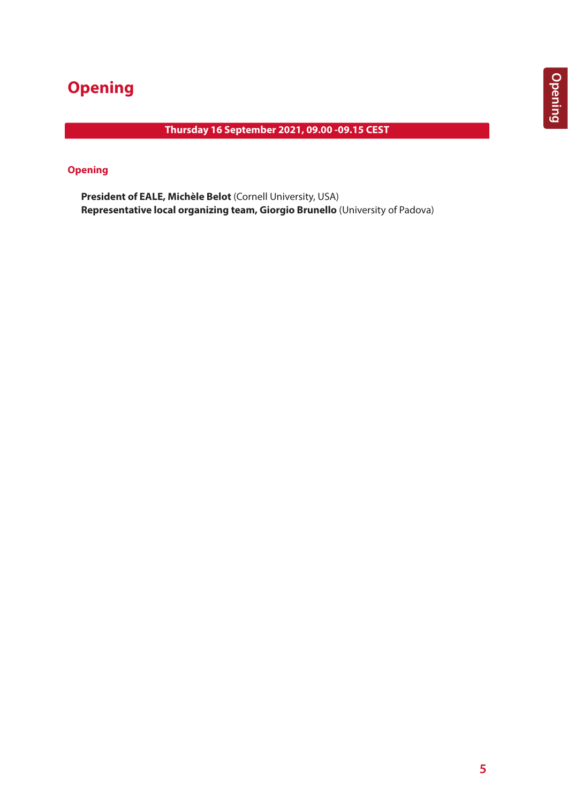# **Opening**

# **Thursday 16 September 2021, 09.00 -09.15 CEST**

# **Opening**

**President of EALE, Michèle Belot** (Cornell University, USA) **Representative local organizing team, Giorgio Brunello** (University of Padova)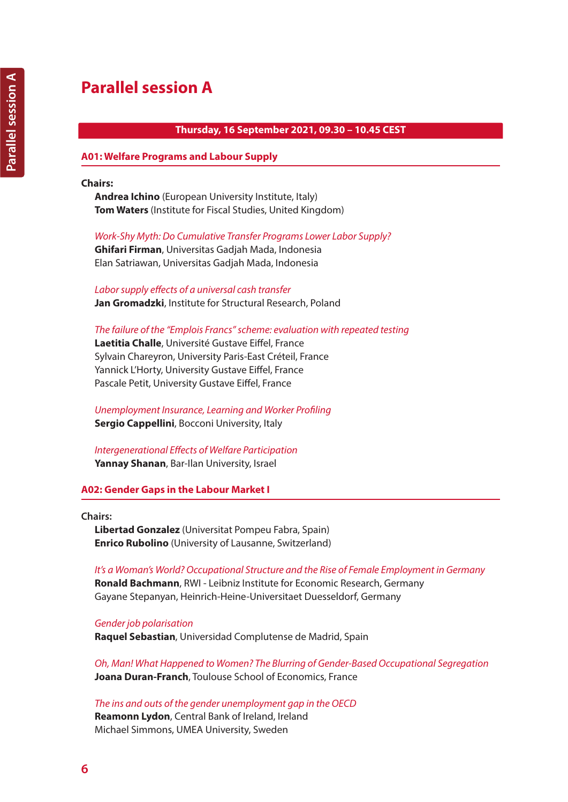# **Parallel session A**

# **Thursday, 16 September 2021, 09.30 – 10.45 CEST**

## **A01: Welfare Programs and Labour Supply**

### **Chairs:**

**Andrea Ichino** (European University Institute, Italy) **Tom Waters** (Institute for Fiscal Studies, United Kingdom)

*Work-Shy Myth: Do Cumulative Transfer Programs Lower Labor Supply?*  **Ghifari Firman**, Universitas Gadjah Mada, Indonesia Elan Satriawan, Universitas Gadjah Mada, Indonesia

*Labor supply effects of a universal cash transfer* **Jan Gromadzki**, Institute for Structural Research, Poland

*The failure of the "Emplois Francs" scheme: evaluation with repeated testing* **Laetitia Challe**, Université Gustave Eiffel, France Sylvain Chareyron, University Paris-East Créteil, France Yannick L'Horty, University Gustave Eiffel, France Pascale Petit, University Gustave Eiffel, France

*Unemployment Insurance, Learning and Worker Profiling* **Sergio Cappellini**, Bocconi University, Italy

*Intergenerational Effects of Welfare Participation* **Yannay Shanan**, Bar-Ilan University, Israel

## **A02: Gender Gaps in the Labour Market I**

**Chairs:** 

**Libertad Gonzalez** (Universitat Pompeu Fabra, Spain) **Enrico Rubolino** (University of Lausanne, Switzerland)

*It's a Woman's World? Occupational Structure and the Rise of Female Employment in Germany* **Ronald Bachmann**, RWI - Leibniz Institute for Economic Research, Germany Gayane Stepanyan, Heinrich-Heine-Universitaet Duesseldorf, Germany

*Gender job polarisation* **Raquel Sebastian**, Universidad Complutense de Madrid, Spain

*Oh, Man! What Happened to Women? The Blurring of Gender-Based Occupational Segregation* **Joana Duran-Franch**, Toulouse School of Economics, France

*The ins and outs of the gender unemployment gap in the OECD* **Reamonn Lydon**, Central Bank of Ireland, Ireland Michael Simmons, UMEA University, Sweden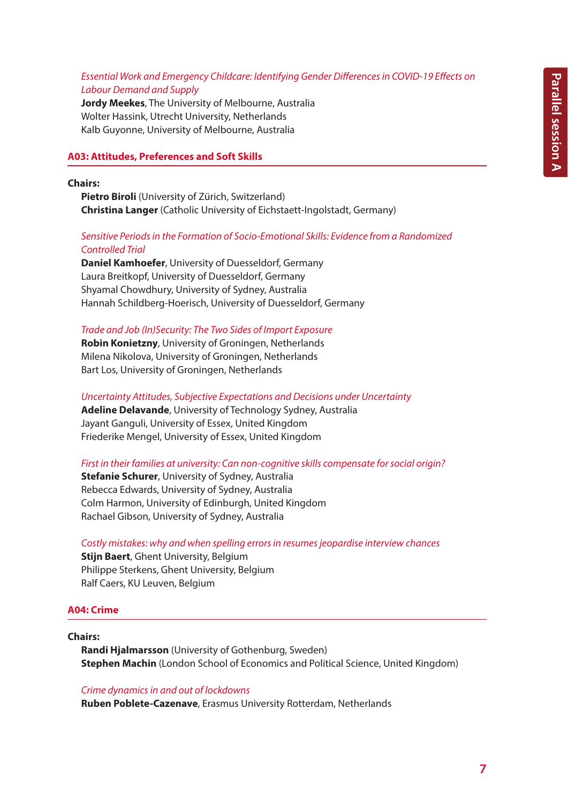# *Essential Work and Emergency Childcare: Identifying Gender Differences in COVID-19 Effects on Labour Demand and Supply*

**Jordy Meekes**, The University of Melbourne, Australia Wolter Hassink, Utrecht University, Netherlands Kalb Guyonne, University of Melbourne, Australia

## **A03: Attitudes, Preferences and Soft Skills**

# **Chairs:**

**Pietro Biroli** (University of Zürich, Switzerland) **Christina Langer** (Catholic University of Eichstaett-Ingolstadt, Germany)

# *Sensitive Periods in the Formation of Socio-Emotional Skills: Evidence from a Randomized Controlled Trial*

**Daniel Kamhoefer**, University of Duesseldorf, Germany Laura Breitkopf, University of Duesseldorf, Germany Shyamal Chowdhury, University of Sydney, Australia Hannah Schildberg-Hoerisch, University of Duesseldorf, Germany

*Trade and Job (In)Security: The Two Sides of Import Exposure*

**Robin Konietzny**, University of Groningen, Netherlands Milena Nikolova, University of Groningen, Netherlands Bart Los, University of Groningen, Netherlands

*Uncertainty Attitudes, Subjective Expectations and Decisions under Uncertainty*

**Adeline Delavande**, University of Technology Sydney, Australia Jayant Ganguli, University of Essex, United Kingdom Friederike Mengel, University of Essex, United Kingdom

## *First in their families at university: Can non-cognitive skills compensate for social origin?*

**Stefanie Schurer**, University of Sydney, Australia Rebecca Edwards, University of Sydney, Australia Colm Harmon, University of Edinburgh, United Kingdom Rachael Gibson, University of Sydney, Australia

*Costly mistakes: why and when spelling errors in resumes jeopardise interview chances*

**Stijn Baert**, Ghent University, Belgium Philippe Sterkens, Ghent University, Belgium Ralf Caers, KU Leuven, Belgium

# **A04: Crime**

## **Chairs:**

**Randi Hjalmarsson** (University of Gothenburg, Sweden) **Stephen Machin** (London School of Economics and Political Science, United Kingdom)

## *Crime dynamics in and out of lockdowns*

**Ruben Poblete-Cazenave**, Erasmus University Rotterdam, Netherlands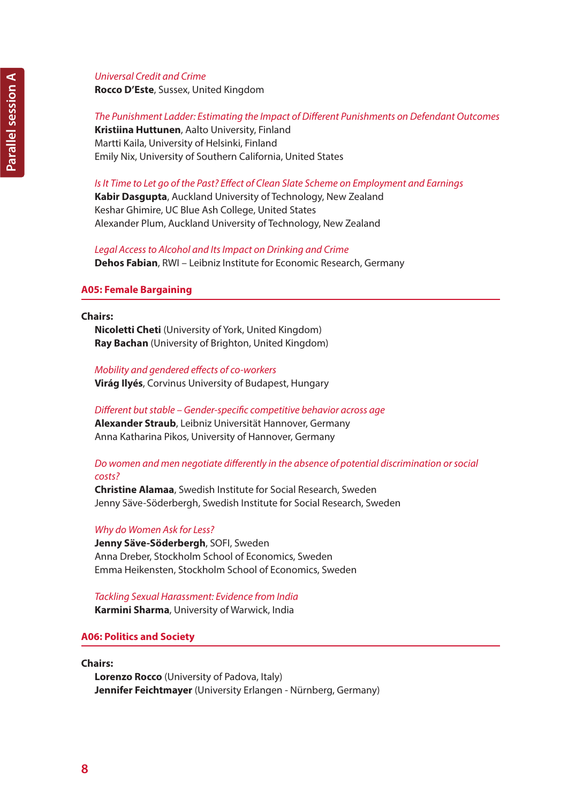## *Universal Credit and Crime*

**Rocco D'Este**, Sussex, United Kingdom

# *The Punishment Ladder: Estimating the Impact of Different Punishments on Defendant Outcomes*

**Kristiina Huttunen**, Aalto University, Finland Martti Kaila, University of Helsinki, Finland Emily Nix, University of Southern California, United States

# *Is It Time to Let go of the Past? Effect of Clean Slate Scheme on Employment and Earnings*

**Kabir Dasgupta**, Auckland University of Technology, New Zealand Keshar Ghimire, UC Blue Ash College, United States Alexander Plum, Auckland University of Technology, New Zealand

*Legal Access to Alcohol and Its Impact on Drinking and Crime* **Dehos Fabian**, RWI – Leibniz Institute for Economic Research, Germany

## **A05: Female Bargaining**

#### **Chairs:**

**Nicoletti Cheti** (University of York, United Kingdom) **Ray Bachan** (University of Brighton, United Kingdom)

*Mobility and gendered effects of co-workers* **Virág Ilyés**, Corvinus University of Budapest, Hungary

*Different but stable – Gender-specific competitive behavior across age* **Alexander Straub**, Leibniz Universität Hannover, Germany Anna Katharina Pikos, University of Hannover, Germany

# *Do women and men negotiate differently in the absence of potential discrimination or social costs?*

**Christine Alamaa**, Swedish Institute for Social Research, Sweden Jenny Säve-Söderbergh, Swedish Institute for Social Research, Sweden

## *Why do Women Ask for Less?*

**Jenny Säve-Söderbergh**, SOFI, Sweden Anna Dreber, Stockholm School of Economics, Sweden Emma Heikensten, Stockholm School of Economics, Sweden

*Tackling Sexual Harassment: Evidence from India* **Karmini Sharma**, University of Warwick, India

## **A06: Politics and Society**

#### **Chairs:**

**Lorenzo Rocco** (University of Padova, Italy) **Jennifer Feichtmayer** (University Erlangen - Nürnberg, Germany)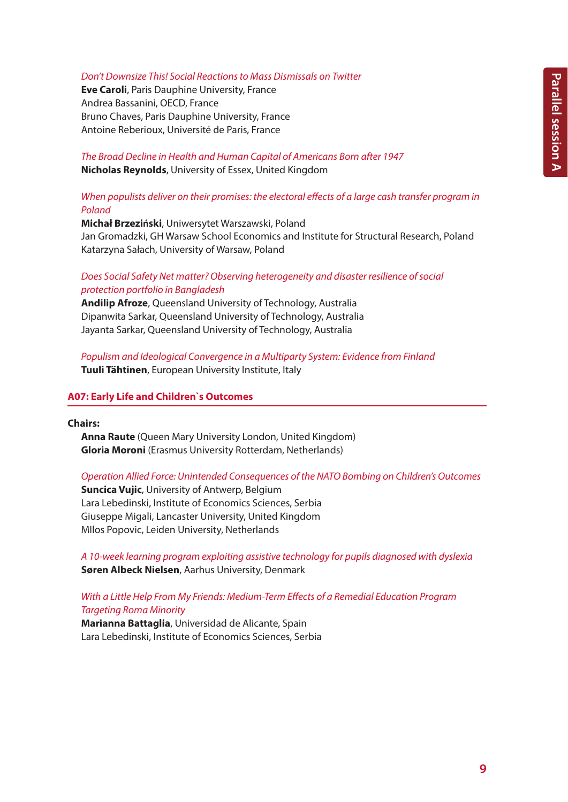# *Don't Downsize This! Social Reactions to Mass Dismissals on Twitter*

**Eve Caroli**, Paris Dauphine University, France Andrea Bassanini, OECD, France Bruno Chaves, Paris Dauphine University, France Antoine Reberioux, Université de Paris, France

*The Broad Decline in Health and Human Capital of Americans Born after 1947* **Nicholas Reynolds**, University of Essex, United Kingdom

# *When populists deliver on their promises: the electoral effects of a large cash transfer program in Poland*

**Michał Brzeziński**, Uniwersytet Warszawski, Poland Jan Gromadzki, GH Warsaw School Economics and Institute for Structural Research, Poland Katarzyna Sałach, University of Warsaw, Poland

# *Does Social Safety Net matter? Observing heterogeneity and disaster resilience of social protection portfolio in Bangladesh*

**Andilip Afroze**, Queensland University of Technology, Australia Dipanwita Sarkar, Queensland University of Technology, Australia Jayanta Sarkar, Queensland University of Technology, Australia

# *Populism and Ideological Convergence in a Multiparty System: Evidence from Finland* **Tuuli Tähtinen**, European University Institute, Italy

## **A07: Early Life and Children`s Outcomes**

#### **Chairs:**

**Anna Raute** (Queen Mary University London, United Kingdom) **Gloria Moroni** (Erasmus University Rotterdam, Netherlands)

## *Operation Allied Force: Unintended Consequences of the NATO Bombing on Children's Outcomes*

**Suncica Vujic**, University of Antwerp, Belgium Lara Lebedinski, Institute of Economics Sciences, Serbia Giuseppe Migali, Lancaster University, United Kingdom MIlos Popovic, Leiden University, Netherlands

*A 10-week learning program exploiting assistive technology for pupils diagnosed with dyslexia* **Søren Albeck Nielsen**, Aarhus University, Denmark

# *With a Little Help From My Friends: Medium-Term Effects of a Remedial Education Program Targeting Roma Minority*

**Marianna Battaglia**, Universidad de Alicante, Spain Lara Lebedinski, Institute of Economics Sciences, Serbia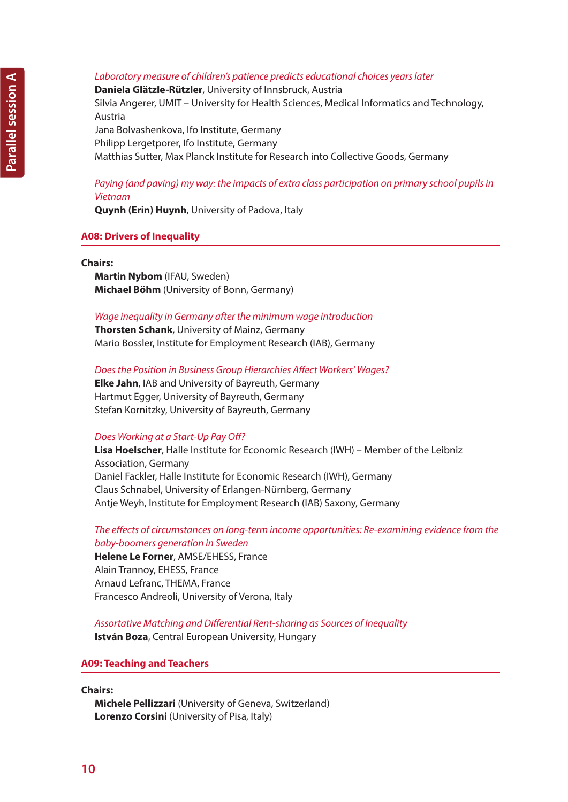# *Laboratory measure of children's patience predicts educational choices years later*

**Daniela Glätzle-Rützler**, University of Innsbruck, Austria Silvia Angerer, UMIT – University for Health Sciences, Medical Informatics and Technology, Austria

Jana Bolvashenkova, Ifo Institute, Germany Philipp Lergetporer, Ifo Institute, Germany Matthias Sutter, Max Planck Institute for Research into Collective Goods, Germany

## *Paying (and paving) my way: the impacts of extra class participation on primary school pupils in Vietnam*

**Quynh (Erin) Huynh**, University of Padova, Italy

## **A08: Drivers of Inequality**

#### **Chairs:**

**Martin Nybom** (IFAU, Sweden) **Michael Böhm** (University of Bonn, Germany)

#### *Wage inequality in Germany after the minimum wage introduction*

**Thorsten Schank**, University of Mainz, Germany Mario Bossler, Institute for Employment Research (IAB), Germany

*Does the Position in Business Group Hierarchies Affect Workers' Wages?* **Elke Jahn**, IAB and University of Bayreuth, Germany

Hartmut Egger, University of Bayreuth, Germany Stefan Kornitzky, University of Bayreuth, Germany

## *Does Working at a Start-Up Pay Off?*

**Lisa Hoelscher**, Halle Institute for Economic Research (IWH) – Member of the Leibniz Association, Germany Daniel Fackler, Halle Institute for Economic Research (IWH), Germany Claus Schnabel, University of Erlangen-Nürnberg, Germany Antje Weyh, Institute for Employment Research (IAB) Saxony, Germany

## *The effects of circumstances on long-term income opportunities: Re-examining evidence from the baby-boomers generation in Sweden*

**Helene Le Forner**, AMSE/EHESS, France Alain Trannoy, EHESS, France Arnaud Lefranc, THEMA, France Francesco Andreoli, University of Verona, Italy

*Assortative Matching and Differential Rent-sharing as Sources of Inequality* **István Boza**, Central European University, Hungary

# **A09: Teaching and Teachers**

**Chairs:**

**Michele Pellizzari** (University of Geneva, Switzerland) **Lorenzo Corsini** (University of Pisa, Italy)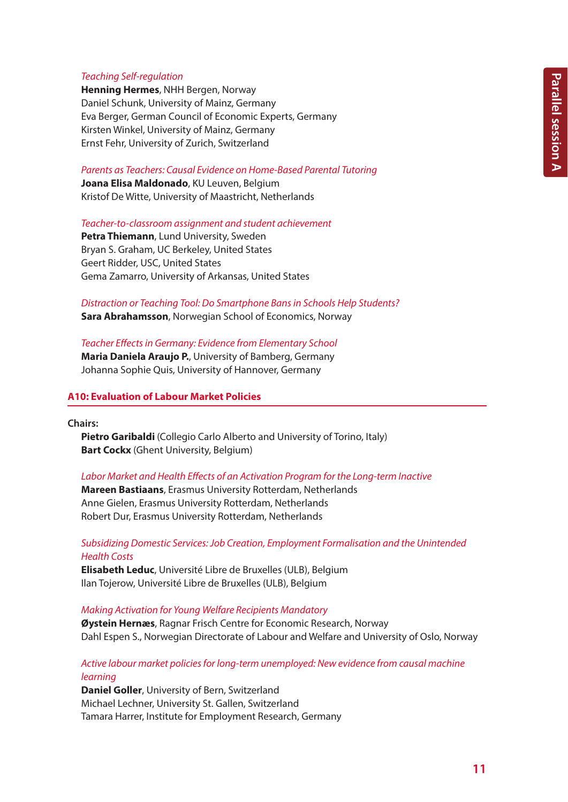# *Teaching Self-regulation*

**Henning Hermes**, NHH Bergen, Norway Daniel Schunk, University of Mainz, Germany Eva Berger, German Council of Economic Experts, Germany Kirsten Winkel, University of Mainz, Germany Ernst Fehr, University of Zurich, Switzerland

*Parents as Teachers: Causal Evidence on Home-Based Parental Tutoring*

**Joana Elisa Maldonado**, KU Leuven, Belgium Kristof De Witte, University of Maastricht, Netherlands

*Teacher-to-classroom assignment and student achievement*

**Petra Thiemann**, Lund University, Sweden Bryan S. Graham, UC Berkeley, United States Geert Ridder, USC, United States Gema Zamarro, University of Arkansas, United States

## *Distraction or Teaching Tool: Do Smartphone Bans in Schools Help Students?* **Sara Abrahamsson**, Norwegian School of Economics, Norway

*Teacher Effects in Germany: Evidence from Elementary School* **Maria Daniela Araujo P.**, University of Bamberg, Germany Johanna Sophie Quis, University of Hannover, Germany

# **A10: Evaluation of Labour Market Policies**

**Chairs:**

**Pietro Garibaldi** (Collegio Carlo Alberto and University of Torino, Italy) **Bart Cockx** (Ghent University, Belgium)

*Labor Market and Health Effects of an Activation Program for the Long-term Inactive*

**Mareen Bastiaans**, Erasmus University Rotterdam, Netherlands Anne Gielen, Erasmus University Rotterdam, Netherlands Robert Dur, Erasmus University Rotterdam, Netherlands

*Subsidizing Domestic Services: Job Creation, Employment Formalisation and the Unintended Health Costs*

**Elisabeth Leduc**, Université Libre de Bruxelles (ULB), Belgium Ilan Tojerow, Université Libre de Bruxelles (ULB), Belgium

*Making Activation for Young Welfare Recipients Mandatory*

**Øystein Hernæs**, Ragnar Frisch Centre for Economic Research, Norway Dahl Espen S., Norwegian Directorate of Labour and Welfare and University of Oslo, Norway

# *Active labour market policies for long-term unemployed: New evidence from causal machine learning*

**Daniel Goller**, University of Bern, Switzerland Michael Lechner, University St. Gallen, Switzerland Tamara Harrer, Institute for Employment Research, Germany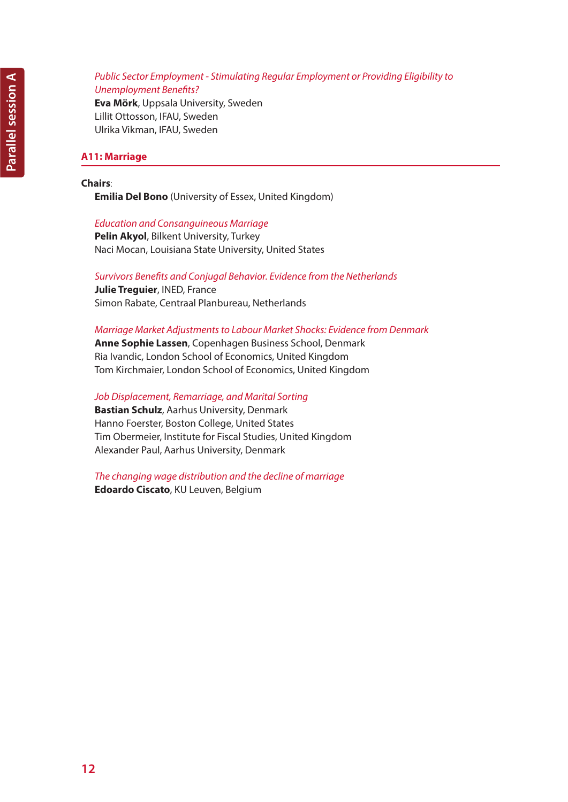## *Public Sector Employment - Stimulating Regular Employment or Providing Eligibility to Unemployment Benefits?*

**Eva Mörk**, Uppsala University, Sweden Lillit Ottosson, IFAU, Sweden Ulrika Vikman, IFAU, Sweden

# **A11: Marriage**

# **Chairs**:

**Emilia Del Bono** (University of Essex, United Kingdom)

# *Education and Consanguineous Marriage*

**Pelin Akyol**, Bilkent University, Turkey Naci Mocan, Louisiana State University, United States

# *Survivors Benefits and Conjugal Behavior. Evidence from the Netherlands*

**Julie Treguier**, INED, France Simon Rabate, Centraal Planbureau, Netherlands

# *Marriage Market Adjustments to Labour Market Shocks: Evidence from Denmark*

**Anne Sophie Lassen**, Copenhagen Business School, Denmark Ria Ivandic, London School of Economics, United Kingdom Tom Kirchmaier, London School of Economics, United Kingdom

*Job Displacement, Remarriage, and Marital Sorting*

**Bastian Schulz**, Aarhus University, Denmark Hanno Foerster, Boston College, United States Tim Obermeier, Institute for Fiscal Studies, United Kingdom Alexander Paul, Aarhus University, Denmark

*The changing wage distribution and the decline of marriage* **Edoardo Ciscato**, KU Leuven, Belgium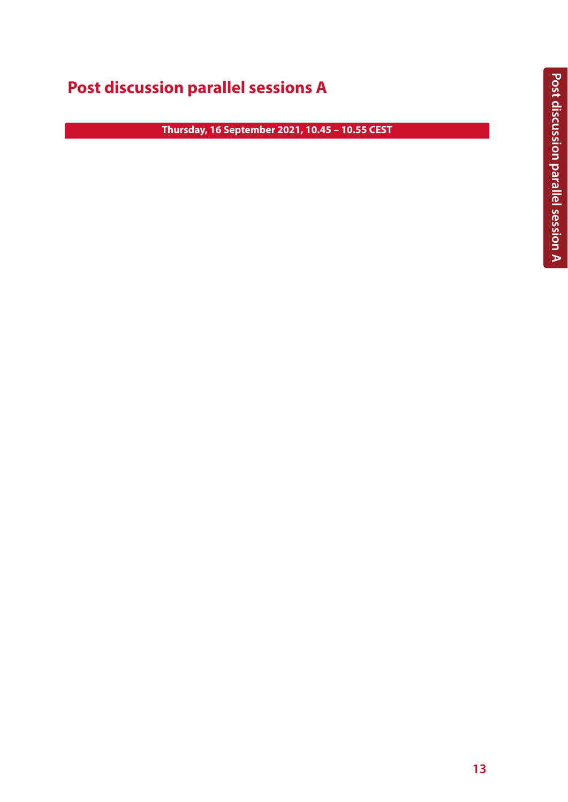# **Post discussion parallel sessions A**

**Thursday, 16 September 2021, 10.45 – 10.55 CEST**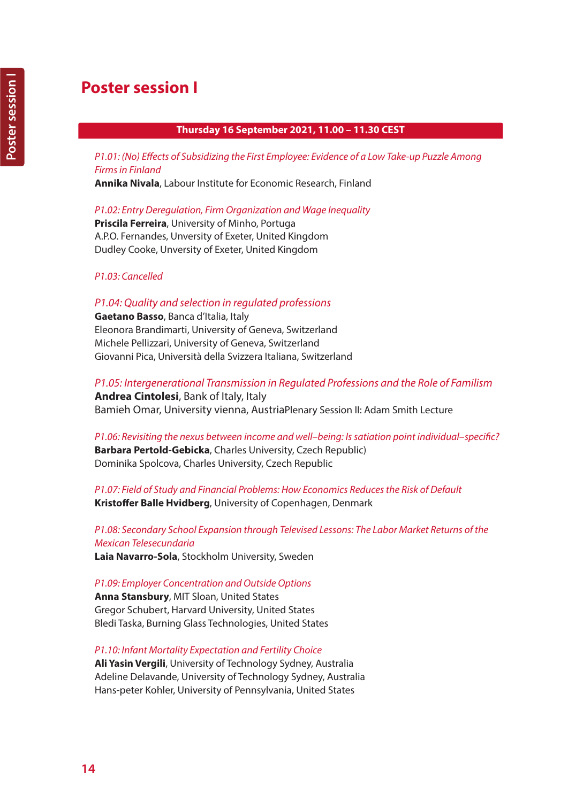# **Poster session I**

# **Thursday 16 September 2021, 11.00 – 11.30 CEST**

*P1.01: (No) Effects of Subsidizing the First Employee: Evidence of a Low Take-up Puzzle Among Firms in Finland*

**Annika Nivala**, Labour Institute for Economic Research, Finland

*P1.02: Entry Deregulation, Firm Organization and Wage Inequality*

**Priscila Ferreira**, University of Minho, Portuga A.P.O. Fernandes, Unversity of Exeter, United Kingdom Dudley Cooke, Unversity of Exeter, United Kingdom

*P1.03: Cancelled*

# *P1.04:Quality and selection in regulated professions*

**Gaetano Basso**, Banca d'Italia, Italy Eleonora Brandimarti, University of Geneva, Switzerland Michele Pellizzari, University of Geneva, Switzerland Giovanni Pica, Università della Svizzera Italiana, Switzerland

*P1.05: Intergenerational Transmission in Regulated Professions and the Role of Familism* **Andrea Cintolesi**, Bank of Italy, Italy Bamieh Omar, University vienna, AustriaPlenary Session II: Adam Smith Lecture

*P1.06: Revisiting the nexus between income and well–being: Is satiation point individual–specific?* **Barbara Pertold-Gebicka**, Charles University, Czech Republic) Dominika Spolcova, Charles University, Czech Republic

*P1.07: Field of Study and Financial Problems: How Economics Reduces the Risk of Default* **Kristoffer Balle Hvidberg**, University of Copenhagen, Denmark

*P1.08: Secondary School Expansion through Televised Lessons: The Labor Market Returns of the Mexican Telesecundaria* **Laia Navarro-Sola**, Stockholm University, Sweden

*P1.09: Employer Concentration and Outside Options* **Anna Stansbury**, MIT Sloan, United States

Gregor Schubert, Harvard University, United States Bledi Taska, Burning Glass Technologies, United States

*P1.10: Infant Mortality Expectation and Fertility Choice*

**Ali Yasin Vergili**, University of Technology Sydney, Australia Adeline Delavande, University of Technology Sydney, Australia Hans-peter Kohler, University of Pennsylvania, United States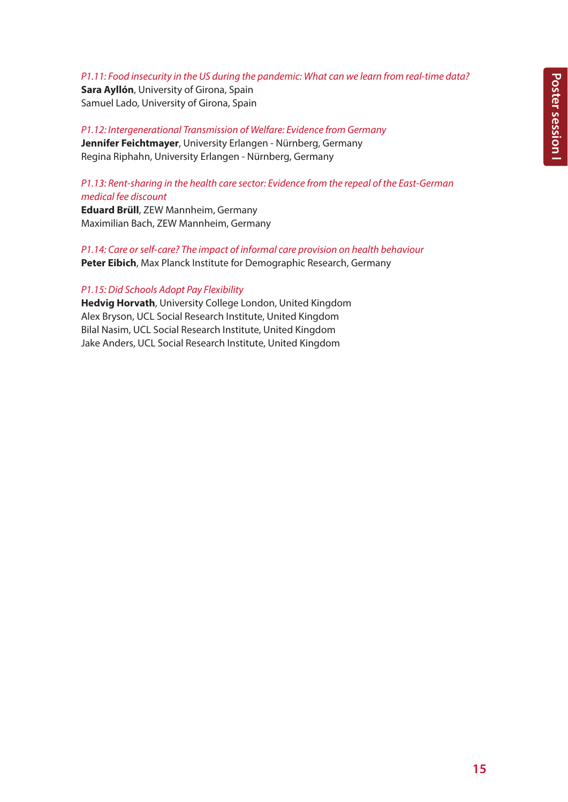# *P1.11: Food insecurity in the US during the pandemic: What can we learn from real-time data?*

**Sara Ayllón**, University of Girona, Spain Samuel Lado, University of Girona, Spain

*P1.12: Intergenerational Transmission of Welfare: Evidence from Germany* **Jennifer Feichtmayer**, University Erlangen - Nürnberg, Germany Regina Riphahn, University Erlangen - Nürnberg, Germany

# *P1.13: Rent-sharing in the health care sector: Evidence from the repeal of the East-German medical fee discount*

**Eduard Brüll**, ZEW Mannheim, Germany Maximilian Bach, ZEW Mannheim, Germany

*P1.14: Care or self-care? The impact of informal care provision on health behaviour* **Peter Eibich**, Max Planck Institute for Demographic Research, Germany

# *P1.15: Did Schools Adopt Pay Flexibility*

**Hedvig Horvath**, University College London, United Kingdom Alex Bryson, UCL Social Research Institute, United Kingdom Bilal Nasim, UCL Social Research Institute, United Kingdom Jake Anders, UCL Social Research Institute, United Kingdom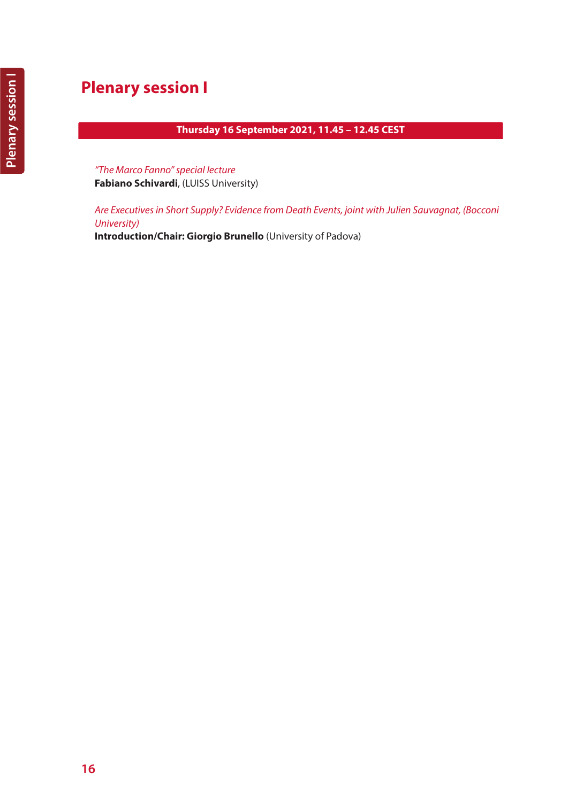# **Plenary session I**

# **Thursday 16 September 2021, 11.45 – 12.45 CEST**

*"The Marco Fanno" special lecture* **Fabiano Schivardi**, (LUISS University)

*Are Executives in Short Supply? Evidence from Death Events, joint with Julien Sauvagnat, (Bocconi University)* 

**Introduction/Chair: Giorgio Brunello** (University of Padova)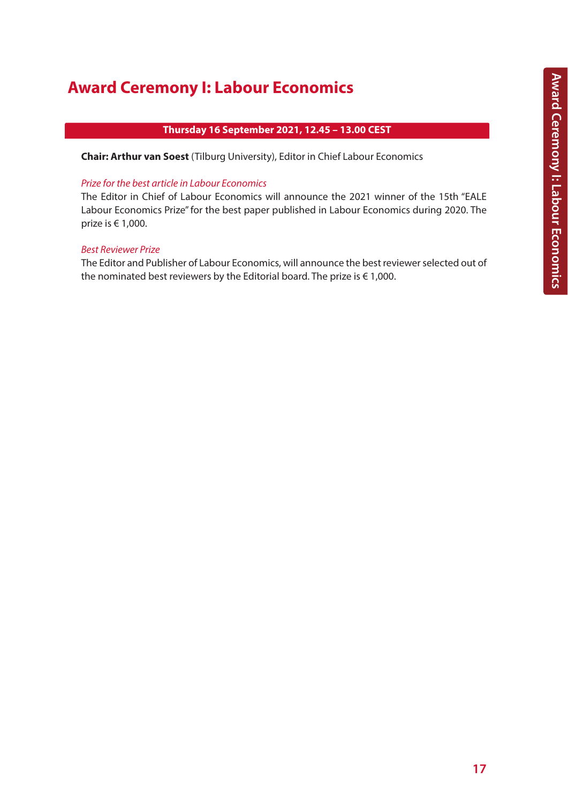# **Award Ceremony I: Labour Economics**

# **Thursday 16 September 2021, 12.45 – 13.00 CEST**

**Chair: Arthur van Soest** (Tilburg University), Editor in Chief Labour Economics

# *Prize for the best article in Labour Economics*

The Editor in Chief of Labour Economics will announce the 2021 winner of the 15th "EALE Labour Economics Prize" for the best paper published in Labour Economics during 2020. The prize is € 1,000.

## *Best Reviewer Prize*

The Editor and Publisher of Labour Economics, will announce the best reviewer selected out of the nominated best reviewers by the Editorial board. The prize is  $\epsilon$  1,000.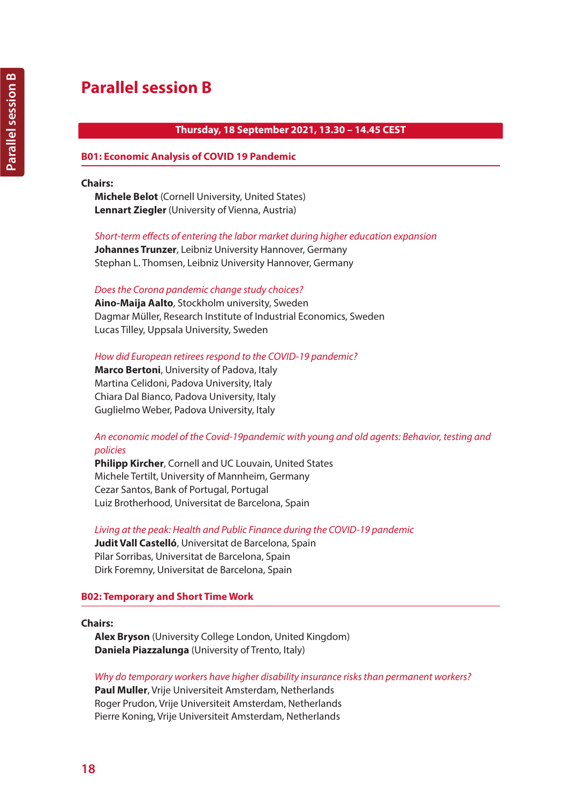# **Parallel session B**

# **Thursday, 18 September 2021, 13.30 – 14.45 CEST**

## **B01: Economic Analysis of COVID 19 Pandemic**

### **Chairs:**

**Michele Belot** (Cornell University, United States) **Lennart Ziegler** (University of Vienna, Austria)

*Short-term effects of entering the labor market during higher education expansion*

**Johannes Trunzer**, Leibniz University Hannover, Germany Stephan L. Thomsen, Leibniz University Hannover, Germany

#### *Does the Corona pandemic change study choices?*

**Aino-Maija Aalto**, Stockholm university, Sweden Dagmar Müller, Research Institute of Industrial Economics, Sweden Lucas Tilley, Uppsala University, Sweden

*How did European retirees respond to the COVID-19 pandemic?*

**Marco Bertoni**, University of Padova, Italy Martina Celidoni, Padova University, Italy Chiara Dal Bianco, Padova University, Italy Guglielmo Weber, Padova University, Italy

# *An economic model of the Covid-19pandemic with young and old agents: Behavior, testing and policies*

**Philipp Kircher**, Cornell and UC Louvain, United States Michele Tertilt, University of Mannheim, Germany Cezar Santos, Bank of Portugal, Portugal Luiz Brotherhood, Universitat de Barcelona, Spain

*Living at the peak: Health and Public Finance during the COVID-19 pandemic* **Judit Vall Castelló**, Universitat de Barcelona, Spain Pilar Sorribas, Universitat de Barcelona, Spain Dirk Foremny, Universitat de Barcelona, Spain

## **B02: Temporary and Short Time Work**

## **Chairs:**

**Alex Bryson** (University College London, United Kingdom) **Daniela Piazzalunga** (University of Trento, Italy)

## *Why do temporary workers have higher disability insurance risks than permanent workers?*

**Paul Muller**, Vrije Universiteit Amsterdam, Netherlands Roger Prudon, Vrije Universiteit Amsterdam, Netherlands Pierre Koning, Vrije Universiteit Amsterdam, Netherlands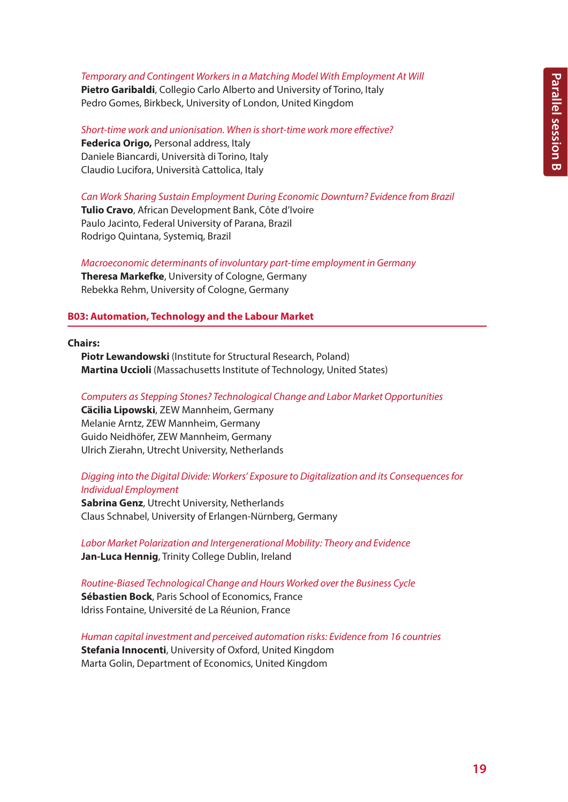#### *Temporary and Contingent Workers in a Matching Model With Employment At Will*

**Pietro Garibaldi**, Collegio Carlo Alberto and University of Torino, Italy Pedro Gomes, Birkbeck, University of London, United Kingdom

*Short-time work and unionisation. When is short-time work more effective?* **Federica Origo,** Personal address, Italy Daniele Biancardi, Università di Torino, Italy Claudio Lucifora, Università Cattolica, Italy

*Can Work Sharing Sustain Employment During Economic Downturn? Evidence from Brazil*

**Tulio Cravo**, African Development Bank, Côte d'Ivoire Paulo Jacinto, Federal University of Parana, Brazil Rodrigo Quintana, Systemiq, Brazil

*Macroeconomic determinants of involuntary part-time employment in Germany* **Theresa Markefke**, University of Cologne, Germany Rebekka Rehm, University of Cologne, Germany

## **B03: Automation, Technology and the Labour Market**

**Chairs:**

**Piotr Lewandowski** (Institute for Structural Research, Poland) **Martina Uccioli** (Massachusetts Institute of Technology, United States)

#### *Computers as Stepping Stones? Technological Change and Labor Market Opportunities*

**Cäcilia Lipowski**, ZEW Mannheim, Germany Melanie Arntz, ZEW Mannheim, Germany Guido Neidhöfer, ZEW Mannheim, Germany Ulrich Zierahn, Utrecht University, Netherlands

# *Digging into the Digital Divide: Workers' Exposure to Digitalization and its Consequences for Individual Employment*

**Sabrina Genz**, Utrecht University, Netherlands Claus Schnabel, University of Erlangen-Nürnberg, Germany

*Labor Market Polarization and Intergenerational Mobility: Theory and Evidence* **Jan-Luca Hennig**, Trinity College Dublin, Ireland

*Routine-Biased Technological Change and Hours Worked over the Business Cycle* **Sébastien Bock**, Paris School of Economics, France Idriss Fontaine, Université de La Réunion, France

*Human capital investment and perceived automation risks: Evidence from 16 countries* **Stefania Innocenti**, University of Oxford, United Kingdom Marta Golin, Department of Economics, United Kingdom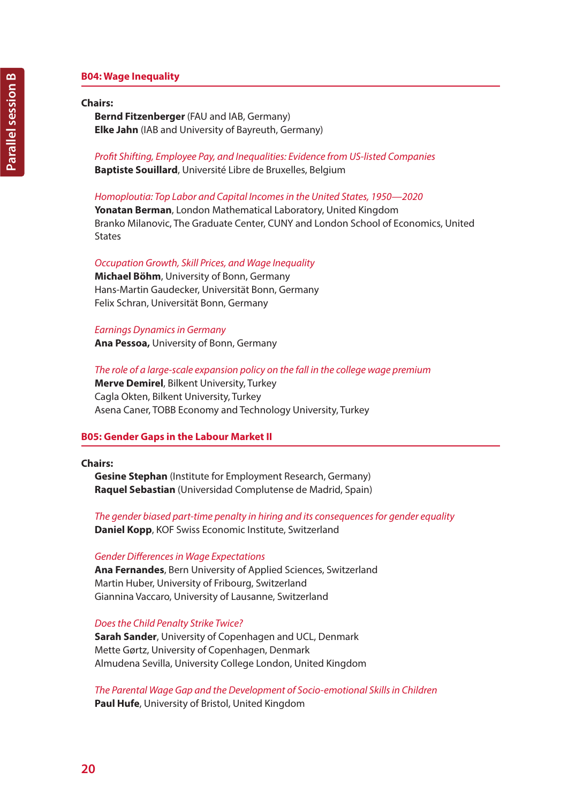# **B04: Wage Inequality**

#### **Chairs:**

**Bernd Fitzenberger** (FAU and IAB, Germany) **Elke Jahn** (IAB and University of Bayreuth, Germany)

*Profit Shifting, Employee Pay, and Inequalities: Evidence from US-listed Companies* **Baptiste Souillard**, Université Libre de Bruxelles, Belgium

*Homoploutia: Top Labor and Capital Incomes in the United States, 1950—2020* **Yonatan Berman**, London Mathematical Laboratory, United Kingdom Branko Milanovic, The Graduate Center, CUNY and London School of Economics, United **States** 

#### *Occupation Growth, Skill Prices, and Wage Inequality*

**Michael Böhm**, University of Bonn, Germany Hans-Martin Gaudecker, Universität Bonn, Germany Felix Schran, Universität Bonn, Germany

*Earnings Dynamics in Germany*

**Ana Pessoa,** University of Bonn, Germany

### *The role of a large-scale expansion policy on the fall in the college wage premium*

**Merve Demirel**, Bilkent University, Turkey Cagla Okten, Bilkent University, Turkey Asena Caner, TOBB Economy and Technology University, Turkey

#### **B05: Gender Gaps in the Labour Market II**

#### **Chairs:**

**Gesine Stephan** (Institute for Employment Research, Germany) **Raquel Sebastian** (Universidad Complutense de Madrid, Spain)

*The gender biased part-time penalty in hiring and its consequences for gender equality* **Daniel Kopp**, KOF Swiss Economic Institute, Switzerland

#### *Gender Differences in Wage Expectations*

**Ana Fernandes**, Bern University of Applied Sciences, Switzerland Martin Huber, University of Fribourg, Switzerland Giannina Vaccaro, University of Lausanne, Switzerland

### *Does the Child Penalty Strike Twice?*

**Sarah Sander**, University of Copenhagen and UCL, Denmark Mette Gørtz, University of Copenhagen, Denmark Almudena Sevilla, University College London, United Kingdom

*The Parental Wage Gap and the Development of Socio-emotional Skills in Children* **Paul Hufe**, University of Bristol, United Kingdom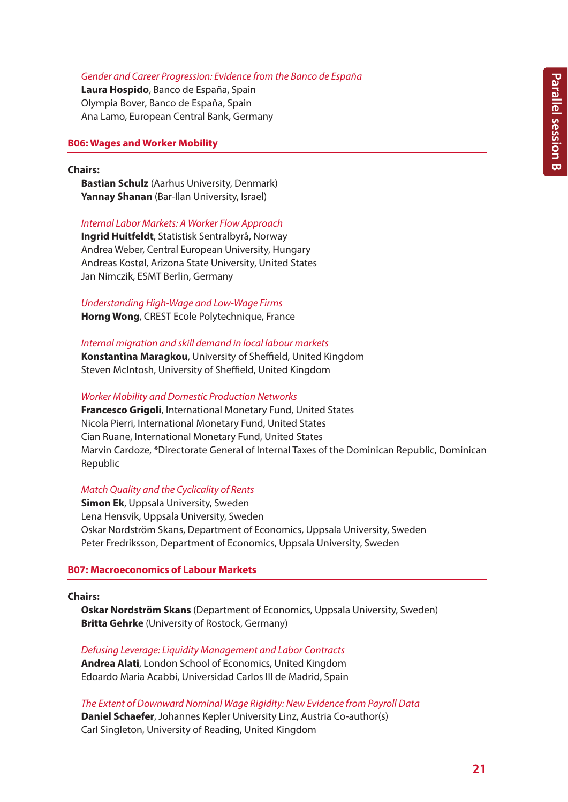## *Gender and Career Progression: Evidence from the Banco de España*

**Laura Hospido**, Banco de España, Spain Olympia Bover, Banco de España, Spain Ana Lamo, European Central Bank, Germany

## **B06: Wages and Worker Mobility**

#### **Chairs:**

**Bastian Schulz** (Aarhus University, Denmark) **Yannay Shanan** (Bar-Ilan University, Israel)

#### *Internal Labor Markets: A Worker Flow Approach*

**Ingrid Huitfeldt**, Statistisk Sentralbyrå, Norway Andrea Weber, Central European University, Hungary Andreas Kostøl, Arizona State University, United States Jan Nimczik, ESMT Berlin, Germany

# *Understanding High-Wage and Low-Wage Firms* **Horng Wong**, CREST Ecole Polytechnique, France

*Internal migration and skill demand in local labour markets* **Konstantina Maragkou**, University of Sheffield, United Kingdom Steven McIntosh, University of Sheffield, United Kingdom

#### *Worker Mobility and Domestic Production Networks*

**Francesco Grigoli**, International Monetary Fund, United States Nicola Pierri, International Monetary Fund, United States Cian Ruane, International Monetary Fund, United States Marvin Cardoze, \*Directorate General of Internal Taxes of the Dominican Republic, Dominican Republic

## *Match Quality and the Cyclicality of Rents*

**Simon Ek**, Uppsala University, Sweden Lena Hensvik, Uppsala University, Sweden Oskar Nordström Skans, Department of Economics, Uppsala University, Sweden Peter Fredriksson, Department of Economics, Uppsala University, Sweden

## **B07: Macroeconomics of Labour Markets**

#### **Chairs:**

**Oskar Nordström Skans** (Department of Economics, Uppsala University, Sweden) **Britta Gehrke** (University of Rostock, Germany)

*Defusing Leverage: Liquidity Management and Labor Contracts* **Andrea Alati**, London School of Economics, United Kingdom Edoardo Maria Acabbi, Universidad Carlos III de Madrid, Spain

*The Extent of Downward Nominal Wage Rigidity: New Evidence from Payroll Data* **Daniel Schaefer**, Johannes Kepler University Linz, Austria Co-author(s) Carl Singleton, University of Reading, United Kingdom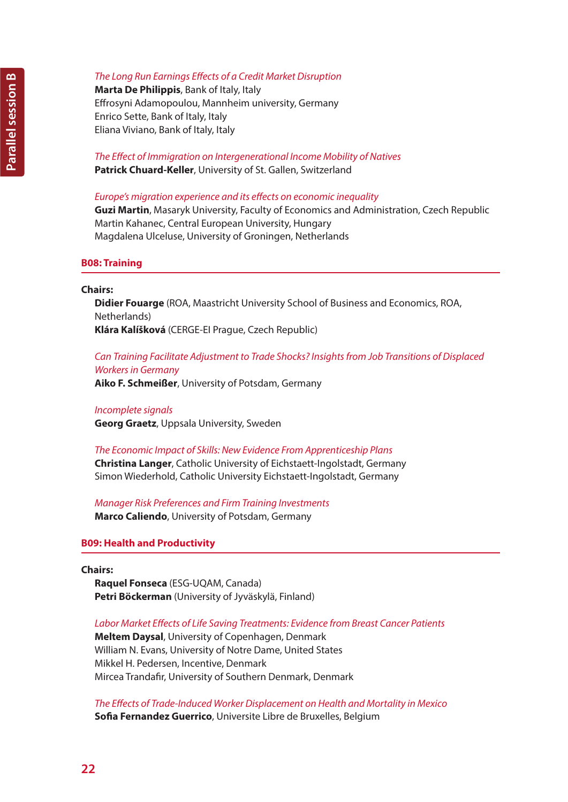**Marta De Philippis**, Bank of Italy, Italy Effrosyni Adamopoulou, Mannheim university, Germany Enrico Sette, Bank of Italy, Italy Eliana Viviano, Bank of Italy, Italy

*The Effect of Immigration on Intergenerational Income Mobility of Natives* **Patrick Chuard-Keller**, University of St. Gallen, Switzerland

# *Europe's migration experience and its effects on economic inequality*

**Guzi Martin**, Masaryk University, Faculty of Economics and Administration, Czech Republic Martin Kahanec, Central European University, Hungary Magdalena Ulceluse, University of Groningen, Netherlands

# **B08: Training**

### **Chairs:**

**Didier Fouarge** (ROA, Maastricht University School of Business and Economics, ROA, Netherlands) **Klára Kalíšková** (CERGE-EI Prague, Czech Republic)

# *Can Training Facilitate Adjustment to Trade Shocks? Insights from Job Transitions of Displaced Workers in Germany*

**Aiko F. Schmeißer**, University of Potsdam, Germany

# *Incomplete signals*

**Georg Graetz**, Uppsala University, Sweden

## *The Economic Impact of Skills: New Evidence From Apprenticeship Plans*

**Christina Langer**, Catholic University of Eichstaett-Ingolstadt, Germany Simon Wiederhold, Catholic University Eichstaett-Ingolstadt, Germany

*Manager Risk Preferences and Firm Training Investments* **Marco Caliendo**, University of Potsdam, Germany

# **B09: Health and Productivity**

**Chairs:**

**Raquel Fonseca** (ESG-UQAM, Canada) **Petri Böckerman** (University of Jyväskylä, Finland)

## *Labor Market Effects of Life Saving Treatments: Evidence from Breast Cancer Patients*

**Meltem Daysal**, University of Copenhagen, Denmark William N. Evans, University of Notre Dame, United States Mikkel H. Pedersen, Incentive, Denmark Mircea Trandafir, University of Southern Denmark, Denmark

*The Effects of Trade-Induced Worker Displacement on Health and Mortality in Mexico* **Sofia Fernandez Guerrico**, Universite Libre de Bruxelles, Belgium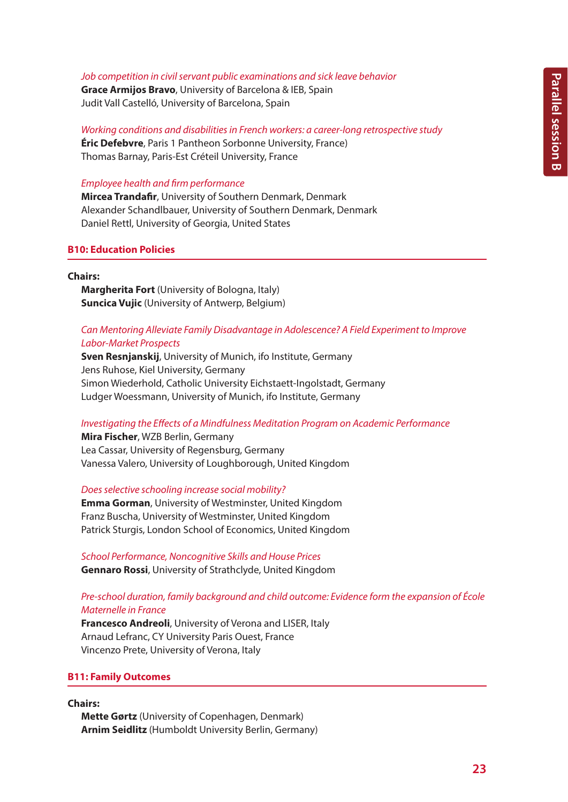#### *Job competition in civil servant public examinations and sick leave behavior*

**Grace Armijos Bravo**, University of Barcelona & IEB, Spain Judit Vall Castelló, University of Barcelona, Spain

*Working conditions and disabilities in French workers: a career-long retrospective study* **Éric Defebvre**, Paris 1 Pantheon Sorbonne University, France) Thomas Barnay, Paris-Est Créteil University, France

### *Employee health and firm performance*

**Mircea Trandafir**, University of Southern Denmark, Denmark Alexander Schandlbauer, University of Southern Denmark, Denmark Daniel Rettl, University of Georgia, United States

## **B10: Education Policies**

#### **Chairs:**

**Margherita Fort** (University of Bologna, Italy) **Suncica Vujic** (University of Antwerp, Belgium)

# *Can Mentoring Alleviate Family Disadvantage in Adolescence? A Field Experiment to Improve Labor-Market Prospects*

**Sven Resnjanskij**, University of Munich, ifo Institute, Germany Jens Ruhose, Kiel University, Germany Simon Wiederhold, Catholic University Eichstaett-Ingolstadt, Germany Ludger Woessmann, University of Munich, ifo Institute, Germany

### *Investigating the Effects of a Mindfulness Meditation Program on Academic Performance*

**Mira Fischer**, WZB Berlin, Germany Lea Cassar, University of Regensburg, Germany Vanessa Valero, University of Loughborough, United Kingdom

#### *Does selective schooling increase social mobility?*

**Emma Gorman**, University of Westminster, United Kingdom Franz Buscha, University of Westminster, United Kingdom Patrick Sturgis, London School of Economics, United Kingdom

*School Performance, Noncognitive Skills and House Prices* **Gennaro Rossi**, University of Strathclyde, United Kingdom

# *Pre-school duration, family background and child outcome: Evidence form the expansion of École Maternelle in France*

**Francesco Andreoli**, University of Verona and LISER, Italy Arnaud Lefranc, CY University Paris Ouest, France Vincenzo Prete, University of Verona, Italy

## **B11: Family Outcomes**

## **Chairs:**

**Mette Gørtz** (University of Copenhagen, Denmark) **Arnim Seidlitz** (Humboldt University Berlin, Germany)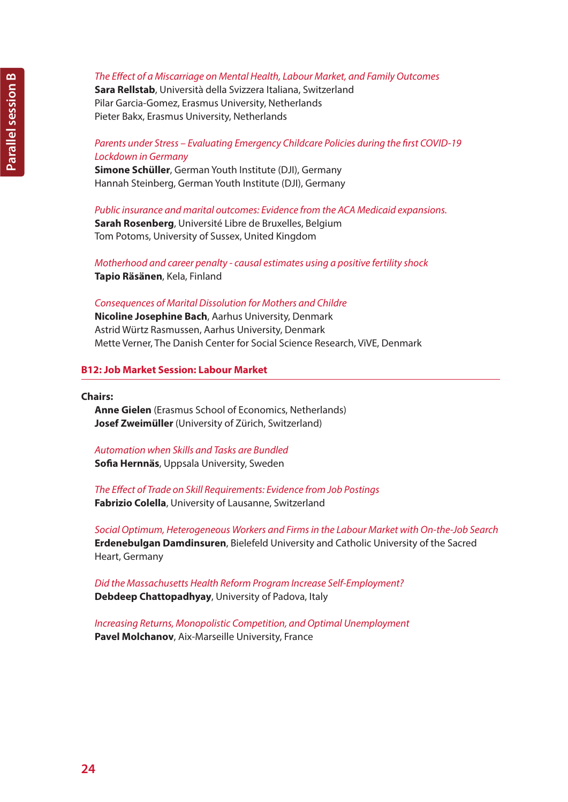**Sara Rellstab**, Università della Svizzera Italiana, Switzerland Pilar Garcia-Gomez, Erasmus University, Netherlands Pieter Bakx, Erasmus University, Netherlands

# *Parents under Stress – Evaluating Emergency Childcare Policies during the first COVID-19 Lockdown in Germany*

**Simone Schüller**, German Youth Institute (DJI), Germany Hannah Steinberg, German Youth Institute (DJI), Germany

*Public insurance and marital outcomes: Evidence from the ACA Medicaid expansions.* **Sarah Rosenberg**, Université Libre de Bruxelles, Belgium Tom Potoms, University of Sussex, United Kingdom

*Motherhood and career penalty - causal estimates using a positive fertility shock* **Tapio Räsänen**, Kela, Finland

# *Consequences of Marital Dissolution for Mothers and Childre*

**Nicoline Josephine Bach**, Aarhus University, Denmark Astrid Würtz Rasmussen, Aarhus University, Denmark Mette Verner, The Danish Center for Social Science Research, ViVE, Denmark

# **B12: Job Market Session: Labour Market**

#### **Chairs:**

**Anne Gielen** (Erasmus School of Economics, Netherlands) **Josef Zweimüller** (University of Zürich, Switzerland)

*Automation when Skills and Tasks are Bundled* **Sofia Hernnäs**, Uppsala University, Sweden

*The Effect of Trade on Skill Requirements: Evidence from Job Postings* **Fabrizio Colella**, University of Lausanne, Switzerland

*Social Optimum, Heterogeneous Workers and Firms in the Labour Market with On-the-Job Search* **Erdenebulgan Damdinsuren**, Bielefeld University and Catholic University of the Sacred Heart, Germany

*Did the Massachusetts Health Reform Program Increase Self-Employment?* **Debdeep Chattopadhyay**, University of Padova, Italy

*Increasing Returns, Monopolistic Competition, and Optimal Unemployment* **Pavel Molchanov**, Aix-Marseille University, France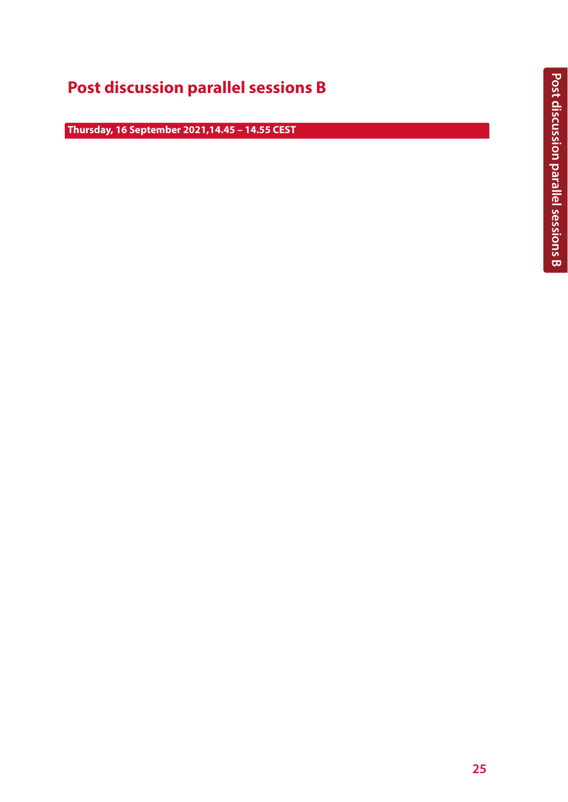# **Post discussion parallel sessions B**

**Thursday, 16 September 2021,14.45 – 14.55 CEST**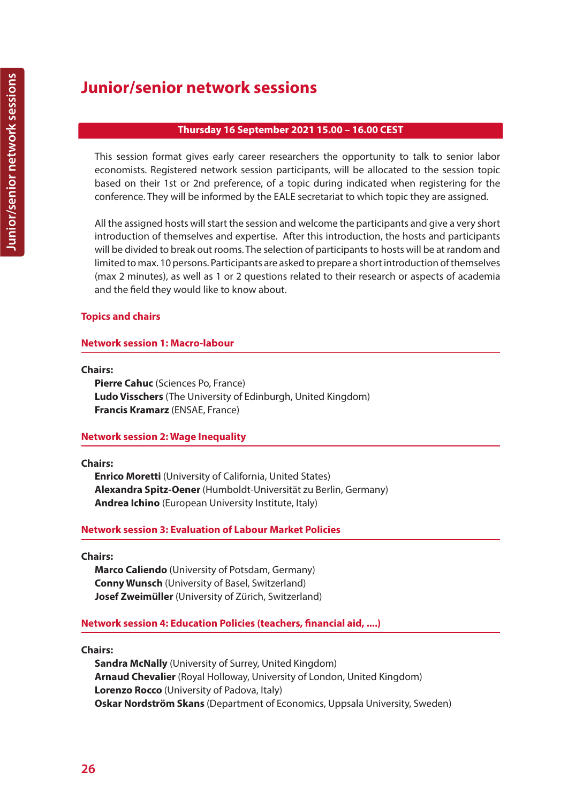# **Junior/senior network sessions**

# **Thursday 16 September 2021 15.00 – 16.00 CEST**

This session format gives early career researchers the opportunity to talk to senior labor economists. Registered network session participants, will be allocated to the session topic based on their 1st or 2nd preference, of a topic during indicated when registering for the conference. They will be informed by the EALE secretariat to which topic they are assigned.

All the assigned hosts will start the session and welcome the participants and give a very short introduction of themselves and expertise. After this introduction, the hosts and participants will be divided to break out rooms. The selection of participants to hosts will be at random and limited to max. 10 persons. Participants are asked to prepare a short introduction of themselves (max 2 minutes), as well as 1 or 2 questions related to their research or aspects of academia and the field they would like to know about.

# **Topics and chairs**

# **Network session 1: Macro-labour**

## **Chairs:**

**Pierre Cahuc** (Sciences Po, France) **Ludo Visschers** (The University of Edinburgh, United Kingdom) **Francis Kramarz** (ENSAE, France)

# **Network session 2: Wage Inequality**

## **Chairs:**

**Enrico Moretti** (University of California, United States) **Alexandra Spitz-Oener** (Humboldt-Universität zu Berlin, Germany) **Andrea Ichino** (European University Institute, Italy)

# **Network session 3: Evaluation of Labour Market Policies**

## **Chairs:**

**Marco Caliendo** (University of Potsdam, Germany) **Conny Wunsch** (University of Basel, Switzerland) **Josef Zweimüller** (University of Zürich, Switzerland)

# **Network session 4: Education Policies (teachers, financial aid, ....)**

# **Chairs:**

**Sandra McNally** (University of Surrey, United Kingdom) **Arnaud Chevalier** (Royal Holloway, University of London, United Kingdom) **Lorenzo Rocco** (University of Padova, Italy) **Oskar Nordström Skans** (Department of Economics, Uppsala University, Sweden)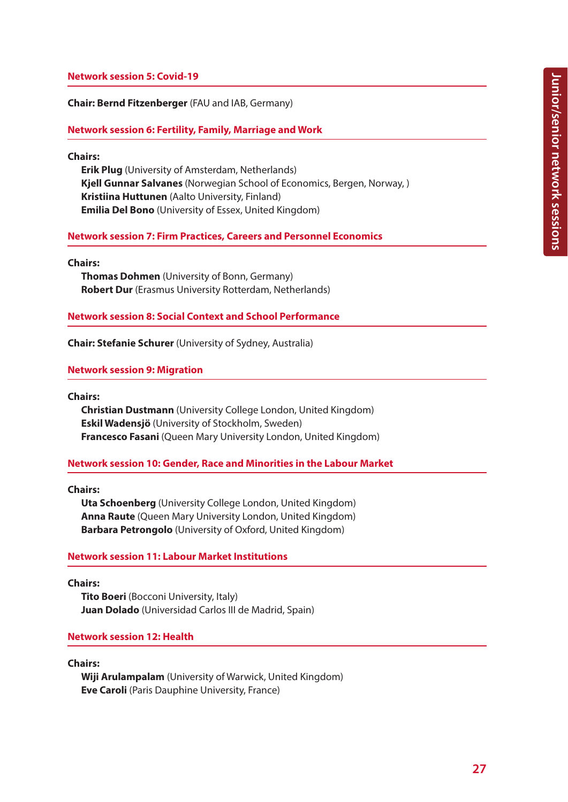# **Network session 5: Covid-19**

**Chair: Bernd Fitzenberger** (FAU and IAB, Germany)

**Network session 6: Fertility, Family, Marriage and Work**

**Chairs:**

**Erik Plug** (University of Amsterdam, Netherlands) **Kjell Gunnar Salvanes** (Norwegian School of Economics, Bergen, Norway, ) **Kristiina Huttunen** (Aalto University, Finland) **Emilia Del Bono** (University of Essex, United Kingdom)

## **Network session 7: Firm Practices, Careers and Personnel Economics**

**Chairs:**

**Thomas Dohmen** (University of Bonn, Germany) **Robert Dur** (Erasmus University Rotterdam, Netherlands)

#### **Network session 8: Social Context and School Performance**

**Chair: Stefanie Schurer** (University of Sydney, Australia)

### **Network session 9: Migration**

**Chairs:**

**Christian Dustmann** (University College London, United Kingdom) **Eskil Wadensjö** (University of Stockholm, Sweden) **Francesco Fasani** (Queen Mary University London, United Kingdom)

## **Network session 10: Gender, Race and Minorities in the Labour Market**

**Chairs:**

**Uta Schoenberg** (University College London, United Kingdom) **Anna Raute** (Queen Mary University London, United Kingdom) **Barbara Petrongolo** (University of Oxford, United Kingdom)

## **Network session 11: Labour Market Institutions**

**Chairs:**

**Tito Boeri** (Bocconi University, Italy) **Juan Dolado** (Universidad Carlos III de Madrid, Spain)

#### **Network session 12: Health**

### **Chairs:**

**Wiji Arulampalam** (University of Warwick, United Kingdom) **Eve Caroli** (Paris Dauphine University, France)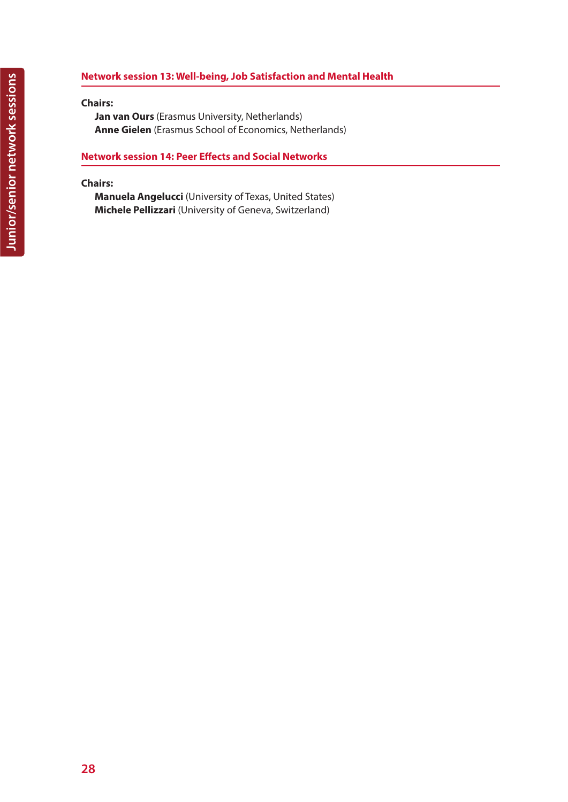# **Network session 13: Well-being, Job Satisfaction and Mental Health**

# **Chairs:**

**Jan van Ours** (Erasmus University, Netherlands) **Anne Gielen** (Erasmus School of Economics, Netherlands)

# **Network session 14: Peer Effects and Social Networks**

# **Chairs:**

**Manuela Angelucci** (University of Texas, United States) **Michele Pellizzari** (University of Geneva, Switzerland)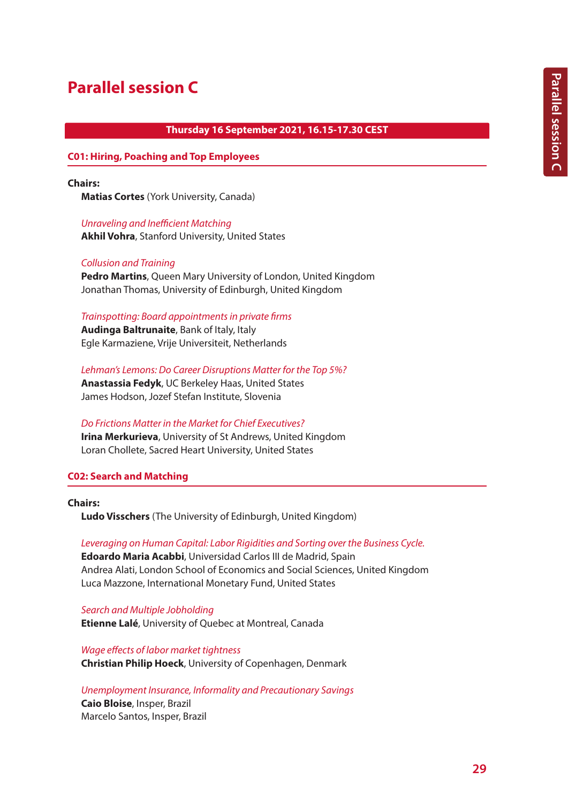# **Parallel session C**

## **Thursday 16 September 2021, 16.15-17.30 CEST**

#### **C01: Hiring, Poaching and Top Employees**

**Chairs:**

**Matias Cortes** (York University, Canada)

*Unraveling and Inefficient Matching* **Akhil Vohra**, Stanford University, United States

#### *Collusion and Training*

**Pedro Martins**, Queen Mary University of London, United Kingdom Jonathan Thomas, University of Edinburgh, United Kingdom

#### *Trainspotting: Board appointments in private firms*

**Audinga Baltrunaite**, Bank of Italy, Italy Egle Karmaziene, Vrije Universiteit, Netherlands

*Lehman's Lemons: Do Career Disruptions Matter for the Top 5%?* **Anastassia Fedyk**, UC Berkeley Haas, United States James Hodson, Jozef Stefan Institute, Slovenia

*Do Frictions Matter in the Market for Chief Executives?* **Irina Merkurieva**, University of St Andrews, United Kingdom Loran Chollete, Sacred Heart University, United States

## **C02: Search and Matching**

**Chairs:** 

**Ludo Visschers** (The University of Edinburgh, United Kingdom)

*Leveraging on Human Capital: Labor Rigidities and Sorting over the Business Cycle.*

**Edoardo Maria Acabbi**, Universidad Carlos III de Madrid, Spain Andrea Alati, London School of Economics and Social Sciences, United Kingdom Luca Mazzone, International Monetary Fund, United States

*Search and Multiple Jobholding* **Etienne Lalé**, University of Quebec at Montreal, Canada

*Wage effects of labor market tightness* **Christian Philip Hoeck**, University of Copenhagen, Denmark

*Unemployment Insurance, Informality and Precautionary Savings*

**Caio Bloise**, Insper, Brazil Marcelo Santos, Insper, Brazil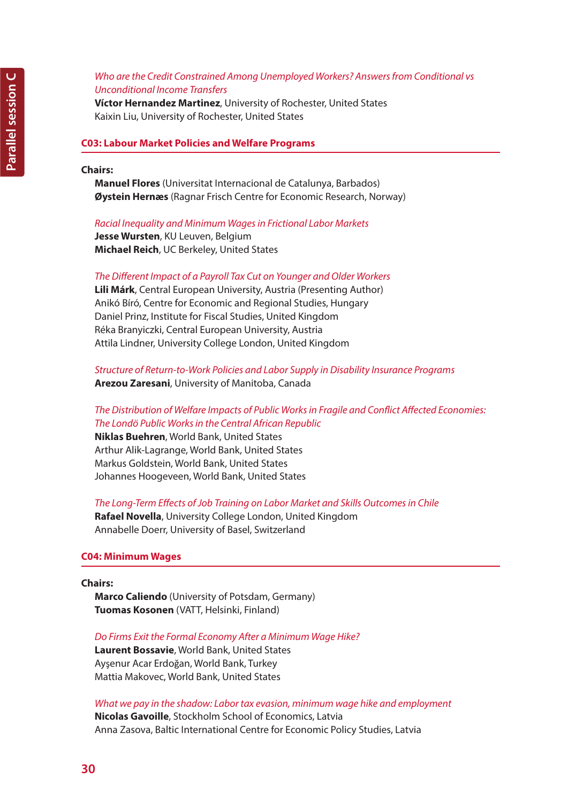# *Who are the Credit Constrained Among Unemployed Workers? Answers from Conditional vs Unconditional Income Transfers*

**Víctor Hernandez Martinez**, University of Rochester, United States Kaixin Liu, University of Rochester, United States

### **C03: Labour Market Policies and Welfare Programs**

## **Chairs:**

**Manuel Flores** (Universitat Internacional de Catalunya, Barbados) **Øystein Hernæs** (Ragnar Frisch Centre for Economic Research, Norway)

#### *Racial Inequality and Minimum Wages in Frictional Labor Markets*

**Jesse Wursten**, KU Leuven, Belgium **Michael Reich**, UC Berkeley, United States

#### *The Different Impact of a Payroll Tax Cut on Younger and Older Workers*

**Lili Márk**, Central European University, Austria (Presenting Author) Anikó Bíró, Centre for Economic and Regional Studies, Hungary Daniel Prinz, Institute for Fiscal Studies, United Kingdom Réka Branyiczki, Central European University, Austria Attila Lindner, University College London, United Kingdom

# *Structure of Return-to-Work Policies and Labor Supply in Disability Insurance Programs* **Arezou Zaresani**, University of Manitoba, Canada

# *The Distribution of Welfare Impacts of Public Works in Fragile and Conflict Affected Economies: The Londö Public Works in the Central African Republic*

**Niklas Buehren**, World Bank, United States Arthur Alik-Lagrange, World Bank, United States Markus Goldstein, World Bank, United States Johannes Hoogeveen, World Bank, United States

#### *The Long-Term Effects of Job Training on Labor Market and Skills Outcomes in Chile*

**Rafael Novella**, University College London, United Kingdom Annabelle Doerr, University of Basel, Switzerland

## **C04: Minimum Wages**

#### **Chairs:**

**Marco Caliendo** (University of Potsdam, Germany) **Tuomas Kosonen** (VATT, Helsinki, Finland)

#### *Do Firms Exit the Formal Economy After a Minimum Wage Hike?*

**Laurent Bossavie**, World Bank, United States Ayşenur Acar Erdoğan, World Bank, Turkey Mattia Makovec, World Bank, United States

*What we pay in the shadow: Labor tax evasion, minimum wage hike and employment* **Nicolas Gavoille**, Stockholm School of Economics, Latvia Anna Zasova, Baltic International Centre for Economic Policy Studies, Latvia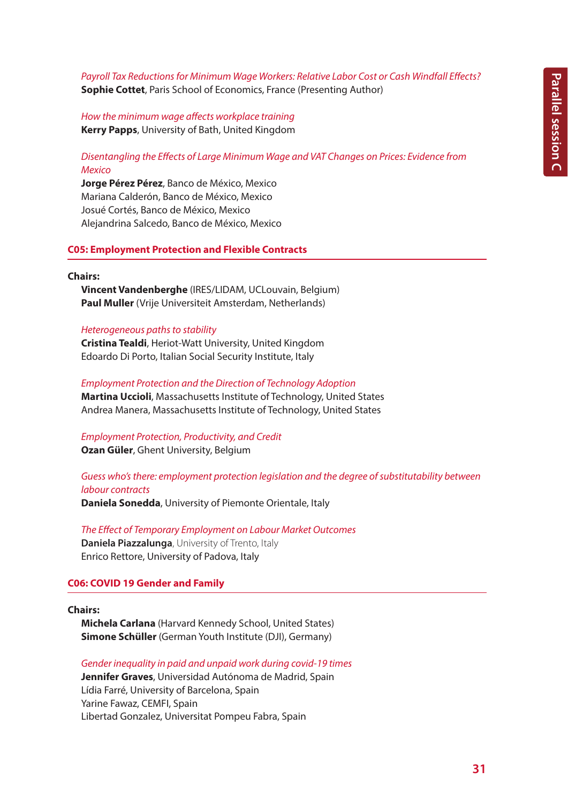# *Payroll Tax Reductions for Minimum Wage Workers: Relative Labor Cost or Cash Windfall Effects?* **Sophie Cottet**, Paris School of Economics, France (Presenting Author)

*How the minimum wage affects workplace training* **Kerry Papps**, University of Bath, United Kingdom

*Disentangling the Effects of Large Minimum Wage and VAT Changes on Prices: Evidence from Mexico*

**Jorge Pérez Pérez**, Banco de México, Mexico Mariana Calderón, Banco de México, Mexico Josué Cortés, Banco de México, Mexico Alejandrina Salcedo, Banco de México, Mexico

#### **C05: Employment Protection and Flexible Contracts**

#### **Chairs:**

**Vincent Vandenberghe** (IRES/LIDAM, UCLouvain, Belgium) **Paul Muller** (Vrije Universiteit Amsterdam, Netherlands)

#### *Heterogeneous paths to stability*

**Cristina Tealdi**, Heriot-Watt University, United Kingdom Edoardo Di Porto, Italian Social Security Institute, Italy

*Employment Protection and the Direction of Technology Adoption* **Martina Uccioli**, Massachusetts Institute of Technology, United States Andrea Manera, Massachusetts Institute of Technology, United States

*Employment Protection, Productivity, and Credit* **Ozan Güler**, Ghent University, Belgium

*Guess who's there: employment protection legislation and the degree of substitutability between labour contracts*

**Daniela Sonedda**, University of Piemonte Orientale, Italy

*The Effect of Temporary Employment on Labour Market Outcomes* **Daniela Piazzalunga**, University of Trento, Italy Enrico Rettore, University of Padova, Italy

## **C06: COVID 19 Gender and Family**

## **Chairs:**

**Michela Carlana** (Harvard Kennedy School, United States) **Simone Schüller** (German Youth Institute (DJI), Germany)

*Gender inequality in paid and unpaid work during covid-19 times* **Jennifer Graves**, Universidad Autónoma de Madrid, Spain Lídia Farré, University of Barcelona, Spain Yarine Fawaz, CEMFI, Spain Libertad Gonzalez, Universitat Pompeu Fabra, Spain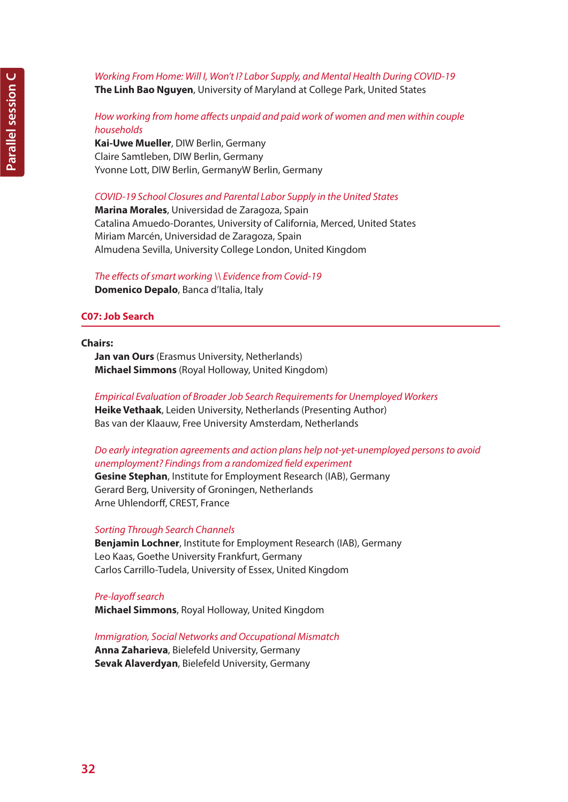# *Working From Home: Will I, Won't I? Labor Supply, and Mental Health During COVID-19* **The Linh Bao Nguyen**, University of Maryland at College Park, United States

# *How working from home affects unpaid and paid work of women and men within couple households*

**Kai-Uwe Mueller**, DIW Berlin, Germany Claire Samtleben, DIW Berlin, Germany Yvonne Lott, DIW Berlin, GermanyW Berlin, Germany

# *COVID-19 School Closures and Parental Labor Supply in the United States*

**Marina Morales**, Universidad de Zaragoza, Spain Catalina Amuedo-Dorantes, University of California, Merced, United States Miriam Marcén, Universidad de Zaragoza, Spain Almudena Sevilla, University College London, United Kingdom

# *The effects of smart working \\ Evidence from Covid-19*

**Domenico Depalo**, Banca d'Italia, Italy

# **C07: Job Search**

## **Chairs:**

**Jan van Ours** (Erasmus University, Netherlands) **Michael Simmons** (Royal Holloway, United Kingdom)

# *Empirical Evaluation of Broader Job Search Requirements for Unemployed Workers* **Heike Vethaak**, Leiden University, Netherlands (Presenting Author) Bas van der Klaauw, Free University Amsterdam, Netherlands

# *Do early integration agreements and action plans help not-yet-unemployed persons to avoid unemployment? Findings from a randomized field experiment*

**Gesine Stephan**, Institute for Employment Research (IAB), Germany Gerard Berg, University of Groningen, Netherlands Arne Uhlendorff, CREST, France

# *Sorting Through Search Channels*

**Benjamin Lochner**, Institute for Employment Research (IAB), Germany Leo Kaas, Goethe University Frankfurt, Germany Carlos Carrillo-Tudela, University of Essex, United Kingdom

# *Pre-layoff search*

**Michael Simmons**, Royal Holloway, United Kingdom

# *Immigration, Social Networks and Occupational Mismatch*

**Anna Zaharieva**, Bielefeld University, Germany **Sevak Alaverdyan**, Bielefeld University, Germany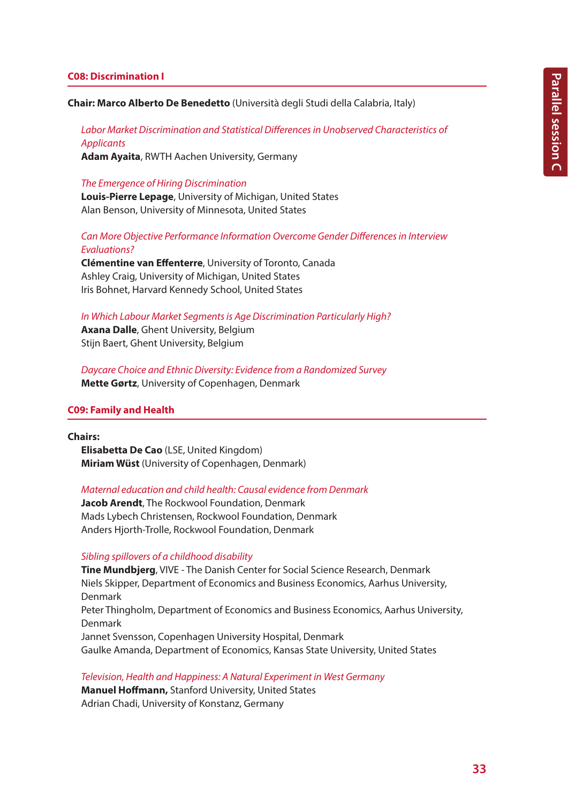## **C08: Discrimination I**

**Chair: Marco Alberto De Benedetto** (Università degli Studi della Calabria, Italy)

*Labor Market Discrimination and Statistical Differences in Unobserved Characteristics of Applicants*

**Adam Ayaita**, RWTH Aachen University, Germany

## *The Emergence of Hiring Discrimination*

**Louis-Pierre Lepage**, University of Michigan, United States Alan Benson, University of Minnesota, United States

# *Can More Objective Performance Information Overcome Gender Differences in Interview Evaluations?*

**Clémentine van Effenterre**, University of Toronto, Canada Ashley Craig, University of Michigan, United States Iris Bohnet, Harvard Kennedy School, United States

#### *In Which Labour Market Segments is Age Discrimination Particularly High?*

**Axana Dalle**, Ghent University, Belgium Stijn Baert, Ghent University, Belgium

*Daycare Choice and Ethnic Diversity: Evidence from a Randomized Survey* **Mette Gørtz**, University of Copenhagen, Denmark

## **C09: Family and Health**

### **Chairs:**

**Elisabetta De Cao** (LSE, United Kingdom) **Miriam Wüst** (University of Copenhagen, Denmark)

### *Maternal education and child health: Causal evidence from Denmark*

**Jacob Arendt**, The Rockwool Foundation, Denmark Mads Lybech Christensen, Rockwool Foundation, Denmark Anders Hjorth-Trolle, Rockwool Foundation, Denmark

## *Sibling spillovers of a childhood disability*

**Tine Mundbjerg**, VIVE - The Danish Center for Social Science Research, Denmark Niels Skipper, Department of Economics and Business Economics, Aarhus University, Denmark Peter Thingholm, Department of Economics and Business Economics, Aarhus University, Denmark Jannet Svensson, Copenhagen University Hospital, Denmark Gaulke Amanda, Department of Economics, Kansas State University, United States

*Television, Health and Happiness: A Natural Experiment in West Germany*

**Manuel Hoffmann,** Stanford University, United States Adrian Chadi, University of Konstanz, Germany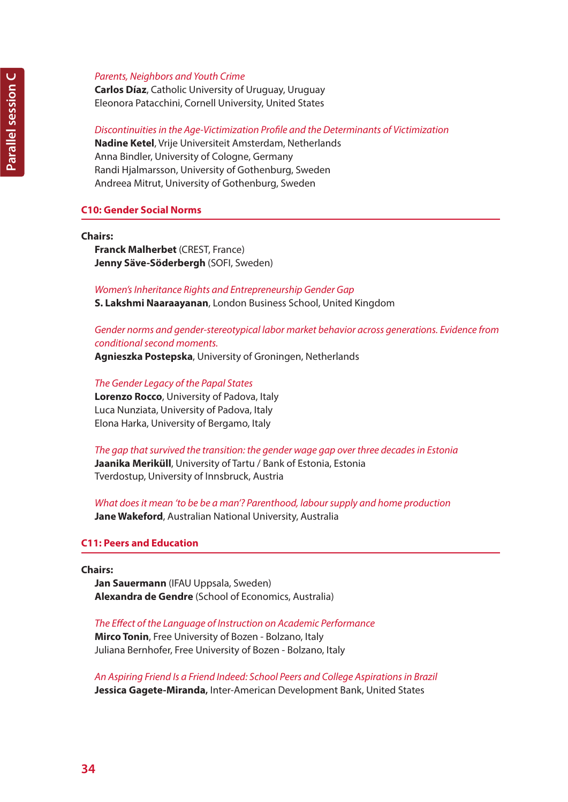# *Parents, Neighbors and Youth Crime*

**Carlos Díaz**, Catholic University of Uruguay, Uruguay Eleonora Patacchini, Cornell University, United States

# *Discontinuities in the Age-Victimization Profile and the Determinants of Victimization*

**Nadine Ketel**, Vrije Universiteit Amsterdam, Netherlands Anna Bindler, University of Cologne, Germany Randi Hjalmarsson, University of Gothenburg, Sweden Andreea Mitrut, University of Gothenburg, Sweden

# **C10: Gender Social Norms**

**Chairs:** 

**Franck Malherbet** (CREST, France) **Jenny Säve-Söderbergh** (SOFI, Sweden)

*Women's Inheritance Rights and Entrepreneurship Gender Gap* **S. Lakshmi Naaraayanan**, London Business School, United Kingdom

# *Gender norms and gender-stereotypical labor market behavior across generations. Evidence from conditional second moments.*

**Agnieszka Postepska**, University of Groningen, Netherlands

*The Gender Legacy of the Papal States* **Lorenzo Rocco**, University of Padova, Italy Luca Nunziata, University of Padova, Italy Elona Harka, University of Bergamo, Italy

*The gap that survived the transition: the gender wage gap over three decades in Estonia* **Jaanika Meriküll**, University of Tartu / Bank of Estonia, Estonia Tverdostup, University of Innsbruck, Austria

*What does it mean 'to be be a man'? Parenthood, labour supply and home production* **Jane Wakeford**, Australian National University, Australia

# **C11: Peers and Education**

**Chairs:**

**Jan Sauermann** (IFAU Uppsala, Sweden) **Alexandra de Gendre** (School of Economics, Australia)

*The Effect of the Language of Instruction on Academic Performance*

**Mirco Tonin**, Free University of Bozen - Bolzano, Italy Juliana Bernhofer, Free University of Bozen - Bolzano, Italy

*An Aspiring Friend Is a Friend Indeed: School Peers and College Aspirations in Brazil* **Jessica Gagete-Miranda,** Inter-American Development Bank, United States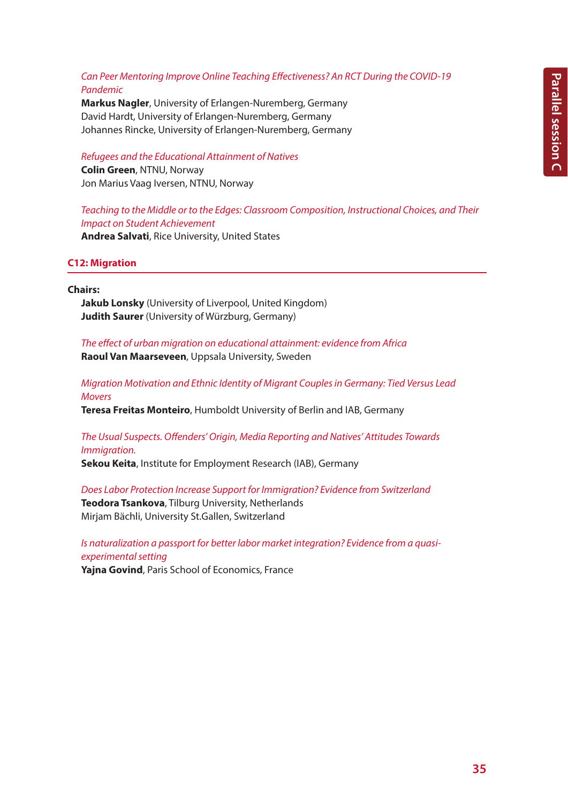# *Can Peer Mentoring Improve Online Teaching Effectiveness? An RCT During the COVID-19 Pandemic*

**Markus Nagler**, University of Erlangen-Nuremberg, Germany David Hardt, University of Erlangen-Nuremberg, Germany Johannes Rincke, University of Erlangen-Nuremberg, Germany

*Refugees and the Educational Attainment of Natives* **Colin Green**, NTNU, Norway Jon Marius Vaag Iversen, NTNU, Norway

*Teaching to the Middle or to the Edges: Classroom Composition, Instructional Choices, and Their Impact on Student Achievement*

**Andrea Salvati**, Rice University, United States

**C12: Migration**

**Chairs:** 

**Jakub Lonsky** (University of Liverpool, United Kingdom) **Judith Saurer** (University of Würzburg, Germany)

*The effect of urban migration on educational attainment: evidence from Africa* **Raoul Van Maarseveen**, Uppsala University, Sweden

*Migration Motivation and Ethnic Identity of Migrant Couples in Germany: Tied Versus Lead Movers*

**Teresa Freitas Monteiro**, Humboldt University of Berlin and IAB, Germany

*The Usual Suspects. Offenders' Origin, Media Reporting and Natives' Attitudes Towards Immigration.*

**Sekou Keita**, Institute for Employment Research (IAB), Germany

*Does Labor Protection Increase Support for Immigration? Evidence from Switzerland* **Teodora Tsankova**, Tilburg University, Netherlands Mirjam Bächli, University St.Gallen, Switzerland

*Is naturalization a passport for better labor market integration? Evidence from a quasiexperimental setting*

**Yajna Govind**, Paris School of Economics, France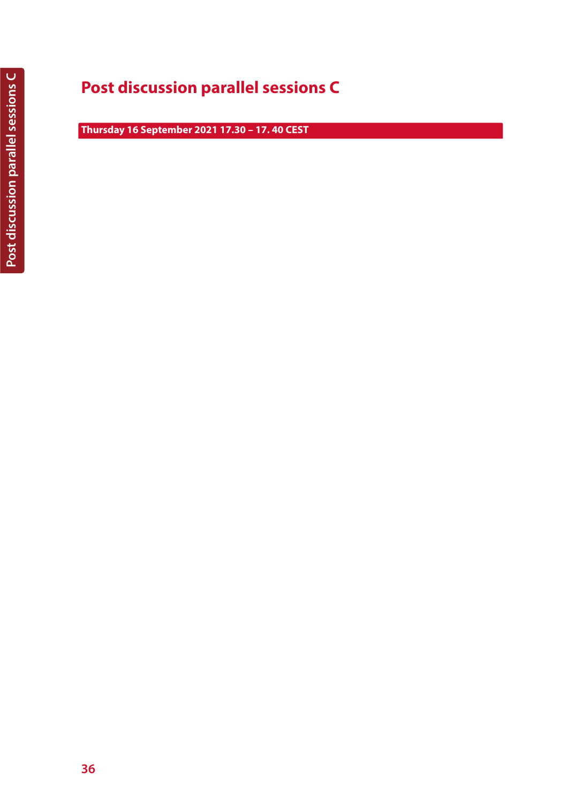# **Post discussion parallel sessions C**

**Thursday 16 September 2021 17.30 – 17. 40 CEST**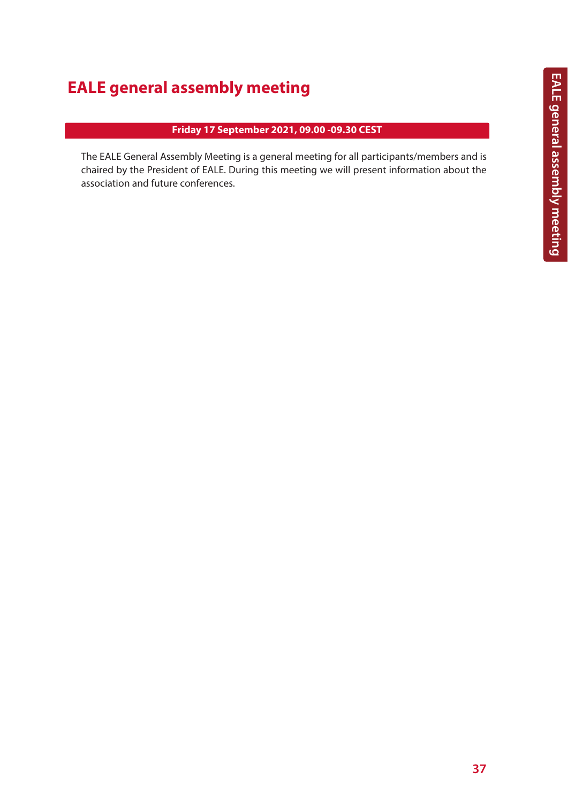# **EALE general assembly meeting**

# **Friday 17 September 2021, 09.00 -09.30 CEST**

The EALE General Assembly Meeting is a general meeting for all participants/members and is chaired by the President of EALE. During this meeting we will present information about the association and future conferences.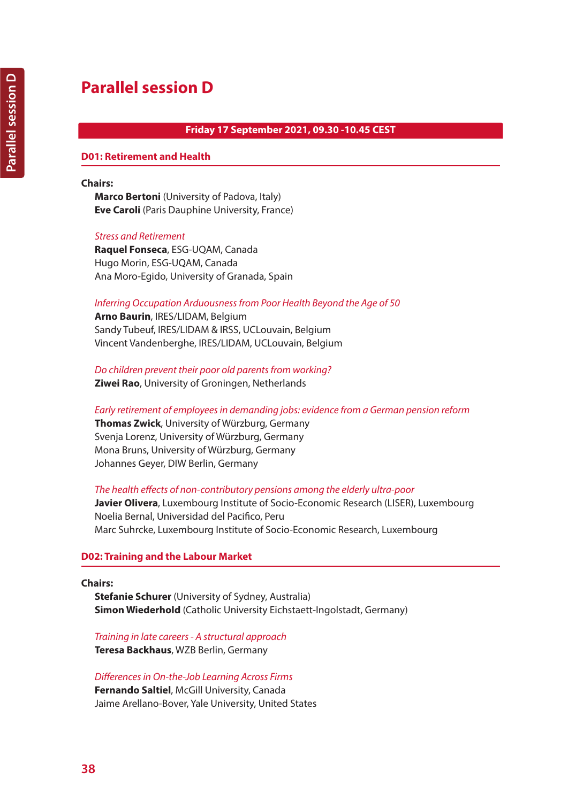# **Friday 17 September 2021, 09.30 -10.45 CEST**

### **D01: Retirement and Health**

#### **Chairs:**

**Marco Bertoni** (University of Padova, Italy) **Eve Caroli** (Paris Dauphine University, France)

#### *Stress and Retirement*

**Raquel Fonseca**, ESG-UQAM, Canada Hugo Morin, ESG-UQAM, Canada Ana Moro-Egido, University of Granada, Spain

#### *Inferring Occupation Arduousness from Poor Health Beyond the Age of 50*

**Arno Baurin**, IRES/LIDAM, Belgium Sandy Tubeuf, IRES/LIDAM & IRSS, UCLouvain, Belgium Vincent Vandenberghe, IRES/LIDAM, UCLouvain, Belgium

*Do children prevent their poor old parents from working?* **Ziwei Rao**, University of Groningen, Netherlands

#### *Early retirement of employees in demanding jobs: evidence from a German pension reform*

**Thomas Zwick**, University of Würzburg, Germany Svenja Lorenz, University of Würzburg, Germany Mona Bruns, University of Würzburg, Germany Johannes Geyer, DIW Berlin, Germany

#### *The health effects of non-contributory pensions among the elderly ultra-poor*

**Javier Olivera**, Luxembourg Institute of Socio-Economic Research (LISER), Luxembourg Noelia Bernal, Universidad del Pacifico, Peru Marc Suhrcke, Luxembourg Institute of Socio-Economic Research, Luxembourg

### **D02: Training and the Labour Market**

#### **Chairs:**

**Stefanie Schurer** (University of Sydney, Australia) **Simon Wiederhold** (Catholic University Eichstaett-Ingolstadt, Germany)

*Training in late careers - A structural approach* **Teresa Backhaus**, WZB Berlin, Germany

*Differences in On-the-Job Learning Across Firms* **Fernando Saltiel**, McGill University, Canada Jaime Arellano-Bover, Yale University, United States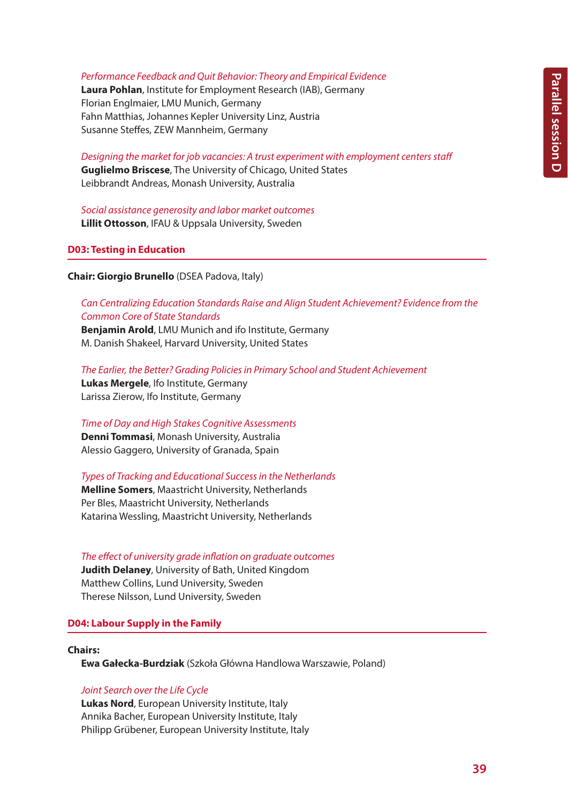#### *Performance Feedback and Quit Behavior: Theory and Empirical Evidence*

**Laura Pohlan**, Institute for Employment Research (IAB), Germany Florian Englmaier, LMU Munich, Germany Fahn Matthias, Johannes Kepler University Linz, Austria Susanne Steffes, ZEW Mannheim, Germany

*Designing the market for job vacancies: A trust experiment with employment centers staff* **Guglielmo Briscese**, The University of Chicago, United States Leibbrandt Andreas, Monash University, Australia

*Social assistance generosity and labor market outcomes* **Lillit Ottosson**, IFAU & Uppsala University, Sweden

#### **D03: Testing in Education**

**Chair: Giorgio Brunello** (DSEA Padova, Italy)

*Can Centralizing Education Standards Raise and Align Student Achievement? Evidence from the Common Core of State Standards*

**Benjamin Arold**, LMU Munich and ifo Institute, Germany M. Danish Shakeel, Harvard University, United States

*The Earlier, the Better? Grading Policies in Primary School and Student Achievement* **Lukas Mergele**, Ifo Institute, Germany Larissa Zierow, Ifo Institute, Germany

*Time of Day and High Stakes Cognitive Assessments* **Denni Tommasi**, Monash University, Australia

Alessio Gaggero, University of Granada, Spain

*Types of Tracking and Educational Success in the Netherlands*

**Melline Somers**, Maastricht University, Netherlands Per Bles, Maastricht University, Netherlands Katarina Wessling, Maastricht University, Netherlands

*The effect of university grade inflation on graduate outcomes*

**Judith Delaney**, University of Bath, United Kingdom Matthew Collins, Lund University, Sweden Therese Nilsson, Lund University, Sweden

### **D04: Labour Supply in the Family**

#### **Chairs:**

**Ewa Gałecka-Burdziak** (Szkoła Główna Handlowa Warszawie, Poland)

#### *Joint Search over the Life Cycle*

**Lukas Nord**, European University Institute, Italy Annika Bacher, European University Institute, Italy Philipp Grübener, European University Institute, Italy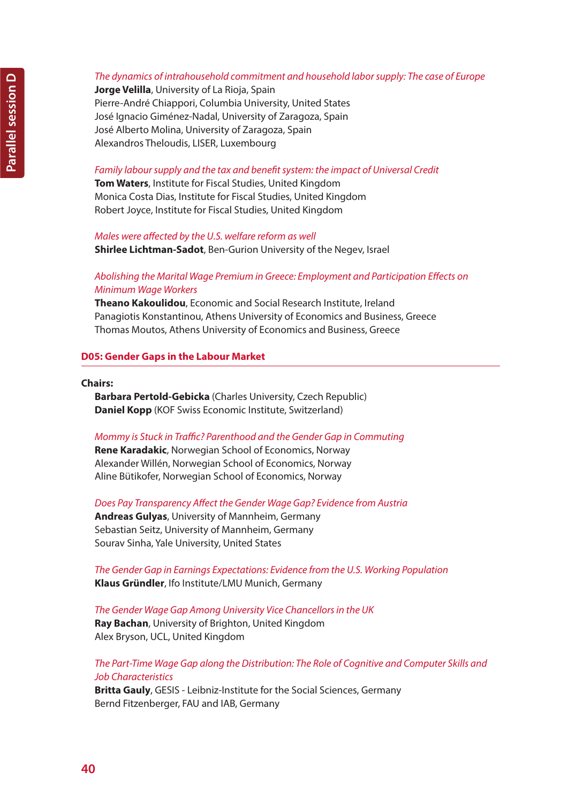# *The dynamics of intrahousehold commitment and household labor supply: The case of Europe*

**Jorge Velilla**, University of La Rioja, Spain Pierre-André Chiappori, Columbia University, United States José Ignacio Giménez-Nadal, University of Zaragoza, Spain José Alberto Molina, University of Zaragoza, Spain Alexandros Theloudis, LISER, Luxembourg

#### *Family labour supply and the tax and benefit system: the impact of Universal Credit*

**Tom Waters**, Institute for Fiscal Studies, United Kingdom Monica Costa Dias, Institute for Fiscal Studies, United Kingdom Robert Joyce, Institute for Fiscal Studies, United Kingdom

#### *Males were affected by the U.S. welfare reform as well*

**Shirlee Lichtman-Sadot**, Ben-Gurion University of the Negev, Israel

# *Abolishing the Marital Wage Premium in Greece: Employment and Participation Effects on Minimum Wage Workers*

**Theano Kakoulidou**, Economic and Social Research Institute, Ireland Panagiotis Konstantinou, Athens University of Economics and Business, Greece Thomas Moutos, Athens University of Economics and Business, Greece

### **D05: Gender Gaps in the Labour Market**

#### **Chairs:**

**Barbara Pertold-Gebicka** (Charles University, Czech Republic) **Daniel Kopp** (KOF Swiss Economic Institute, Switzerland)

### *Mommy is Stuck in Traffic? Parenthood and the Gender Gap in Commuting*

**Rene Karadakic**, Norwegian School of Economics, Norway Alexander Willén, Norwegian School of Economics, Norway Aline Bütikofer, Norwegian School of Economics, Norway

*Does Pay Transparency Affect the Gender Wage Gap? Evidence from Austria* **Andreas Gulyas**, University of Mannheim, Germany Sebastian Seitz, University of Mannheim, Germany

Sourav Sinha, Yale University, United States

*The Gender Gap in Earnings Expectations: Evidence from the U.S. Working Population* **Klaus Gründler**, Ifo Institute/LMU Munich, Germany

*The Gender Wage Gap Among University Vice Chancellors in the UK* **Ray Bachan**, University of Brighton, United Kingdom Alex Bryson, UCL, United Kingdom

# *The Part-Time Wage Gap along the Distribution: The Role of Cognitive and Computer Skills and Job Characteristics*

**Britta Gauly**, GESIS - Leibniz-Institute for the Social Sciences, Germany Bernd Fitzenberger, FAU and IAB, Germany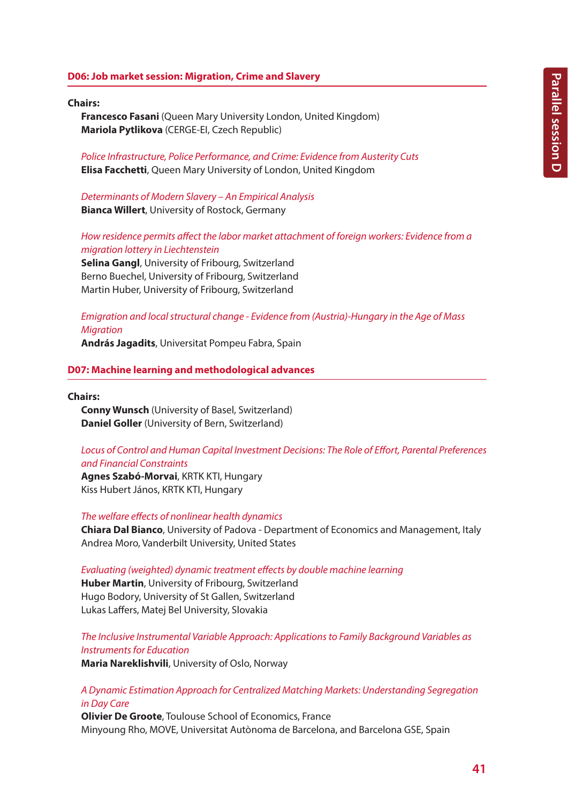## **D06: Job market session: Migration, Crime and Slavery**

#### **Chairs:**

**Francesco Fasani** (Queen Mary University London, United Kingdom) **Mariola Pytlikova** (CERGE-EI, Czech Republic)

*Police Infrastructure, Police Performance, and Crime: Evidence from Austerity Cuts* **Elisa Facchetti**, Queen Mary University of London, United Kingdom

*Determinants of Modern Slavery – An Empirical Analysis* **Bianca Willert**, University of Rostock, Germany

*How residence permits affect the labor market attachment of foreign workers: Evidence from a migration lottery in Liechtenstein*

**Selina Gangl**, University of Fribourg, Switzerland Berno Buechel, University of Fribourg, Switzerland Martin Huber, University of Fribourg, Switzerland

*Emigration and local structural change - Evidence from (Austria)-Hungary in the Age of Mass Migration*

**András Jagadits**, Universitat Pompeu Fabra, Spain

# **D07: Machine learning and methodological advances**

**Chairs:**

**Conny Wunsch** (University of Basel, Switzerland) **Daniel Goller** (University of Bern, Switzerland)

# *Locus of Control and Human Capital Investment Decisions: The Role of Effort, Parental Preferences and Financial Constraints*

**Agnes Szabó-Morvai**, KRTK KTI, Hungary Kiss Hubert János, KRTK KTI, Hungary

*The welfare effects of nonlinear health dynamics*

**Chiara Dal Bianco**, University of Padova - Department of Economics and Management, Italy Andrea Moro, Vanderbilt University, United States

*Evaluating (weighted) dynamic treatment effects by double machine learning*

**Huber Martin**, University of Fribourg, Switzerland Hugo Bodory, University of St Gallen, Switzerland Lukas Laffers, Matej Bel University, Slovakia

*The Inclusive Instrumental Variable Approach: Applications to Family Background Variables as Instruments for Education*

**Maria Nareklishvili**, University of Oslo, Norway

*A Dynamic Estimation Approach for Centralized Matching Markets: Understanding Segregation in Day Care*

**Olivier De Groote**, Toulouse School of Economics, France Minyoung Rho, MOVE, Universitat Autònoma de Barcelona, and Barcelona GSE, Spain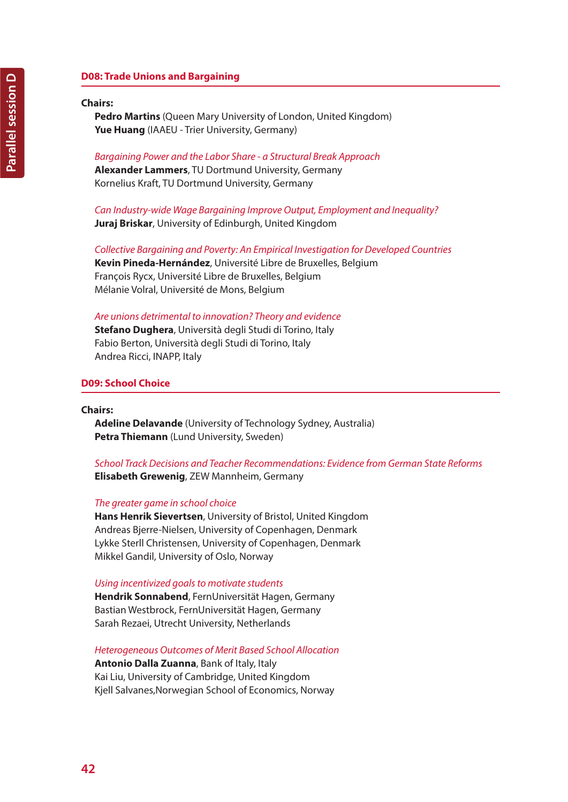# **D08: Trade Unions and Bargaining**

# **Chairs:**

**Pedro Martins** (Queen Mary University of London, United Kingdom) **Yue Huang** (IAAEU - Trier University, Germany)

*Bargaining Power and the Labor Share - a Structural Break Approach* **Alexander Lammers**, TU Dortmund University, Germany Kornelius Kraft, TU Dortmund University, Germany

*Can Industry-wide Wage Bargaining Improve Output, Employment and Inequality?* **Juraj Briskar**, University of Edinburgh, United Kingdom

*Collective Bargaining and Poverty: An Empirical Investigation for Developed Countries* **Kevin Pineda-Hernández**, Université Libre de Bruxelles, Belgium François Rycx, Université Libre de Bruxelles, Belgium Mélanie Volral, Université de Mons, Belgium

*Are unions detrimental to innovation? Theory and evidence*

**Stefano Dughera**, Università degli Studi di Torino, Italy Fabio Berton, Università degli Studi di Torino, Italy Andrea Ricci, INAPP, Italy

### **D09: School Choice**

**Chairs:**

**Adeline Delavande** (University of Technology Sydney, Australia) **Petra Thiemann** (Lund University, Sweden)

*School Track Decisions and Teacher Recommendations: Evidence from German State Reforms* **Elisabeth Grewenig**, ZEW Mannheim, Germany

#### *The greater game in school choice*

**Hans Henrik Sievertsen**, University of Bristol, United Kingdom Andreas Bjerre-Nielsen, University of Copenhagen, Denmark Lykke Sterll Christensen, University of Copenhagen, Denmark Mikkel Gandil, University of Oslo, Norway

#### *Using incentivized goals to motivate students*

**Hendrik Sonnabend**, FernUniversität Hagen, Germany Bastian Westbrock, FernUniversität Hagen, Germany Sarah Rezaei, Utrecht University, Netherlands

*Heterogeneous Outcomes of Merit Based School Allocation*

**Antonio Dalla Zuanna**, Bank of Italy, Italy Kai Liu, University of Cambridge, United Kingdom Kjell Salvanes,Norwegian School of Economics, Norway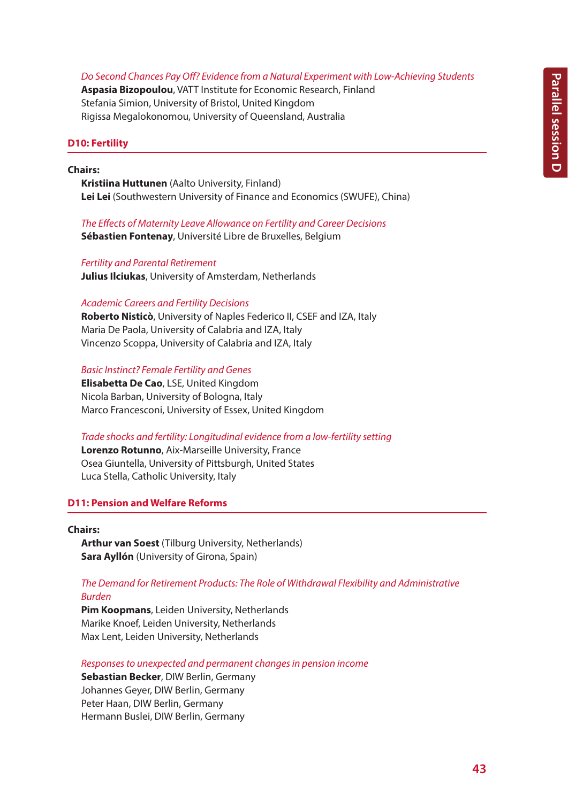#### *Do Second Chances Pay Off? Evidence from a Natural Experiment with Low-Achieving Students*

**Aspasia Bizopoulou**, VATT Institute for Economic Research, Finland Stefania Simion, University of Bristol, United Kingdom Rigissa Megalokonomou, University of Queensland, Australia

#### **D10: Fertility**

#### **Chairs:**

**Kristiina Huttunen** (Aalto University, Finland) **Lei Lei** (Southwestern University of Finance and Economics (SWUFE), China)

*The Effects of Maternity Leave Allowance on Fertility and Career Decisions* **Sébastien Fontenay**, Université Libre de Bruxelles, Belgium

#### *Fertility and Parental Retirement*

**Julius Ilciukas**, University of Amsterdam, Netherlands

#### *Academic Careers and Fertility Decisions*

**Roberto Nisticò**, University of Naples Federico II, CSEF and IZA, Italy Maria De Paola, University of Calabria and IZA, Italy Vincenzo Scoppa, University of Calabria and IZA, Italy

# *Basic Instinct? Female Fertility and Genes*

**Elisabetta De Cao**, LSE, United Kingdom Nicola Barban, University of Bologna, Italy Marco Francesconi, University of Essex, United Kingdom

#### *Trade shocks and fertility: Longitudinal evidence from a low-fertility setting*

**Lorenzo Rotunno**, Aix-Marseille University, France Osea Giuntella, University of Pittsburgh, United States Luca Stella, Catholic University, Italy

# **D11: Pension and Welfare Reforms**

#### **Chairs:**

**Arthur van Soest** (Tilburg University, Netherlands) **Sara Ayllón** (University of Girona, Spain)

### *The Demand for Retirement Products: The Role of Withdrawal Flexibility and Administrative Burden*

**Pim Koopmans**, Leiden University, Netherlands Marike Knoef, Leiden University, Netherlands Max Lent, Leiden University, Netherlands

*Responses to unexpected and permanent changes in pension income*

**Sebastian Becker**, DIW Berlin, Germany Johannes Geyer, DIW Berlin, Germany Peter Haan, DIW Berlin, Germany Hermann Buslei, DIW Berlin, Germany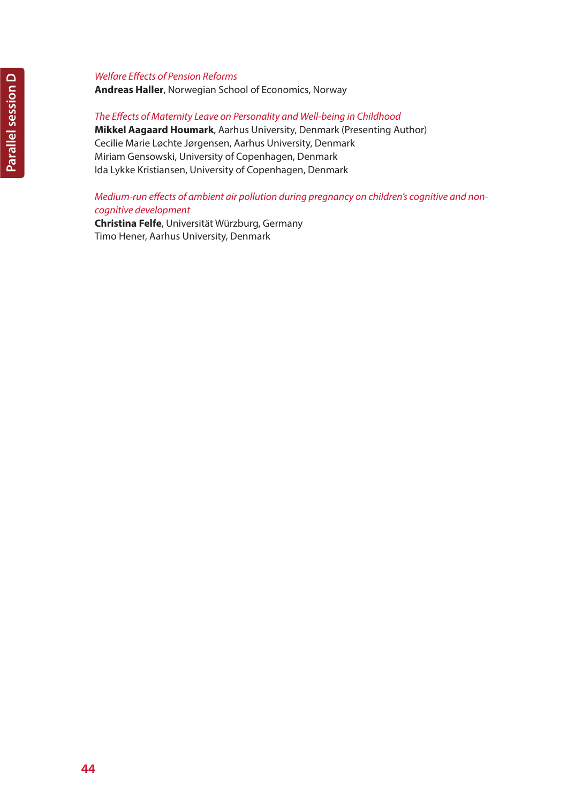# *Welfare Effects of Pension Reforms*

**Andreas Haller**, Norwegian School of Economics, Norway

# *The Effects of Maternity Leave on Personality and Well-being in Childhood*

**Mikkel Aagaard Houmark**, Aarhus University, Denmark (Presenting Author) Cecilie Marie Løchte Jørgensen, Aarhus University, Denmark Miriam Gensowski, University of Copenhagen, Denmark Ida Lykke Kristiansen, University of Copenhagen, Denmark

# *Medium-run effects of ambient air pollution during pregnancy on children's cognitive and noncognitive development*

**Christina Felfe**, Universität Würzburg, Germany Timo Hener, Aarhus University, Denmark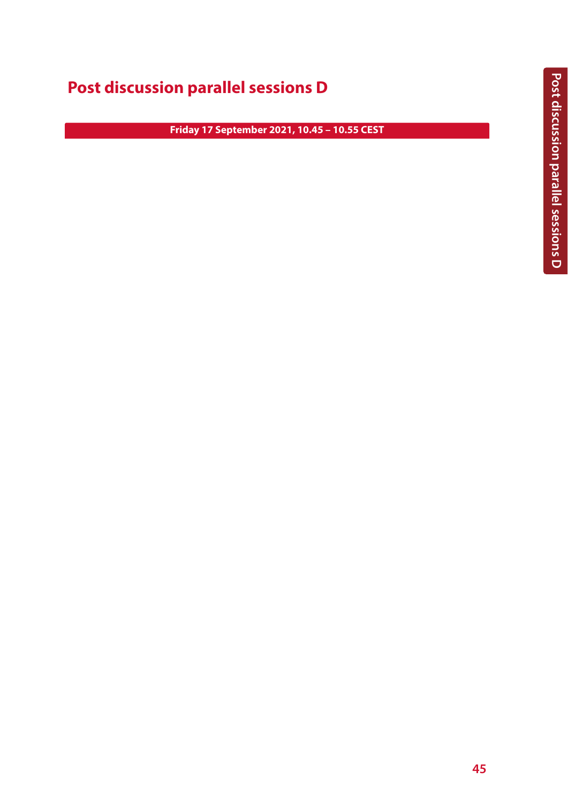# **Post discussion parallel sessions D**

**Friday 17 September 2021, 10.45 – 10.55 CEST**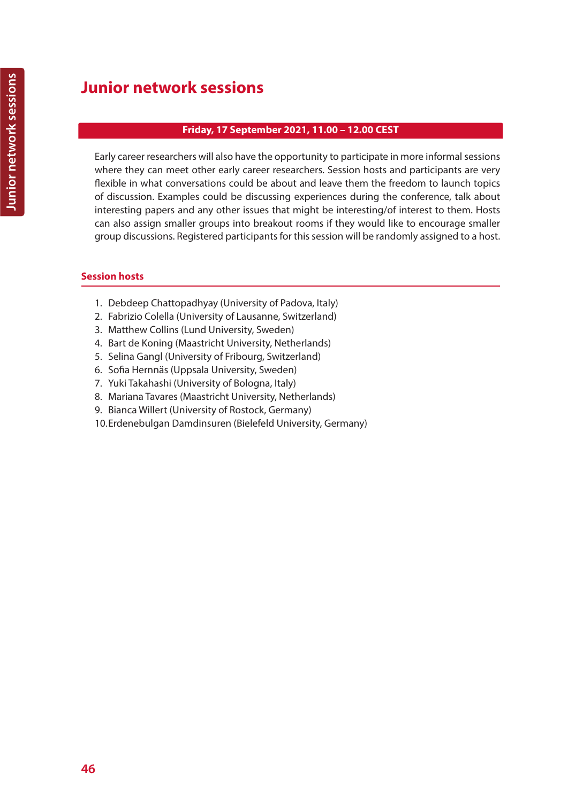# **Junior network sessions**

# **Friday, 17 September 2021, 11.00 – 12.00 CEST**

Early career researchers will also have the opportunity to participate in more informal sessions where they can meet other early career researchers. Session hosts and participants are very flexible in what conversations could be about and leave them the freedom to launch topics of discussion. Examples could be discussing experiences during the conference, talk about interesting papers and any other issues that might be interesting/of interest to them. Hosts can also assign smaller groups into breakout rooms if they would like to encourage smaller group discussions. Registered participants for this session will be randomly assigned to a host.

# **Session hosts**

- 1. Debdeep Chattopadhyay (University of Padova, Italy)
- 2. Fabrizio Colella (University of Lausanne, Switzerland)
- 3. Matthew Collins (Lund University, Sweden)
- 4. Bart de Koning (Maastricht University, Netherlands)
- 5. Selina Gangl (University of Fribourg, Switzerland)
- 6. Sofia Hernnäs (Uppsala University, Sweden)
- 7. Yuki Takahashi (University of Bologna, Italy)
- 8. Mariana Tavares (Maastricht University, Netherlands)
- 9. Bianca Willert (University of Rostock, Germany)
- 10.Erdenebulgan Damdinsuren (Bielefeld University, Germany)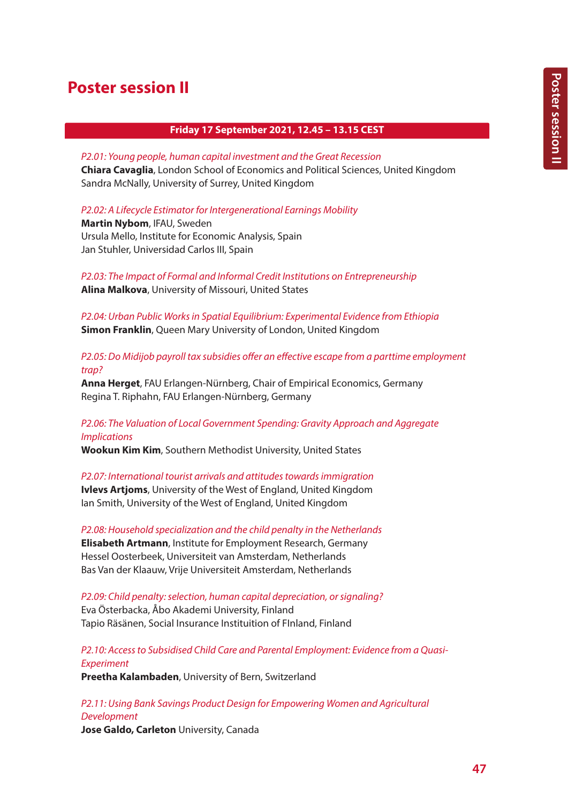# **Poster session II**

# **Friday 17 September 2021, 12.45 – 13.15 CEST**

*P2.01: Young people, human capital investment and the Great Recession*

**Chiara Cavaglia**, London School of Economics and Political Sciences, United Kingdom Sandra McNally, University of Surrey, United Kingdom

*P2.02: A Lifecycle Estimator for Intergenerational Earnings Mobility*

**Martin Nybom**, IFAU, Sweden Ursula Mello, Institute for Economic Analysis, Spain Jan Stuhler, Universidad Carlos III, Spain

*P2.03: The Impact of Formal and Informal Credit Institutions on Entrepreneurship* **Alina Malkova**, University of Missouri, United States

*P2.04: Urban Public Works in Spatial Equilibrium: Experimental Evidence from Ethiopia* **Simon Franklin**, Queen Mary University of London, United Kingdom

*P2.05: Do Midijob payroll tax subsidies offer an effective escape from a parttime employment trap?*

**Anna Herget**, FAU Erlangen-Nürnberg, Chair of Empirical Economics, Germany Regina T. Riphahn, FAU Erlangen-Nürnberg, Germany

# *P2.06: The Valuation of Local Government Spending: Gravity Approach and Aggregate Implications*

**Wookun Kim Kim**, Southern Methodist University, United States

*P2.07: International tourist arrivals and attitudes towards immigration* **Ivlevs Artjoms**, University of the West of England, United Kingdom Ian Smith, University of the West of England, United Kingdom

*P2.08: Household specialization and the child penalty in the Netherlands* **Elisabeth Artmann**, Institute for Employment Research, Germany Hessel Oosterbeek, Universiteit van Amsterdam, Netherlands Bas Van der Klaauw, Vrije Universiteit Amsterdam, Netherlands

*P2.09: Child penalty: selection, human capital depreciation, or signaling?* Eva Österbacka, Åbo Akademi University, Finland Tapio Räsänen, Social Insurance Instituition of FInland, Finland

*P2.10: Access to Subsidised Child Care and Parental Employment: Evidence from a Quasi-Experiment*

**Preetha Kalambaden**, University of Bern, Switzerland

*P2.11: Using Bank Savings Product Design for Empowering Women and Agricultural Development* **Jose Galdo, Carleton** University, Canada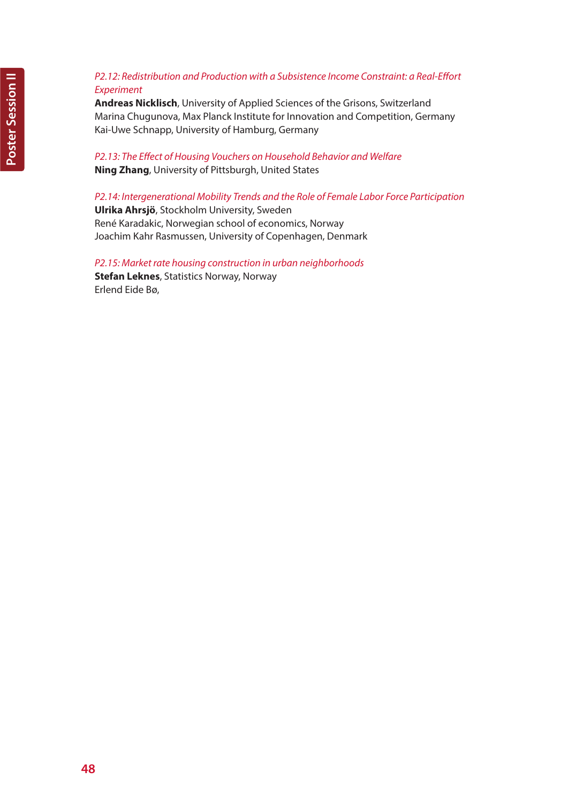# *P2.12: Redistribution and Production with a Subsistence Income Constraint: a Real-Effort Experiment*

**Andreas Nicklisch**, University of Applied Sciences of the Grisons, Switzerland Marina Chugunova, Max Planck Institute for Innovation and Competition, Germany Kai-Uwe Schnapp, University of Hamburg, Germany

# *P2.13: The Effect of Housing Vouchers on Household Behavior and Welfare* **Ning Zhang**, University of Pittsburgh, United States

*P2.14: Intergenerational Mobility Trends and the Role of Female Labor Force Participation* **Ulrika Ahrsjö**, Stockholm University, Sweden René Karadakic, Norwegian school of economics, Norway Joachim Kahr Rasmussen, University of Copenhagen, Denmark

*P2.15: Market rate housing construction in urban neighborhoods* **Stefan Leknes**, Statistics Norway, Norway Erlend Eide Bø,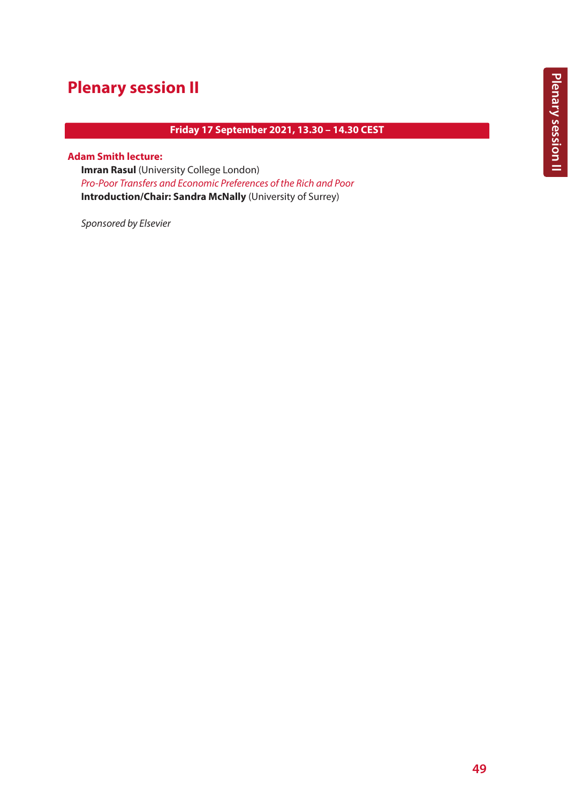# **Plenary session II**

# **Friday 17 September 2021, 13.30 – 14.30 CEST**

#### **Adam Smith lecture:**

**Imran Rasul** (University College London) *Pro-Poor Transfers and Economic Preferences of the Rich and Poor* **Introduction/Chair: Sandra McNally** (University of Surrey)

*Sponsored by Elsevier*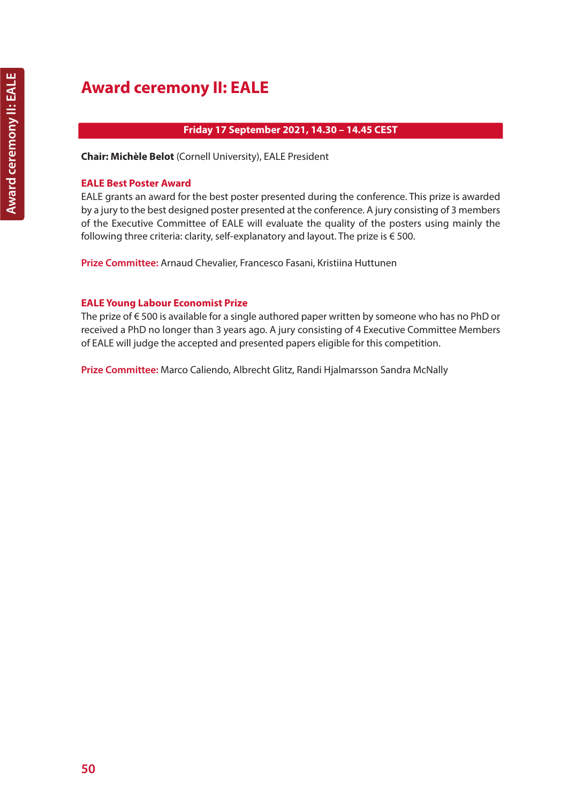# **Friday 17 September 2021, 14.30 – 14.45 CEST**

**Chair: Michèle Belot** (Cornell University), EALE President

# **EALE Best Poster Award**

EALE grants an award for the best poster presented during the conference. This prize is awarded by a jury to the best designed poster presented at the conference. A jury consisting of 3 members of the Executive Committee of EALE will evaluate the quality of the posters using mainly the following three criteria: clarity, self-explanatory and layout. The prize is  $\epsilon$  500.

**Prize Committee:** Arnaud Chevalier, Francesco Fasani, Kristiina Huttunen

# **EALE Young Labour Economist Prize**

The prize of € 500 is available for a single authored paper written by someone who has no PhD or received a PhD no longer than 3 years ago. A jury consisting of 4 Executive Committee Members of EALE will judge the accepted and presented papers eligible for this competition.

**Prize Committee:** Marco Caliendo, Albrecht Glitz, Randi Hjalmarsson Sandra McNally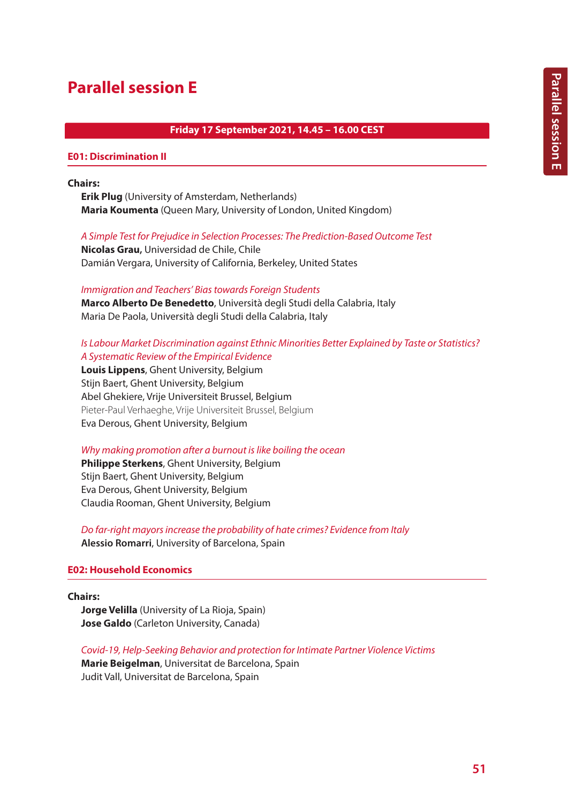# **Parallel session E**

# **Friday 17 September 2021, 14.45 – 16.00 CEST**

### **E01: Discrimination II**

### **Chairs:**

**Erik Plug** (University of Amsterdam, Netherlands) **Maria Koumenta** (Queen Mary, University of London, United Kingdom)

#### *A Simple Test for Prejudice in Selection Processes: The Prediction-Based Outcome Test*

**Nicolas Grau,** Universidad de Chile, Chile Damián Vergara, University of California, Berkeley, United States

#### *Immigration and Teachers' Bias towards Foreign Students*

**Marco Alberto De Benedetto**, Università degli Studi della Calabria, Italy Maria De Paola, Università degli Studi della Calabria, Italy

# *Is Labour Market Discrimination against Ethnic Minorities Better Explained by Taste or Statistics? A Systematic Review of the Empirical Evidence*

**Louis Lippens**, Ghent University, Belgium Stijn Baert, Ghent University, Belgium Abel Ghekiere, Vrije Universiteit Brussel, Belgium Pieter-Paul Verhaeghe, Vrije Universiteit Brussel, Belgium Eva Derous, Ghent University, Belgium

### *Why making promotion after a burnout is like boiling the ocean*

**Philippe Sterkens**, Ghent University, Belgium Stijn Baert, Ghent University, Belgium Eva Derous, Ghent University, Belgium Claudia Rooman, Ghent University, Belgium

*Do far-right mayors increase the probability of hate crimes? Evidence from Italy* **Alessio Romarri**, University of Barcelona, Spain

### **E02: Household Economics**

#### **Chairs:**

**Jorge Velilla** (University of La Rioja, Spain) **Jose Galdo** (Carleton University, Canada)

*Covid-19, Help-Seeking Behavior and protection for Intimate Partner Violence Victims*

**Marie Beigelman**, Universitat de Barcelona, Spain Judit Vall, Universitat de Barcelona, Spain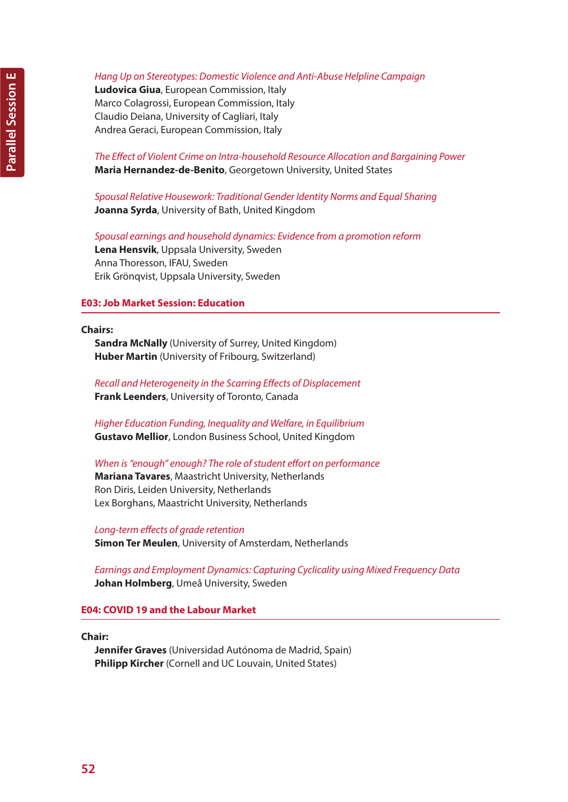*Hang Up on Stereotypes: Domestic Violence and Anti-Abuse Helpline Campaign*

**Ludovica Giua**, European Commission, Italy Marco Colagrossi, European Commission, Italy Claudio Deiana, University of Cagliari, Italy Andrea Geraci, European Commission, Italy

*The Effect of Violent Crime on Intra-household Resource Allocation and Bargaining Power* **Maria Hernandez-de-Benito**, Georgetown University, United States

*Spousal Relative Housework: Traditional Gender Identity Norms and Equal Sharing* **Joanna Syrda**, University of Bath, United Kingdom

*Spousal earnings and household dynamics: Evidence from a promotion reform* **Lena Hensvik**, Uppsala University, Sweden Anna Thoresson, IFAU, Sweden Erik Grönqvist, Uppsala University, Sweden

# **E03: Job Market Session: Education**

**Chairs:**

**Sandra McNally** (University of Surrey, United Kingdom) **Huber Martin** (University of Fribourg, Switzerland)

*Recall and Heterogeneity in the Scarring Effects of Displacement* **Frank Leenders**, University of Toronto, Canada

*Higher Education Funding, Inequality and Welfare, in Equilibrium* **Gustavo Mellior**, London Business School, United Kingdom

*When is "enough" enough? The role of student effort on performance* **Mariana Tavares**, Maastricht University, Netherlands Ron Diris, Leiden University, Netherlands Lex Borghans, Maastricht University, Netherlands

*Long-term effects of grade retention* **Simon Ter Meulen**, University of Amsterdam, Netherlands

*Earnings and Employment Dynamics: Capturing Cyclicality using Mixed Frequency Data* **Johan Holmberg**, Umeå University, Sweden

### **E04: COVID 19 and the Labour Market**

**Chair:**

**Jennifer Graves** (Universidad Autónoma de Madrid, Spain) **Philipp Kircher** (Cornell and UC Louvain, United States)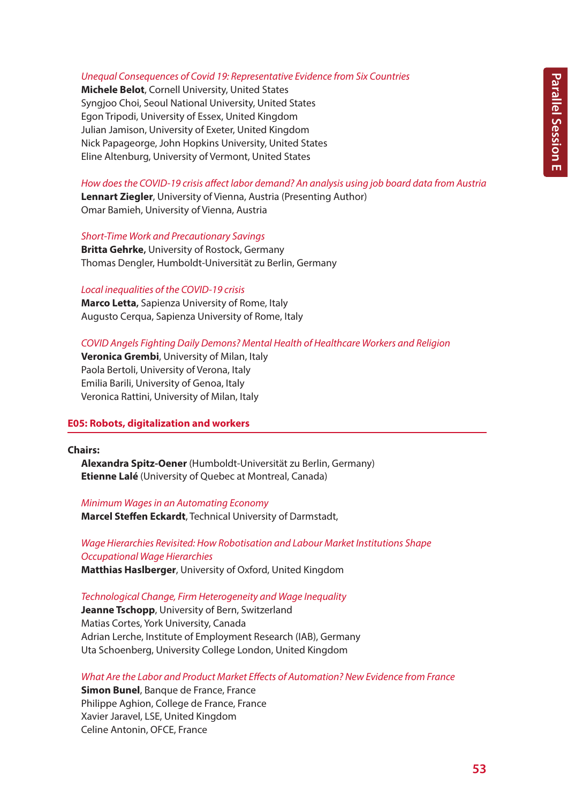#### *Unequal Consequences of Covid 19: Representative Evidence from Six Countries*

**Michele Belot**, Cornell University, United States Syngjoo Choi, Seoul National University, United States Egon Tripodi, University of Essex, United Kingdom Julian Jamison, University of Exeter, United Kingdom Nick Papageorge, John Hopkins University, United States Eline Altenburg, University of Vermont, United States

*How does the COVID-19 crisis affect labor demand? An analysis using job board data from Austria*

**Lennart Ziegler**, University of Vienna, Austria (Presenting Author) Omar Bamieh, University of Vienna, Austria

*Short-Time Work and Precautionary Savings*

**Britta Gehrke,** University of Rostock, Germany Thomas Dengler, Humboldt-Universität zu Berlin, Germany

*Local inequalities of the COVID-19 crisis*

**Marco Letta,** Sapienza University of Rome, Italy Augusto Cerqua, Sapienza University of Rome, Italy

# *COVID Angels Fighting Daily Demons? Mental Health of Healthcare Workers and Religion*

**Veronica Grembi**, University of Milan, Italy Paola Bertoli, University of Verona, Italy Emilia Barili, University of Genoa, Italy Veronica Rattini, University of Milan, Italy

# **E05: Robots, digitalization and workers**

**Chairs:**

**Alexandra Spitz-Oener** (Humboldt-Universität zu Berlin, Germany) **Etienne Lalé** (University of Quebec at Montreal, Canada)

*Minimum Wages in an Automating Economy* **Marcel Steffen Eckardt**, Technical University of Darmstadt,

*Wage Hierarchies Revisited: How Robotisation and Labour Market Institutions Shape Occupational Wage Hierarchies* **Matthias Haslberger**, University of Oxford, United Kingdom

*Technological Change, Firm Heterogeneity and Wage Inequality*

**Jeanne Tschopp**, University of Bern, Switzerland Matias Cortes, York University, Canada Adrian Lerche, Institute of Employment Research (IAB), Germany Uta Schoenberg, University College London, United Kingdom

*What Are the Labor and Product Market Effects of Automation? New Evidence from France*

**Simon Bunel**, Banque de France, France Philippe Aghion, College de France, France Xavier Jaravel, LSE, United Kingdom Celine Antonin, OFCE, France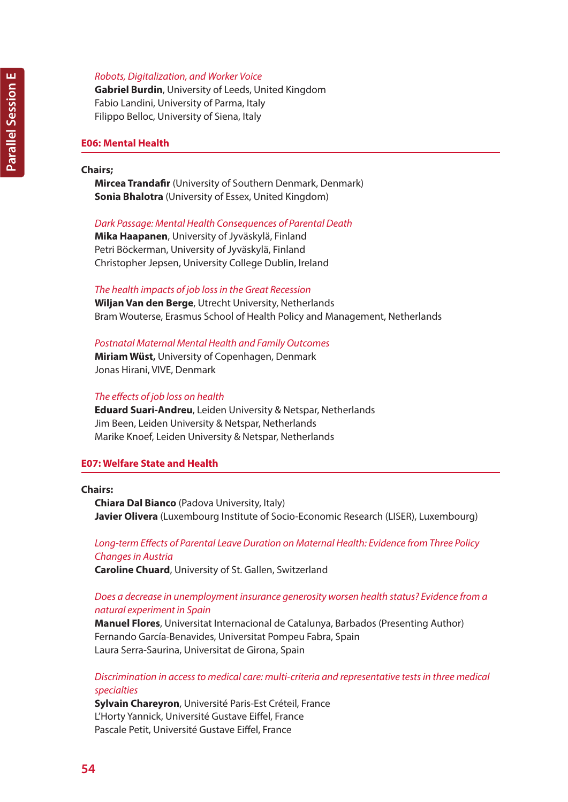# *Robots, Digitalization, and Worker Voice*

**Gabriel Burdin**, University of Leeds, United Kingdom Fabio Landini, University of Parma, Italy Filippo Belloc, University of Siena, Italy

### **E06: Mental Health**

#### **Chairs;**

**Mircea Trandafir** (University of Southern Denmark, Denmark) **Sonia Bhalotra** (University of Essex, United Kingdom)

### *Dark Passage: Mental Health Consequences of Parental Death*

**Mika Haapanen**, University of Jyväskylä, Finland Petri Böckerman, University of Jyväskylä, Finland Christopher Jepsen, University College Dublin, Ireland

### *The health impacts of job loss in the Great Recession*

**Wiljan Van den Berge**, Utrecht University, Netherlands Bram Wouterse, Erasmus School of Health Policy and Management, Netherlands

*Postnatal Maternal Mental Health and Family Outcomes* **Miriam Wüst,** University of Copenhagen, Denmark

Jonas Hirani, VIVE, Denmark

### *The effects of job loss on health*

**Eduard Suari-Andreu**, Leiden University & Netspar, Netherlands Jim Been, Leiden University & Netspar, Netherlands Marike Knoef, Leiden University & Netspar, Netherlands

# **E07: Welfare State and Health**

### **Chairs:**

**Chiara Dal Bianco** (Padova University, Italy) **Javier Olivera** (Luxembourg Institute of Socio-Economic Research (LISER), Luxembourg)

# *Long-term Effects of Parental Leave Duration on Maternal Health: Evidence from Three Policy Changes in Austria*

**Caroline Chuard**, University of St. Gallen, Switzerland

# *Does a decrease in unemployment insurance generosity worsen health status? Evidence from a natural experiment in Spain*

**Manuel Flores**, Universitat Internacional de Catalunya, Barbados (Presenting Author) Fernando García-Benavides, Universitat Pompeu Fabra, Spain Laura Serra-Saurina, Universitat de Girona, Spain

# *Discrimination in access to medical care: multi-criteria and representative tests in three medical specialties*

**Sylvain Chareyron**, Université Paris-Est Créteil, France L'Horty Yannick, Université Gustave Eiffel, France Pascale Petit, Université Gustave Eiffel, France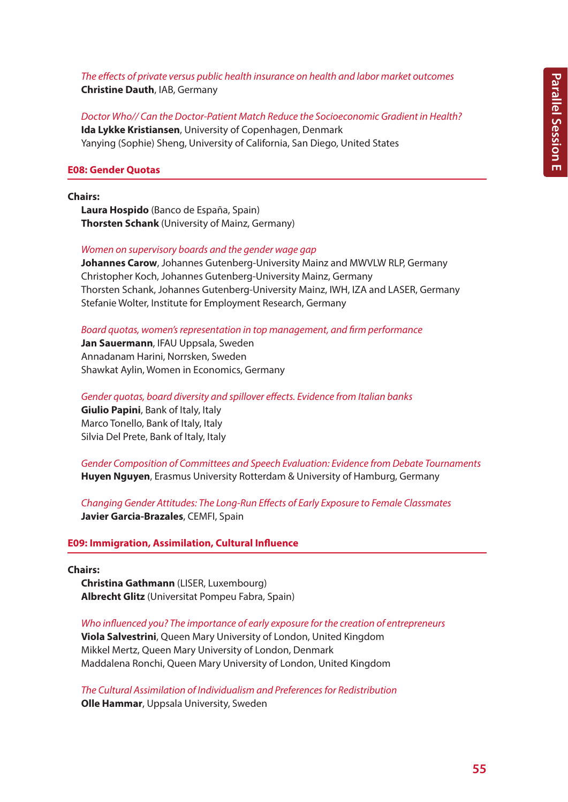*The effects of private versus public health insurance on health and labor market outcomes* **Christine Dauth**, IAB, Germany

*Doctor Who// Can the Doctor-Patient Match Reduce the Socioeconomic Gradient in Health?* **Ida Lykke Kristiansen**, University of Copenhagen, Denmark Yanying (Sophie) Sheng, University of California, San Diego, United States

#### **E08: Gender Quotas**

#### **Chairs:**

**Laura Hospido** (Banco de España, Spain) **Thorsten Schank** (University of Mainz, Germany)

*Women on supervisory boards and the gender wage gap*

**Johannes Carow**, Johannes Gutenberg-University Mainz and MWVLW RLP, Germany Christopher Koch, Johannes Gutenberg-University Mainz, Germany Thorsten Schank, Johannes Gutenberg-University Mainz, IWH, IZA and LASER, Germany Stefanie Wolter, Institute for Employment Research, Germany

*Board quotas, women's representation in top management, and firm performance*

**Jan Sauermann**, IFAU Uppsala, Sweden Annadanam Harini, Norrsken, Sweden Shawkat Aylin, Women in Economics, Germany

*Gender quotas, board diversity and spillover effects. Evidence from Italian banks* **Giulio Papini**, Bank of Italy, Italy Marco Tonello, Bank of Italy, Italy Silvia Del Prete, Bank of Italy, Italy

*Gender Composition of Committees and Speech Evaluation: Evidence from Debate Tournaments* **Huyen Nguyen**, Erasmus University Rotterdam & University of Hamburg, Germany

*Changing Gender Attitudes: The Long-Run Effects of Early Exposure to Female Classmates* **Javier Garcia-Brazales**, CEMFI, Spain

#### **E09: Immigration, Assimilation, Cultural Influence**

#### **Chairs:**

**Christina Gathmann** (LISER, Luxembourg) **Albrecht Glitz** (Universitat Pompeu Fabra, Spain)

*Who influenced you? The importance of early exposure for the creation of entrepreneurs*

**Viola Salvestrini**, Queen Mary University of London, United Kingdom Mikkel Mertz, Queen Mary University of London, Denmark Maddalena Ronchi, Queen Mary University of London, United Kingdom

*The Cultural Assimilation of Individualism and Preferences for Redistribution* **Olle Hammar**, Uppsala University, Sweden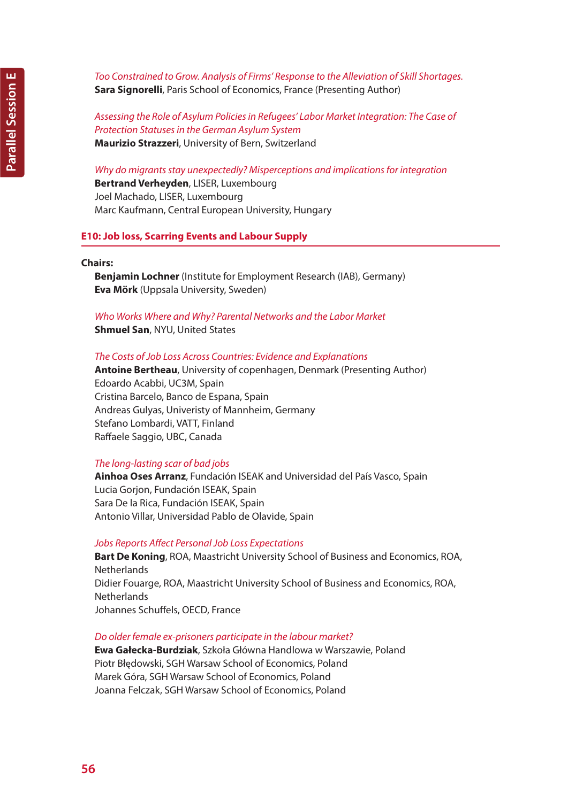*Too Constrained to Grow. Analysis of Firms' Response to the Alleviation of Skill Shortages.* **Sara Signorelli**, Paris School of Economics, France (Presenting Author)

*Assessing the Role of Asylum Policies in Refugees' Labor Market Integration: The Case of Protection Statuses in the German Asylum System* **Maurizio Strazzeri**, University of Bern, Switzerland

#### *Why do migrants stay unexpectedly? Misperceptions and implications for integration*

**Bertrand Verheyden**, LISER, Luxembourg Joel Machado, LISER, Luxembourg Marc Kaufmann, Central European University, Hungary

### **E10: Job loss, Scarring Events and Labour Supply**

#### **Chairs:**

**Benjamin Lochner** (Institute for Employment Research (IAB), Germany) **Eva Mörk** (Uppsala University, Sweden)

### *Who Works Where and Why? Parental Networks and the Labor Market* **Shmuel San**, NYU, United States

#### *The Costs of Job Loss Across Countries: Evidence and Explanations*

**Antoine Bertheau**, University of copenhagen, Denmark (Presenting Author) Edoardo Acabbi, UC3M, Spain Cristina Barcelo, Banco de Espana, Spain Andreas Gulyas, Univeristy of Mannheim, Germany Stefano Lombardi, VATT, Finland Raffaele Saggio, UBC, Canada

### *The long-lasting scar of bad jobs*

**Ainhoa Oses Arranz**, Fundación ISEAK and Universidad del País Vasco, Spain Lucia Gorjon, Fundación ISEAK, Spain Sara De la Rica, Fundación ISEAK, Spain Antonio Villar, Universidad Pablo de Olavide, Spain

#### *Jobs Reports Affect Personal Job Loss Expectations*

**Bart De Koning**, ROA, Maastricht University School of Business and Economics, ROA, **Netherlands** Didier Fouarge, ROA, Maastricht University School of Business and Economics, ROA, **Netherlands** Johannes Schuffels, OECD, France

#### *Do older female ex-prisoners participate in the labour market?*

**Ewa Gałecka-Burdziak**, Szkoła Główna Handlowa w Warszawie, Poland Piotr Błędowski, SGH Warsaw School of Economics, Poland Marek Góra, SGH Warsaw School of Economics, Poland Joanna Felczak, SGH Warsaw School of Economics, Poland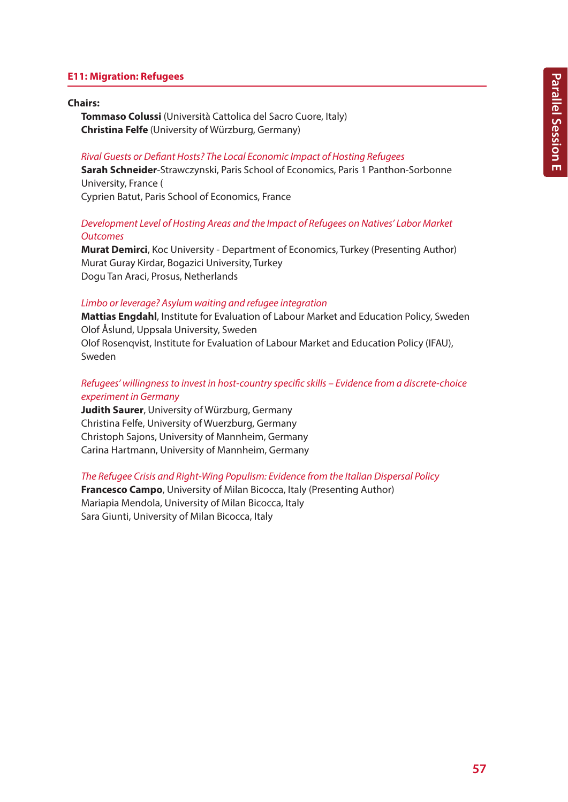## **E11: Migration: Refugees**

#### **Chairs:**

**Tommaso Colussi** (Università Cattolica del Sacro Cuore, Italy) **Christina Felfe** (University of Würzburg, Germany)

#### *Rival Guests or Defiant Hosts? The Local Economic Impact of Hosting Refugees*

**Sarah Schneider**-Strawczynski, Paris School of Economics, Paris 1 Panthon-Sorbonne University, France ( Cyprien Batut, Paris School of Economics, France

# *Development Level of Hosting Areas and the Impact of Refugees on Natives' Labor Market Outcomes*

**Murat Demirci**, Koc University - Department of Economics, Turkey (Presenting Author) Murat Guray Kirdar, Bogazici University, Turkey Dogu Tan Araci, Prosus, Netherlands

#### *Limbo or leverage? Asylum waiting and refugee integration*

**Mattias Engdahl**, Institute for Evaluation of Labour Market and Education Policy, Sweden Olof Åslund, Uppsala University, Sweden Olof Rosenqvist, Institute for Evaluation of Labour Market and Education Policy (IFAU), Sweden

# *Refugees' willingness to invest in host-country specific skills – Evidence from a discrete-choice experiment in Germany*

**Judith Saurer**, University of Würzburg, Germany Christina Felfe, University of Wuerzburg, Germany Christoph Sajons, University of Mannheim, Germany Carina Hartmann, University of Mannheim, Germany

*The Refugee Crisis and Right-Wing Populism: Evidence from the Italian Dispersal Policy*

**Francesco Campo**, University of Milan Bicocca, Italy (Presenting Author) Mariapia Mendola, University of Milan Bicocca, Italy Sara Giunti, University of Milan Bicocca, Italy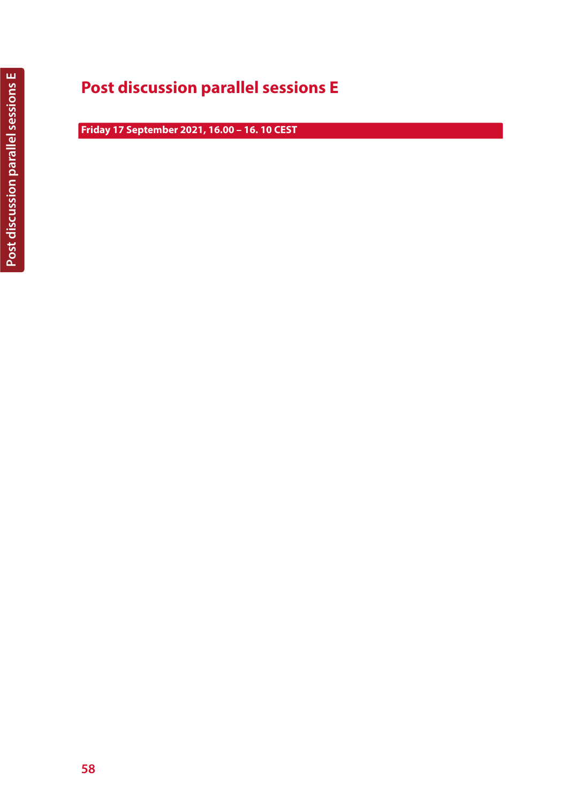# **Post discussion parallel sessions E**

**Friday 17 September 2021, 16.00 – 16. 10 CEST**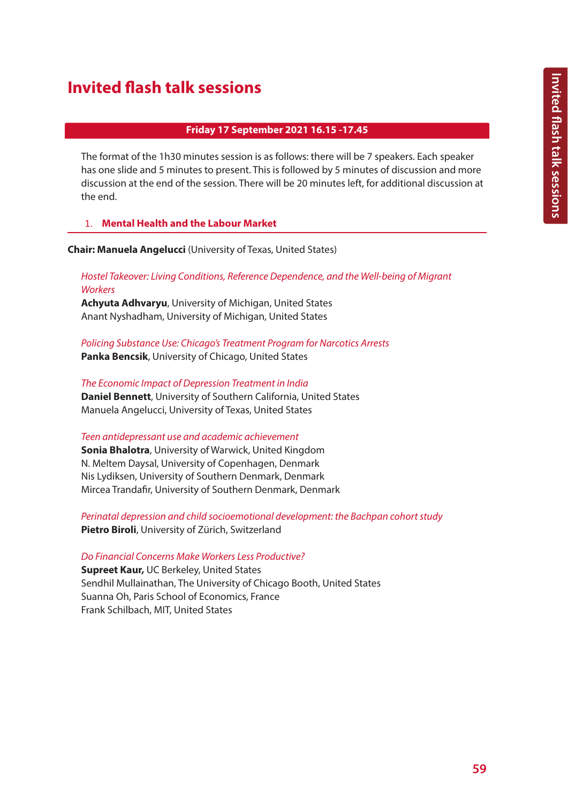# **Invited flash talk sessions**

### **Friday 17 September 2021 16.15 -17.45**

The format of the 1h30 minutes session is as follows: there will be 7 speakers. Each speaker has one slide and 5 minutes to present. This is followed by 5 minutes of discussion and more discussion at the end of the session. There will be 20 minutes left, for additional discussion at the end.

# 1. **Mental Health and the Labour Market**

**Chair: Manuela Angelucci** (University of Texas, United States)

# *Hostel Takeover: Living Conditions, Reference Dependence, and the Well-being of Migrant Workers*

**Achyuta Adhvaryu**, University of Michigan, United States Anant Nyshadham, University of Michigan, United States

*Policing Substance Use: Chicago's Treatment Program for Narcotics Arrests* **Panka Bencsik**, University of Chicago, United States

*The Economic Impact of Depression Treatment in India* **Daniel Bennett**, University of Southern California, United States Manuela Angelucci, University of Texas, United States

### *Teen antidepressant use and academic achievement*

**Sonia Bhalotra**, University of Warwick, United Kingdom N. Meltem Daysal, University of Copenhagen, Denmark Nis Lydiksen, University of Southern Denmark, Denmark Mircea Trandafir, University of Southern Denmark, Denmark

*Perinatal depression and child socioemotional development: the Bachpan cohort study* **Pietro Biroli**, University of Zürich, Switzerland

### *Do Financial Concerns Make Workers Less Productive?*

**Supreet Kaur,** UC Berkeley, United States Sendhil Mullainathan, The University of Chicago Booth, United States Suanna Oh, Paris School of Economics, France Frank Schilbach, MIT, United States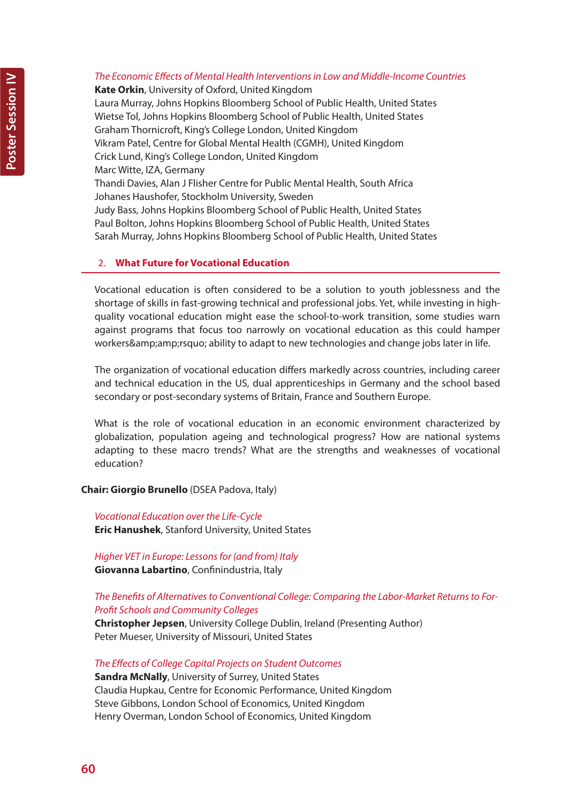# *The Economic Effects of Mental Health Interventions in Low and Middle-Income Countries*

**Kate Orkin**, University of Oxford, United Kingdom Laura Murray, Johns Hopkins Bloomberg School of Public Health, United States Wietse Tol, Johns Hopkins Bloomberg School of Public Health, United States Graham Thornicroft, King's College London, United Kingdom Vikram Patel, Centre for Global Mental Health (CGMH), United Kingdom Crick Lund, King's College London, United Kingdom Marc Witte, IZA, Germany Thandi Davies, Alan J Flisher Centre for Public Mental Health, South Africa Johanes Haushofer, Stockholm University, Sweden Judy Bass, Johns Hopkins Bloomberg School of Public Health, United States Paul Bolton, Johns Hopkins Bloomberg School of Public Health, United States Sarah Murray, Johns Hopkins Bloomberg School of Public Health, United States

# 2. **What Future for Vocational Education**

Vocational education is often considered to be a solution to youth joblessness and the shortage of skills in fast-growing technical and professional jobs. Yet, while investing in highquality vocational education might ease the school-to-work transition, some studies warn against programs that focus too narrowly on vocational education as this could hamper workers& amp; rsquo; ability to adapt to new technologies and change jobs later in life.

The organization of vocational education differs markedly across countries, including career and technical education in the US, dual apprenticeships in Germany and the school based secondary or post-secondary systems of Britain, France and Southern Europe.

What is the role of vocational education in an economic environment characterized by globalization, population ageing and technological progress? How are national systems adapting to these macro trends? What are the strengths and weaknesses of vocational education?

### **Chair: Giorgio Brunello** (DSEA Padova, Italy)

*Vocational Education over the Life-Cycle* **Eric Hanushek**, Stanford University, United States

*Higher VET in Europe: Lessons for (and from) Italy* **Giovanna Labartino**, Confinindustria, Italy

# *The Benefits of Alternatives to Conventional College: Comparing the Labor-Market Returns to For-Profit Schools and Community Colleges*

**Christopher Jepsen**, University College Dublin, Ireland (Presenting Author) Peter Mueser, University of Missouri, United States

*The Effects of College Capital Projects on Student Outcomes* **Sandra McNally**, University of Surrey, United States Claudia Hupkau, Centre for Economic Performance, United Kingdom Steve Gibbons, London School of Economics, United Kingdom Henry Overman, London School of Economics, United Kingdom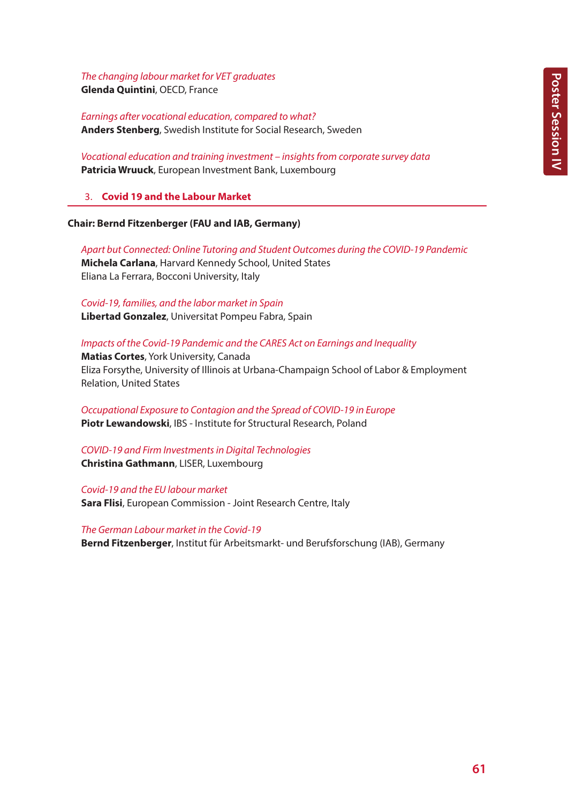*The changing labour market for VET graduates*

**Glenda Quintini**, OECD, France

*Earnings after vocational education, compared to what?* **Anders Stenberg**, Swedish Institute for Social Research, Sweden

*Vocational education and training investment – insights from corporate survey data* **Patricia Wruuck**, European Investment Bank, Luxembourg

3. **Covid 19 and the Labour Market**

# **Chair: Bernd Fitzenberger (FAU and IAB, Germany)**

*Apart but Connected: Online Tutoring and Student Outcomes during the COVID-19 Pandemic* **Michela Carlana**, Harvard Kennedy School, United States Eliana La Ferrara, Bocconi University, Italy

*Covid-19, families, and the labor market in Spain* **Libertad Gonzalez**, Universitat Pompeu Fabra, Spain

# *Impacts of the Covid-19 Pandemic and the CARES Act on Earnings and Inequality*

**Matias Cortes**, York University, Canada Eliza Forsythe, University of Illinois at Urbana-Champaign School of Labor & Employment Relation, United States

*Occupational Exposure to Contagion and the Spread of COVID-19 in Europe* **Piotr Lewandowski**, IBS - Institute for Structural Research, Poland

*COVID-19 and Firm Investments in Digital Technologies* **Christina Gathmann**, LISER, Luxembourg

*Covid-19 and the EU labour market*

**Sara Flisi**, European Commission - Joint Research Centre, Italy

*The German Labour market in the Covid-19* **Bernd Fitzenberger**, Institut für Arbeitsmarkt- und Berufsforschung (IAB), Germany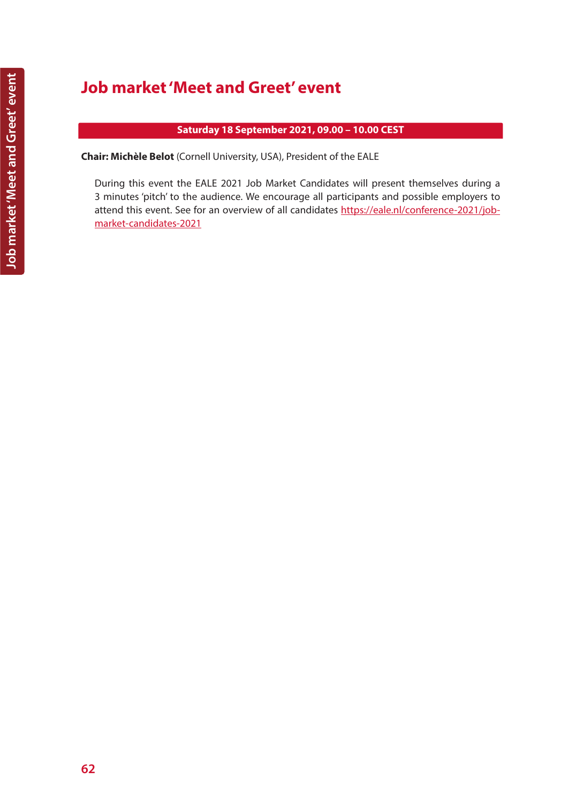# **Job market 'Meet and Greet' event**

# **Saturday 18 September 2021, 09.00 – 10.00 CEST**

**Chair: Michèle Belot** (Cornell University, USA), President of the EALE

During this event the EALE 2021 Job Market Candidates will present themselves during a 3 minutes 'pitch' to the audience. We encourage all participants and possible employers to attend this event. See for an overview of all candidates https://eale.nl/conference-2021/jobmarket-candidates-2021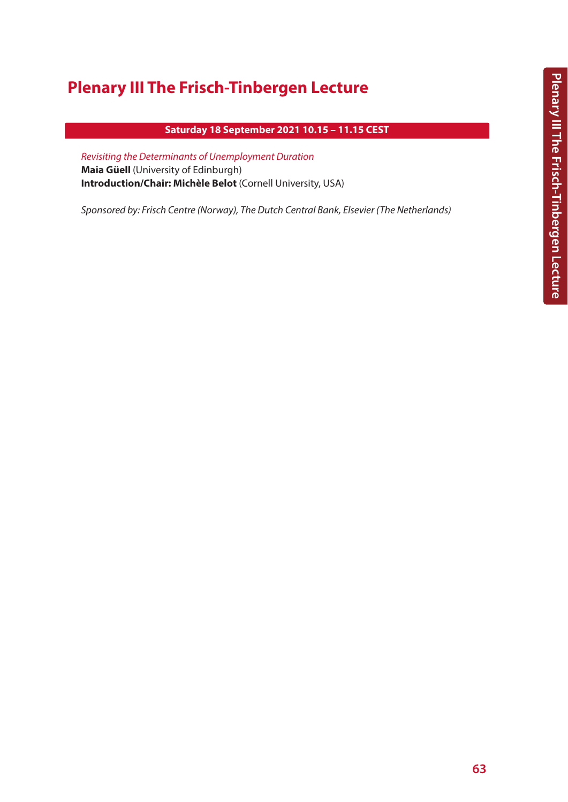# **Plenary III The Frisch-Tinbergen Lecture**

# **Saturday 18 September 2021 10.15 – 11.15 CEST**

*Revisiting the Determinants of Unemployment Duration* **Maia Güell** (University of Edinburgh) **Introduction/Chair: Michèle Belot** (Cornell University, USA)

*Sponsored by: Frisch Centre (Norway), The Dutch Central Bank, Elsevier (The Netherlands)*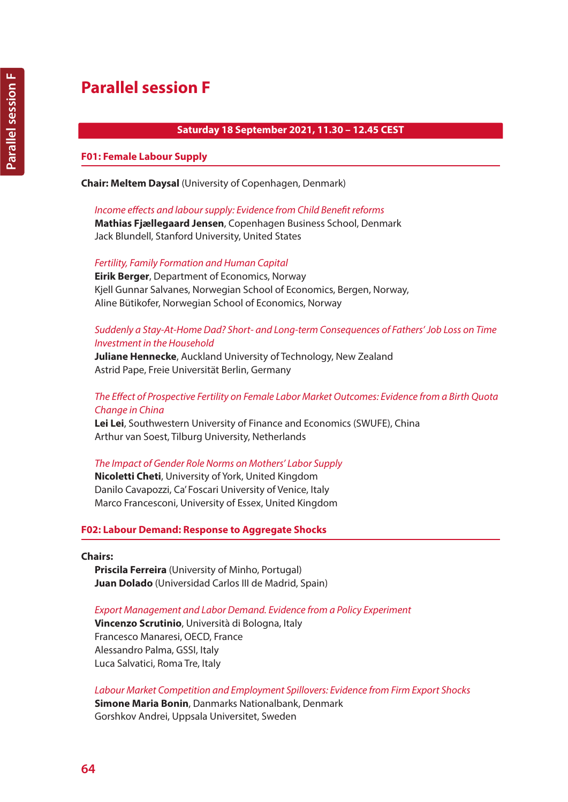# **Saturday 18 September 2021, 11.30 – 12.45 CEST**

# **F01: Female Labour Supply**

**Chair: Meltem Daysal** (University of Copenhagen, Denmark)

*Income effects and labour supply: Evidence from Child Benefit reforms*

**Mathias Fjællegaard Jensen**, Copenhagen Business School, Denmark Jack Blundell, Stanford University, United States

*Fertility, Family Formation and Human Capital*

**Eirik Berger**, Department of Economics, Norway Kjell Gunnar Salvanes, Norwegian School of Economics, Bergen, Norway, Aline Bütikofer, Norwegian School of Economics, Norway

# *Suddenly a Stay-At-Home Dad? Short- and Long-term Consequences of Fathers' Job Loss on Time Investment in the Household*

**Juliane Hennecke**, Auckland University of Technology, New Zealand Astrid Pape, Freie Universität Berlin, Germany

# *The Effect of Prospective Fertility on Female Labor Market Outcomes: Evidence from a Birth Quota Change in China*

**Lei Lei**, Southwestern University of Finance and Economics (SWUFE), China Arthur van Soest, Tilburg University, Netherlands

# *The Impact of Gender Role Norms on Mothers' Labor Supply*

**Nicoletti Cheti**, University of York, United Kingdom Danilo Cavapozzi, Ca' Foscari University of Venice, Italy Marco Francesconi, University of Essex, United Kingdom

# **F02: Labour Demand: Response to Aggregate Shocks**

### **Chairs:**

**Priscila Ferreira** (University of Minho, Portugal) **Juan Dolado** (Universidad Carlos III de Madrid, Spain)

# *Export Management and Labor Demand. Evidence from a Policy Experiment*

**Vincenzo Scrutinio**, Università di Bologna, Italy Francesco Manaresi, OECD, France Alessandro Palma, GSSI, Italy Luca Salvatici, Roma Tre, Italy

*Labour Market Competition and Employment Spillovers: Evidence from Firm Export Shocks*

**Simone Maria Bonin**, Danmarks Nationalbank, Denmark Gorshkov Andrei, Uppsala Universitet, Sweden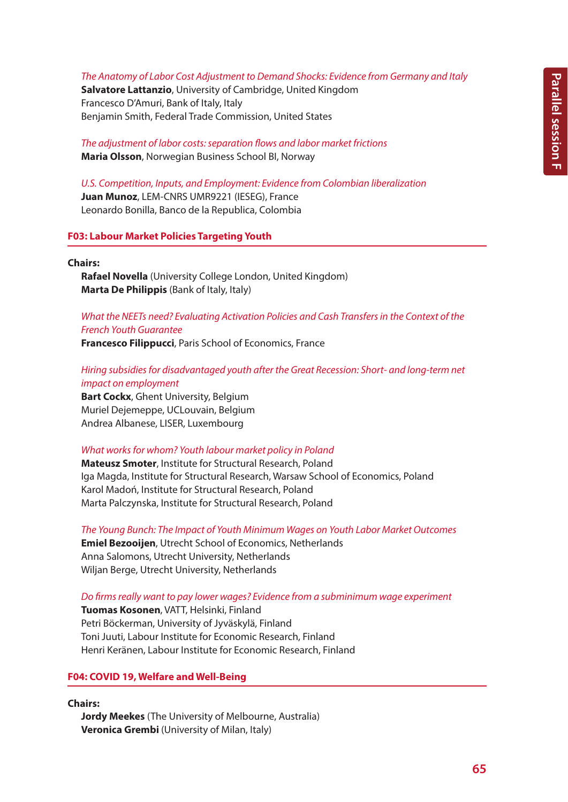*The Anatomy of Labor Cost Adjustment to Demand Shocks: Evidence from Germany and Italy*

**Salvatore Lattanzio**, University of Cambridge, United Kingdom Francesco D'Amuri, Bank of Italy, Italy Benjamin Smith, Federal Trade Commission, United States

*The adjustment of labor costs: separation flows and labor market frictions* **Maria Olsson**, Norwegian Business School BI, Norway

*U.S. Competition, Inputs, and Employment: Evidence from Colombian liberalization* **Juan Munoz**, LEM-CNRS UMR9221 (IESEG), France Leonardo Bonilla, Banco de la Republica, Colombia

# **F03: Labour Market Policies Targeting Youth**

#### **Chairs:**

**Rafael Novella** (University College London, United Kingdom) **Marta De Philippis** (Bank of Italy, Italy)

*What the NEETs need? Evaluating Activation Policies and Cash Transfers in the Context of the French Youth Guarantee*

**Francesco Filippucci**, Paris School of Economics, France

*Hiring subsidies for disadvantaged youth after the Great Recession: Short- and long-term net impact on employment*

**Bart Cockx**, Ghent University, Belgium Muriel Dejemeppe, UCLouvain, Belgium Andrea Albanese, LISER, Luxembourg

### *What works for whom? Youth labour market policy in Poland*

**Mateusz Smoter**, Institute for Structural Research, Poland Iga Magda, Institute for Structural Research, Warsaw School of Economics, Poland Karol Madoń, Institute for Structural Research, Poland Marta Palczynska, Institute for Structural Research, Poland

*The Young Bunch: The Impact of Youth Minimum Wages on Youth Labor Market Outcomes* **Emiel Bezooijen**, Utrecht School of Economics, Netherlands Anna Salomons, Utrecht University, Netherlands Wiljan Berge, Utrecht University, Netherlands

*Do firms really want to pay lower wages? Evidence from a subminimum wage experiment*

**Tuomas Kosonen**, VATT, Helsinki, Finland Petri Böckerman, University of Jyväskylä, Finland Toni Juuti, Labour Institute for Economic Research, Finland Henri Keränen, Labour Institute for Economic Research, Finland

### **F04: COVID 19, Welfare and Well-Being**

**Chairs:**

**Jordy Meekes** (The University of Melbourne, Australia) **Veronica Grembi** (University of Milan, Italy)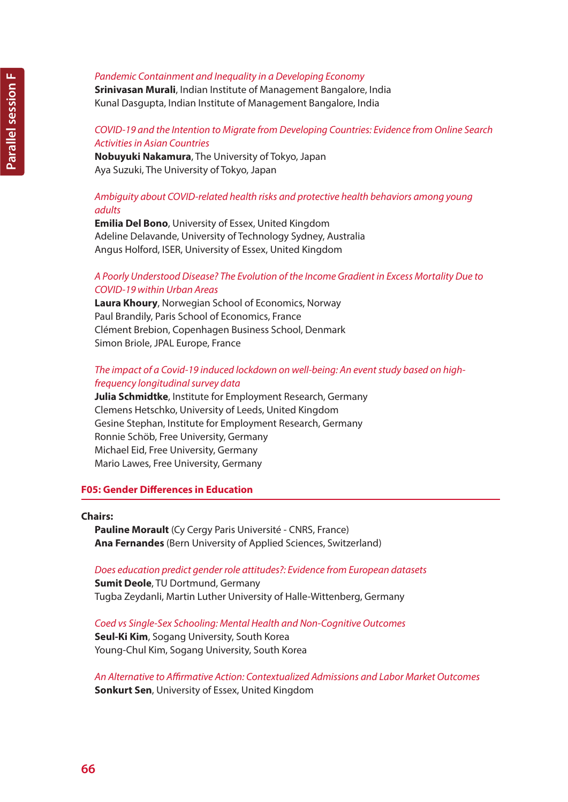**Srinivasan Murali**, Indian Institute of Management Bangalore, India Kunal Dasgupta, Indian Institute of Management Bangalore, India

# *COVID-19 and the Intention to Migrate from Developing Countries: Evidence from Online Search Activities in Asian Countries*

**Nobuyuki Nakamura**, The University of Tokyo, Japan Aya Suzuki, The University of Tokyo, Japan

# *Ambiguity about COVID-related health risks and protective health behaviors among young adults*

**Emilia Del Bono**, University of Essex, United Kingdom Adeline Delavande, University of Technology Sydney, Australia Angus Holford, ISER, University of Essex, United Kingdom

# *A Poorly Understood Disease? The Evolution of the Income Gradient in Excess Mortality Due to COVID-19 within Urban Areas*

**Laura Khoury**, Norwegian School of Economics, Norway Paul Brandily, Paris School of Economics, France Clément Brebion, Copenhagen Business School, Denmark Simon Briole, JPAL Europe, France

# *The impact of a Covid-19 induced lockdown on well-being: An event study based on highfrequency longitudinal survey data*

**Julia Schmidtke**, Institute for Employment Research, Germany Clemens Hetschko, University of Leeds, United Kingdom Gesine Stephan, Institute for Employment Research, Germany Ronnie Schöb, Free University, Germany Michael Eid, Free University, Germany Mario Lawes, Free University, Germany

### **F05: Gender Differences in Education**

### **Chairs:**

**Pauline Morault** (Cy Cergy Paris Université - CNRS, France) **Ana Fernandes** (Bern University of Applied Sciences, Switzerland)

### *Does education predict gender role attitudes?: Evidence from European datasets*

**Sumit Deole**, TU Dortmund, Germany Tugba Zeydanli, Martin Luther University of Halle-Wittenberg, Germany

*Coed vs Single-Sex Schooling: Mental Health and Non-Cognitive Outcomes* **Seul-Ki Kim**, Sogang University, South Korea Young-Chul Kim, Sogang University, South Korea

*An Alternative to Affirmative Action: Contextualized Admissions and Labor Market Outcomes* **Sonkurt Sen**, University of Essex, United Kingdom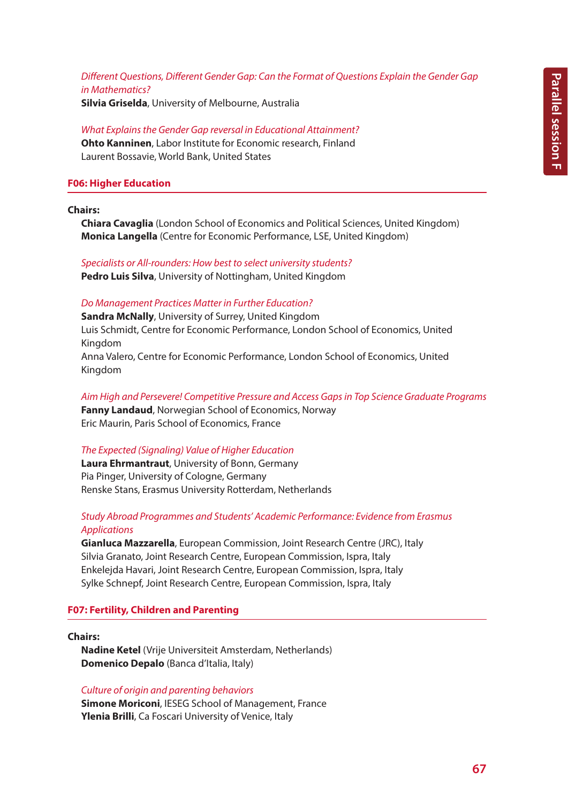# *Different Questions, Different Gender Gap: Can the Format of Questions Explain the Gender Gap in Mathematics?*

**Silvia Griselda**, University of Melbourne, Australia

*What Explains the Gender Gap reversal in Educational Attainment?* **Ohto Kanninen**, Labor Institute for Economic research, Finland Laurent Bossavie, World Bank, United States

# **F06: Higher Education**

**Chairs:**

**Chiara Cavaglia** (London School of Economics and Political Sciences, United Kingdom) **Monica Langella** (Centre for Economic Performance, LSE, United Kingdom)

*Specialists or All-rounders: How best to select university students?* **Pedro Luis Silva**, University of Nottingham, United Kingdom

### *Do Management Practices Matter in Further Education?*

**Sandra McNally**, University of Surrey, United Kingdom Luis Schmidt, Centre for Economic Performance, London School of Economics, United Kingdom Anna Valero, Centre for Economic Performance, London School of Economics, United Kingdom

*Aim High and Persevere! Competitive Pressure and Access Gaps in Top Science Graduate Programs* **Fanny Landaud**, Norwegian School of Economics, Norway Eric Maurin, Paris School of Economics, France

### *The Expected (Signaling) Value of Higher Education*

**Laura Ehrmantraut**, University of Bonn, Germany Pia Pinger, University of Cologne, Germany Renske Stans, Erasmus University Rotterdam, Netherlands

# *Study Abroad Programmes and Students' Academic Performance: Evidence from Erasmus Applications*

**Gianluca Mazzarella**, European Commission, Joint Research Centre (JRC), Italy Silvia Granato, Joint Research Centre, European Commission, Ispra, Italy Enkelejda Havari, Joint Research Centre, European Commission, Ispra, Italy Sylke Schnepf, Joint Research Centre, European Commission, Ispra, Italy

# **F07: Fertility, Children and Parenting**

**Chairs:**

**Nadine Ketel** (Vrije Universiteit Amsterdam, Netherlands) **Domenico Depalo** (Banca d'Italia, Italy)

### *Culture of origin and parenting behaviors*

**Simone Moriconi**, IESEG School of Management, France **Ylenia Brilli**, Ca Foscari University of Venice, Italy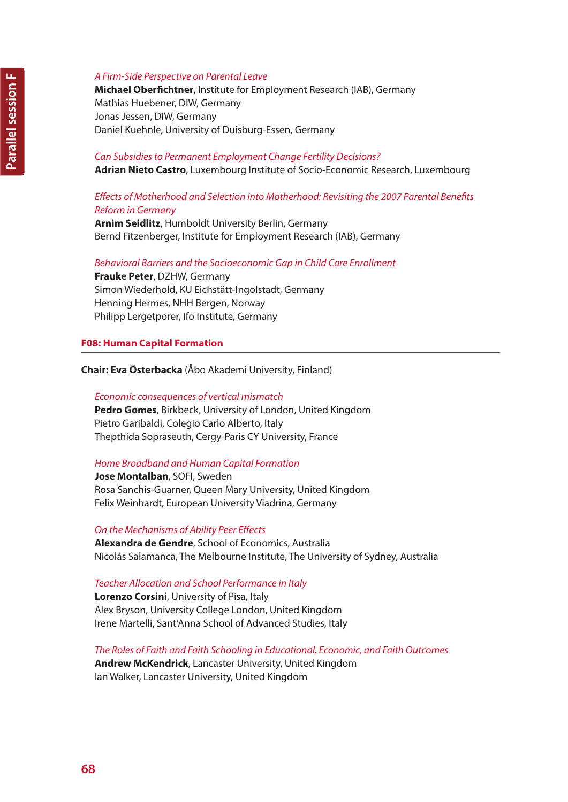**Michael Oberfichtner**, Institute for Employment Research (IAB), Germany Mathias Huebener, DIW, Germany Jonas Jessen, DIW, Germany Daniel Kuehnle, University of Duisburg-Essen, Germany

# *Can Subsidies to Permanent Employment Change Fertility Decisions?*

**Adrian Nieto Castro**, Luxembourg Institute of Socio-Economic Research, Luxembourg

# *Effects of Motherhood and Selection into Motherhood: Revisiting the 2007 Parental Benefits Reform in Germany*

**Arnim Seidlitz**, Humboldt University Berlin, Germany Bernd Fitzenberger, Institute for Employment Research (IAB), Germany

# *Behavioral Barriers and the Socioeconomic Gap in Child Care Enrollment*

**Frauke Peter**, DZHW, Germany Simon Wiederhold, KU Eichstätt-Ingolstadt, Germany Henning Hermes, NHH Bergen, Norway Philipp Lergetporer, Ifo Institute, Germany

# **F08: Human Capital Formation**

**Chair: Eva Österbacka** (Åbo Akademi University, Finland)

*Economic consequences of vertical mismatch* **Pedro Gomes**, Birkbeck, University of London, United Kingdom Pietro Garibaldi, Colegio Carlo Alberto, Italy Thepthida Sopraseuth, Cergy-Paris CY University, France

# *Home Broadband and Human Capital Formation*

**Jose Montalban**, SOFI, Sweden Rosa Sanchis-Guarner, Queen Mary University, United Kingdom Felix Weinhardt, European University Viadrina, Germany

*On the Mechanisms of Ability Peer Effects*

**Alexandra de Gendre**, School of Economics, Australia Nicolás Salamanca, The Melbourne Institute, The University of Sydney, Australia

# *Teacher Allocation and School Performance in Italy*

**Lorenzo Corsini**, University of Pisa, Italy Alex Bryson, University College London, United Kingdom Irene Martelli, Sant'Anna School of Advanced Studies, Italy

*The Roles of Faith and Faith Schooling in Educational, Economic, and Faith Outcomes* **Andrew McKendrick**, Lancaster University, United Kingdom Ian Walker, Lancaster University, United Kingdom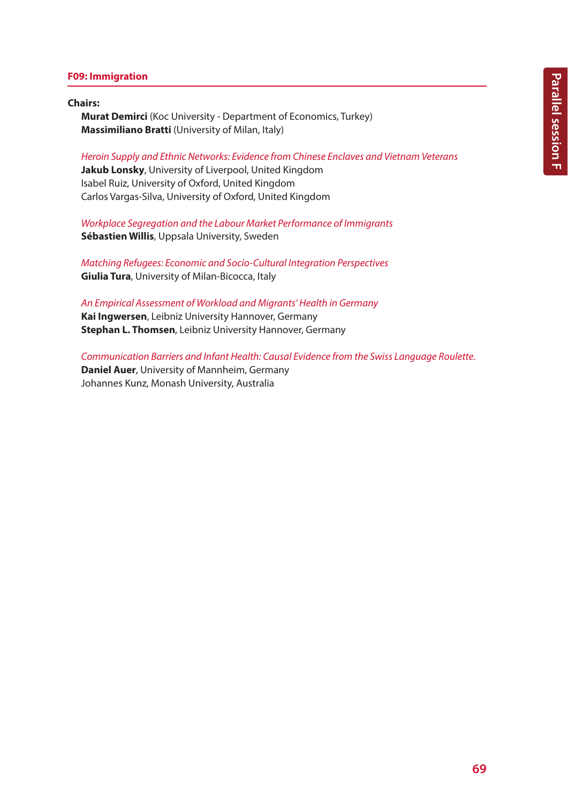# **F09: Immigration**

#### **Chairs:**

**Murat Demirci** (Koc University - Department of Economics, Turkey) **Massimiliano Bratti** (University of Milan, Italy)

*Heroin Supply and Ethnic Networks: Evidence from Chinese Enclaves and Vietnam Veterans*

**Jakub Lonsky**, University of Liverpool, United Kingdom Isabel Ruiz, University of Oxford, United Kingdom Carlos Vargas-Silva, University of Oxford, United Kingdom

*Workplace Segregation and the Labour Market Performance of Immigrants* **Sébastien Willis**, Uppsala University, Sweden

*Matching Refugees: Economic and Socio-Cultural Integration Perspectives* **Giulia Tura**, University of Milan-Bicocca, Italy

*An Empirical Assessment of Workload and Migrants' Health in Germany* **Kai Ingwersen**, Leibniz University Hannover, Germany **Stephan L. Thomsen**, Leibniz University Hannover, Germany

*Communication Barriers and Infant Health: Causal Evidence from the Swiss Language Roulette.* **Daniel Auer**, University of Mannheim, Germany Johannes Kunz, Monash University, Australia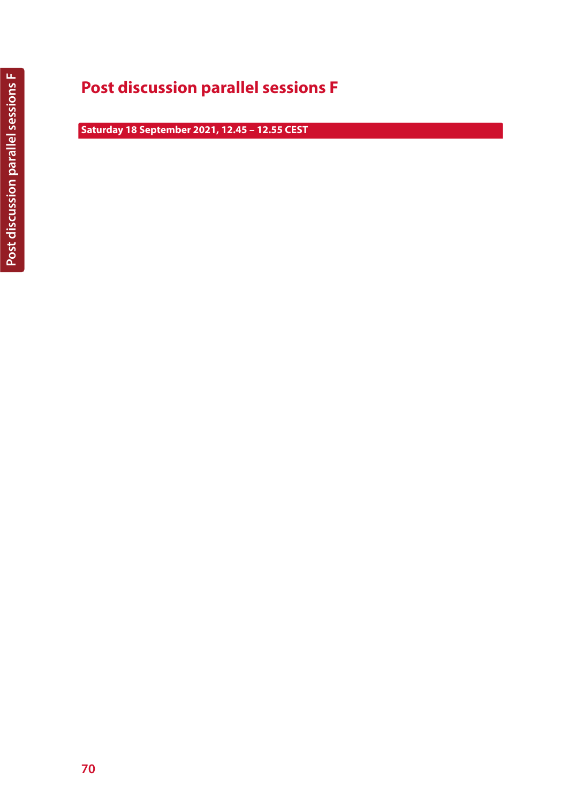# **Post discussion parallel sessions F**

**Saturday 18 September 2021, 12.45 – 12.55 CEST**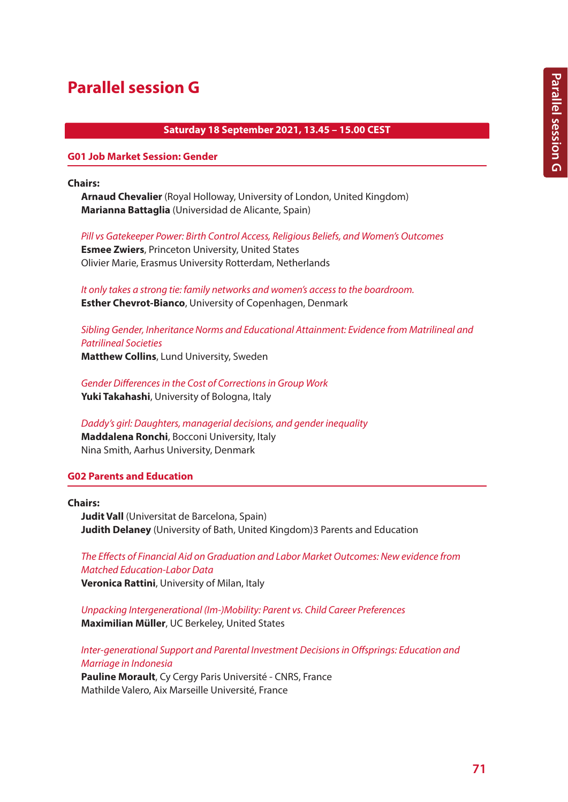# **Parallel session G**

# **Saturday 18 September 2021, 13.45 – 15.00 CEST**

#### **G01 Job Market Session: Gender**

**Chairs:**

**Arnaud Chevalier** (Royal Holloway, University of London, United Kingdom) **Marianna Battaglia** (Universidad de Alicante, Spain)

*Pill vs Gatekeeper Power: Birth Control Access, Religious Beliefs, and Women's Outcomes* **Esmee Zwiers**, Princeton University, United States

Olivier Marie, Erasmus University Rotterdam, Netherlands

*It only takes a strong tie: family networks and women's access to the boardroom.* **Esther Chevrot-Bianco**, University of Copenhagen, Denmark

*Sibling Gender, Inheritance Norms and Educational Attainment: Evidence from Matrilineal and Patrilineal Societies*

**Matthew Collins**, Lund University, Sweden

*Gender Differences in the Cost of Corrections in Group Work* **Yuki Takahashi**, University of Bologna, Italy

*Daddy's girl: Daughters, managerial decisions, and gender inequality* **Maddalena Ronchi**, Bocconi University, Italy Nina Smith, Aarhus University, Denmark

# **G02 Parents and Education**

**Chairs:**

**Judit Vall** (Universitat de Barcelona, Spain) **Judith Delaney** (University of Bath, United Kingdom)3 Parents and Education

*The Effects of Financial Aid on Graduation and Labor Market Outcomes: New evidence from Matched Education-Labor Data* **Veronica Rattini**, University of Milan, Italy

*Unpacking Intergenerational (Im-)Mobility: Parent vs. Child Career Preferences* **Maximilian Müller**, UC Berkeley, United States

*Inter-generational Support and Parental Investment Decisions in Offsprings: Education and Marriage in Indonesia*

**Pauline Morault**, Cy Cergy Paris Université - CNRS, France Mathilde Valero, Aix Marseille Université, France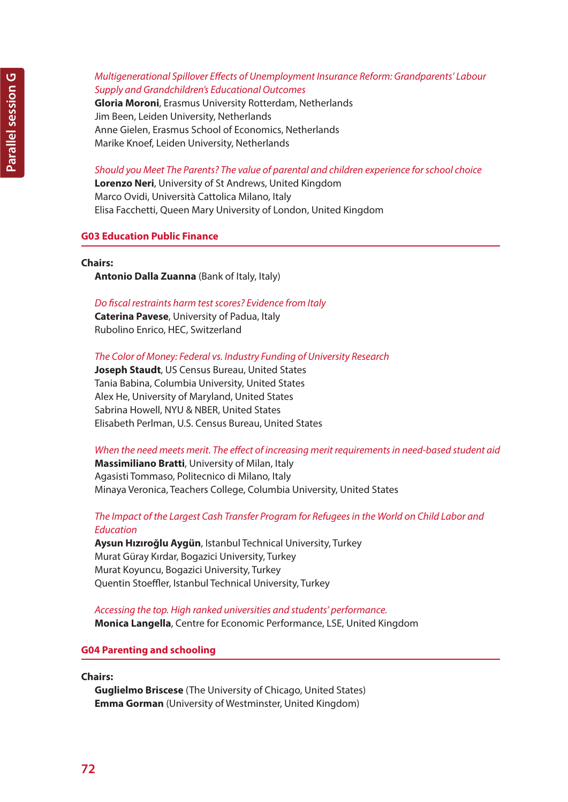# *Multigenerational Spillover Effects of Unemployment Insurance Reform: Grandparents' Labour Supply and Grandchildren's Educational Outcomes*

**Gloria Moroni**, Erasmus University Rotterdam, Netherlands Jim Been, Leiden University, Netherlands Anne Gielen, Erasmus School of Economics, Netherlands Marike Knoef, Leiden University, Netherlands

*Should you Meet The Parents? The value of parental and children experience for school choice*

**Lorenzo Neri**, University of St Andrews, United Kingdom Marco Ovidi, Università Cattolica Milano, Italy Elisa Facchetti, Queen Mary University of London, United Kingdom

# **G03 Education Public Finance**

### **Chairs:**

**Antonio Dalla Zuanna** (Bank of Italy, Italy)

### *Do fiscal restraints harm test scores? Evidence from Italy*

**Caterina Pavese**, University of Padua, Italy Rubolino Enrico, HEC, Switzerland

*The Color of Money: Federal vs. Industry Funding of University Research*

**Joseph Staudt**, US Census Bureau, United States Tania Babina, Columbia University, United States Alex He, University of Maryland, United States Sabrina Howell, NYU & NBER, United States Elisabeth Perlman, U.S. Census Bureau, United States

*When the need meets merit. The effect of increasing merit requirements in need-based student aid*

**Massimiliano Bratti**, University of Milan, Italy Agasisti Tommaso, Politecnico di Milano, Italy Minaya Veronica, Teachers College, Columbia University, United States

# *The Impact of the Largest Cash Transfer Program for Refugees in the World on Child Labor and Education*

**Aysun Hızıroğlu Aygün**, Istanbul Technical University, Turkey Murat Güray Kırdar, Bogazici University, Turkey Murat Koyuncu, Bogazici University, Turkey Quentin Stoeffler, Istanbul Technical University, Turkey

*Accessing the top. High ranked universities and students' performance.* **Monica Langella**, Centre for Economic Performance, LSE, United Kingdom

### **G04 Parenting and schooling**

**Chairs:**

**Guglielmo Briscese** (The University of Chicago, United States) **Emma Gorman** (University of Westminster, United Kingdom)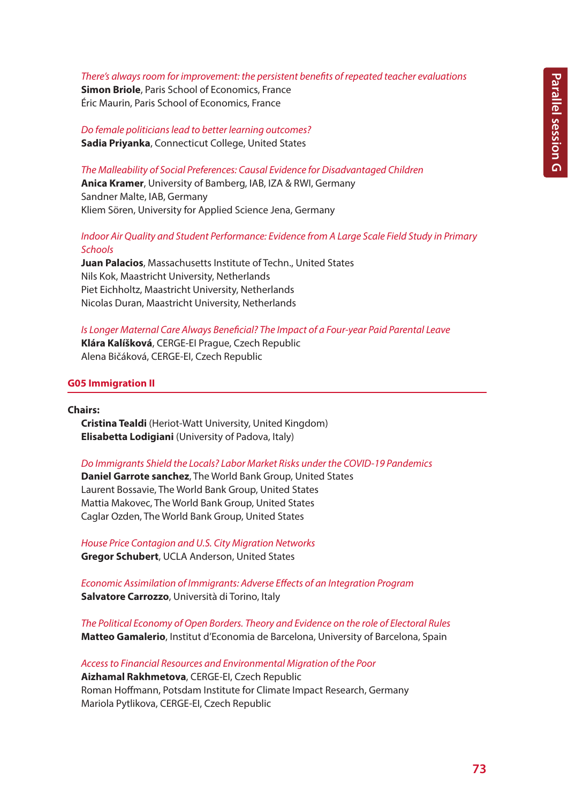#### *There's always room for improvement: the persistent benefits of repeated teacher evaluations*

**Simon Briole**, Paris School of Economics, France Éric Maurin, Paris School of Economics, France

*Do female politicians lead to better learning outcomes?* **Sadia Priyanka**, Connecticut College, United States

*The Malleability of Social Preferences: Causal Evidence for Disadvantaged Children* **Anica Kramer**, University of Bamberg, IAB, IZA & RWI, Germany Sandner Malte, IAB, Germany Kliem Sören, University for Applied Science Jena, Germany

## *Indoor Air Quality and Student Performance: Evidence from A Large Scale Field Study in Primary Schools*

**Juan Palacios**, Massachusetts Institute of Techn., United States Nils Kok, Maastricht University, Netherlands Piet Eichholtz, Maastricht University, Netherlands Nicolas Duran, Maastricht University, Netherlands

*Is Longer Maternal Care Always Beneficial? The Impact of a Four-year Paid Parental Leave* **Klára Kalíšková**, CERGE-EI Prague, Czech Republic Alena Bičáková, CERGE-EI, Czech Republic

### **G05 Immigration II**

**Chairs:**

**Cristina Tealdi** (Heriot-Watt University, United Kingdom) **Elisabetta Lodigiani** (University of Padova, Italy)

#### *Do Immigrants Shield the Locals? Labor Market Risks under the COVID-19 Pandemics*

**Daniel Garrote sanchez**, The World Bank Group, United States Laurent Bossavie, The World Bank Group, United States Mattia Makovec, The World Bank Group, United States Caglar Ozden, The World Bank Group, United States

*House Price Contagion and U.S. City Migration Networks* **Gregor Schubert**, UCLA Anderson, United States

*Economic Assimilation of Immigrants: Adverse Effects of an Integration Program* **Salvatore Carrozzo**, Università di Torino, Italy

*The Political Economy of Open Borders. Theory and Evidence on the role of Electoral Rules* **Matteo Gamalerio**, Institut d'Economia de Barcelona, University of Barcelona, Spain

*Access to Financial Resources and Environmental Migration of the Poor* **Aizhamal Rakhmetova**, CERGE-EI, Czech Republic Roman Hoffmann, Potsdam Institute for Climate Impact Research, Germany Mariola Pytlikova, CERGE-EI, Czech Republic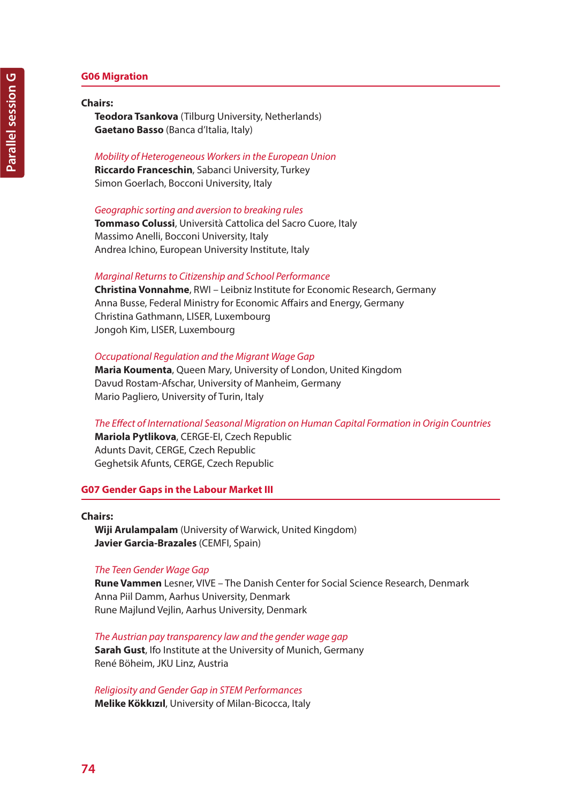### **G06 Migration**

#### **Chairs:**

**Teodora Tsankova** (Tilburg University, Netherlands) **Gaetano Basso** (Banca d'Italia, Italy)

#### *Mobility of Heterogeneous Workers in the European Union*

**Riccardo Franceschin**, Sabanci University, Turkey Simon Goerlach, Bocconi University, Italy

#### *Geographic sorting and aversion to breaking rules*

**Tommaso Colussi**, Università Cattolica del Sacro Cuore, Italy Massimo Anelli, Bocconi University, Italy Andrea Ichino, European University Institute, Italy

#### *Marginal Returns to Citizenship and School Performance*

**Christina Vonnahme**, RWI – Leibniz Institute for Economic Research, Germany Anna Busse, Federal Ministry for Economic Affairs and Energy, Germany Christina Gathmann, LISER, Luxembourg Jongoh Kim, LISER, Luxembourg

#### *Occupational Regulation and the Migrant Wage Gap*

**Maria Koumenta**, Queen Mary, University of London, United Kingdom Davud Rostam-Afschar, University of Manheim, Germany Mario Pagliero, University of Turin, Italy

*The Effect of International Seasonal Migration on Human Capital Formation in Origin Countries* **Mariola Pytlikova**, CERGE-EI, Czech Republic

Adunts Davit, CERGE, Czech Republic Geghetsik Afunts, CERGE, Czech Republic

#### **G07 Gender Gaps in the Labour Market III**

## **Chairs: Wiji Arulampalam** (University of Warwick, United Kingdom) **Javier Garcia-Brazales** (CEMFI, Spain)

#### *The Teen Gender Wage Gap*

**Rune Vammen** Lesner, VIVE – The Danish Center for Social Science Research, Denmark Anna Piil Damm, Aarhus University, Denmark Rune Majlund Vejlin, Aarhus University, Denmark

*The Austrian pay transparency law and the gender wage gap* **Sarah Gust**, Ifo Institute at the University of Munich, Germany René Böheim, JKU Linz, Austria

*Religiosity and Gender Gap in STEM Performances* **Melike Kökkızıl**, University of Milan-Bicocca, Italy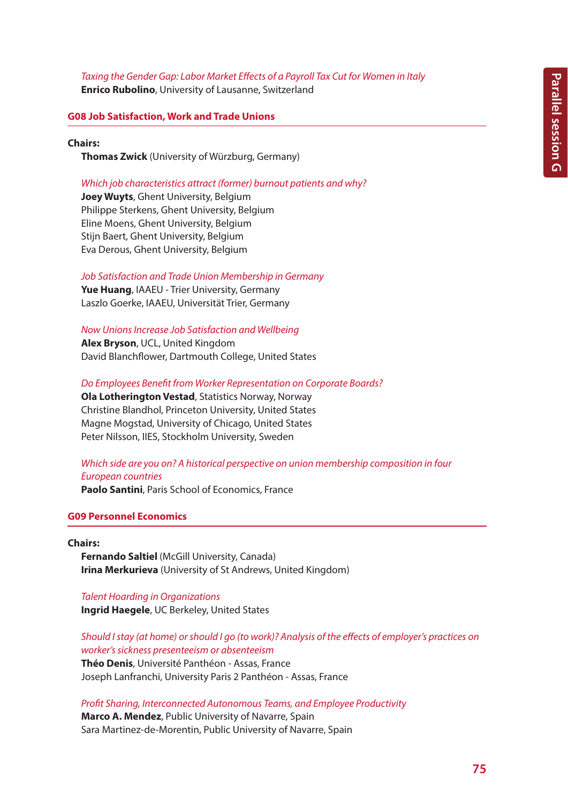## *Taxing the Gender Gap: Labor Market Effects of a Payroll Tax Cut for Women in Italy*

**Enrico Rubolino**, University of Lausanne, Switzerland

## **G08 Job Satisfaction, Work and Trade Unions**

#### **Chairs:**

**Thomas Zwick** (University of Würzburg, Germany)

#### *Which job characteristics attract (former) burnout patients and why?*

**Joey Wuyts**, Ghent University, Belgium Philippe Sterkens, Ghent University, Belgium Eline Moens, Ghent University, Belgium Stijn Baert, Ghent University, Belgium Eva Derous, Ghent University, Belgium

### *Job Satisfaction and Trade Union Membership in Germany*

**Yue Huang**, IAAEU - Trier University, Germany Laszlo Goerke, IAAEU, Universität Trier, Germany

*Now Unions Increase Job Satisfaction and Wellbeing*

**Alex Bryson**, UCL, United Kingdom David Blanchflower, Dartmouth College, United States

*Do Employees Benefit from Worker Representation on Corporate Boards?*

**Ola Lotherington Vestad**, Statistics Norway, Norway Christine Blandhol, Princeton University, United States Magne Mogstad, University of Chicago, United States Peter Nilsson, IIES, Stockholm University, Sweden

## *Which side are you on? A historical perspective on union membership composition in four European countries*

**Paolo Santini**, Paris School of Economics, France

#### **G09 Personnel Economics**

#### **Chairs:**

**Fernando Saltiel** (McGill University, Canada) **Irina Merkurieva** (University of St Andrews, United Kingdom)

## *Talent Hoarding in Organizations*

**Ingrid Haegele**, UC Berkeley, United States

*Should I stay (at home) or should I go (to work)? Analysis of the effects of employer's practices on worker's sickness presenteeism or absenteeism* **Théo Denis**, Université Panthéon - Assas, France Joseph Lanfranchi, University Paris 2 Panthéon - Assas, France

*Profit Sharing, Interconnected Autonomous Teams, and Employee Productivity*

**Marco A. Mendez**, Public University of Navarre, Spain Sara Martinez-de-Morentin, Public University of Navarre, Spain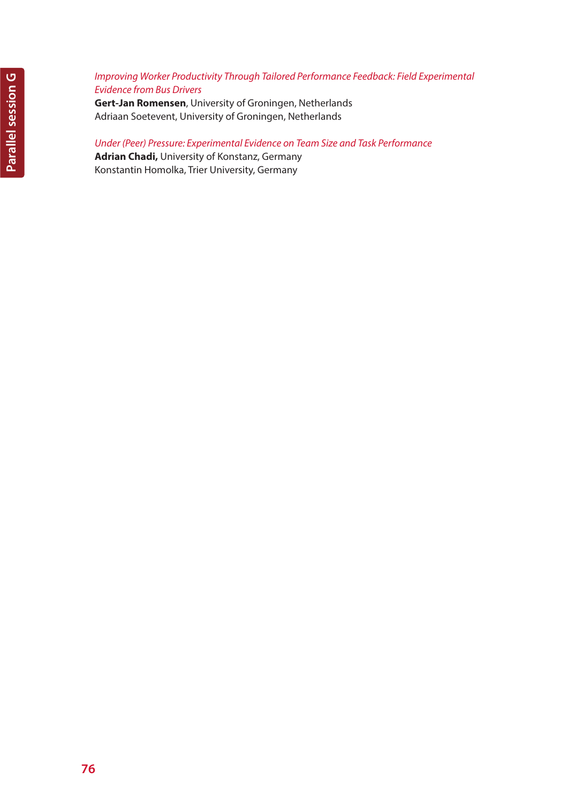## *Improving Worker Productivity Through Tailored Performance Feedback: Field Experimental Evidence from Bus Drivers*

**Gert-Jan Romensen**, University of Groningen, Netherlands Adriaan Soetevent, University of Groningen, Netherlands

## *Under (Peer) Pressure: Experimental Evidence on Team Size and Task Performance*

**Adrian Chadi,** University of Konstanz, Germany Konstantin Homolka, Trier University, Germany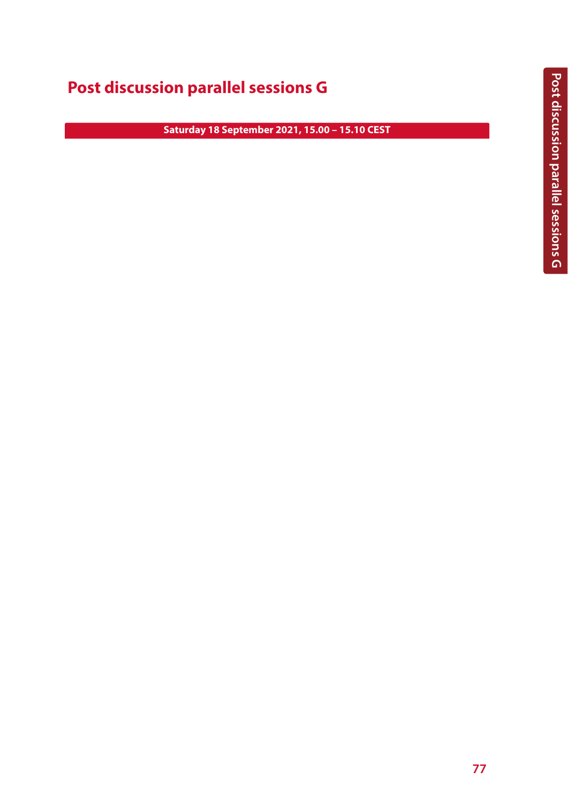## **Post discussion parallel sessions G**

**Saturday 18 September 2021, 15.00 – 15.10 CEST**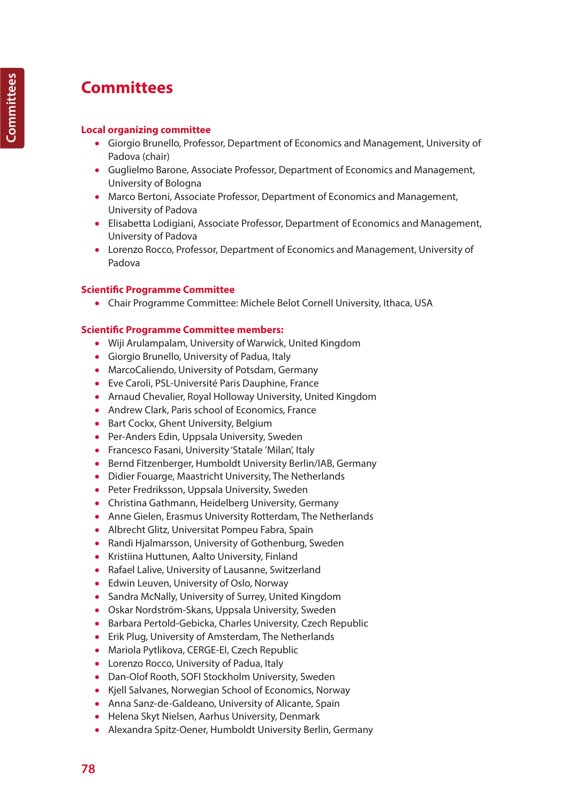# **Committees**

## **Local organizing committee**

- Giorgio Brunello, Professor, Department of Economics and Management, University of Padova (chair)
- Guglielmo Barone, Associate Professor, Department of Economics and Management, University of Bologna
- Marco Bertoni, Associate Professor, Department of Economics and Management, University of Padova
- Elisabetta Lodigiani, Associate Professor, Department of Economics and Management, University of Padova
- Lorenzo Rocco, Professor, Department of Economics and Management, University of Padova

## **Scientific Programme Committee**

• Chair Programme Committee: Michele Belot Cornell University, Ithaca, USA

## **Scientific Programme Committee members:**

- Wiji Arulampalam, University of Warwick, United Kingdom
- Giorgio Brunello, University of Padua, Italy
- MarcoCaliendo, University of Potsdam, Germany
- Eve Caroli, PSL-Université Paris Dauphine, France
- Arnaud Chevalier, Royal Holloway University, United Kingdom
- Andrew Clark, Paris school of Economics, France
- Bart Cockx, Ghent University, Belgium
- Per-Anders Edin, Uppsala University, Sweden
- Francesco Fasani, University 'Statale 'Milan', Italy
- Bernd Fitzenberger, Humboldt University Berlin/IAB, Germany
- Didier Fouarge, Maastricht University, The Netherlands
- Peter Fredriksson, Uppsala University, Sweden
- Christina Gathmann, Heidelberg University, Germany
- Anne Gielen, Erasmus University Rotterdam, The Netherlands
- Albrecht Glitz, Universitat Pompeu Fabra, Spain
- Randi Hjalmarsson, University of Gothenburg, Sweden
- Kristiina Huttunen, Aalto University, Finland
- Rafael Lalive, University of Lausanne, Switzerland
- Edwin Leuven, University of Oslo, Norway
- Sandra McNally, University of Surrey, United Kingdom
- Oskar Nordström-Skans, Uppsala University, Sweden
- Barbara Pertold-Gebicka, Charles University, Czech Republic
- Erik Plug, University of Amsterdam, The Netherlands
- Mariola Pytlikova, CERGE-EI, Czech Republic
- Lorenzo Rocco, University of Padua, Italy
- Dan-Olof Rooth, SOFI Stockholm University, Sweden
- Kjell Salvanes, Norwegian School of Economics, Norway
- Anna Sanz-de-Galdeano, University of Alicante, Spain
- Helena Skyt Nielsen, Aarhus University, Denmark
- Alexandra Spitz-Oener, Humboldt University Berlin, Germany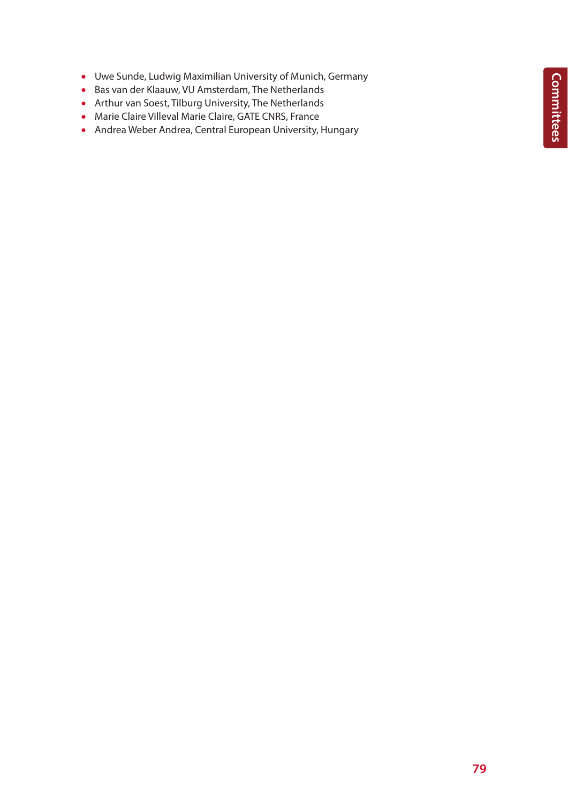**Committees Committees**

- Uwe Sunde, Ludwig Maximilian University of Munich, Germany
- Bas van der Klaauw, VU Amsterdam, The Netherlands
- Arthur van Soest, Tilburg University, The Netherlands
- Marie Claire Villeval Marie Claire, GATE CNRS, France
- Andrea Weber Andrea, Central European University, Hungary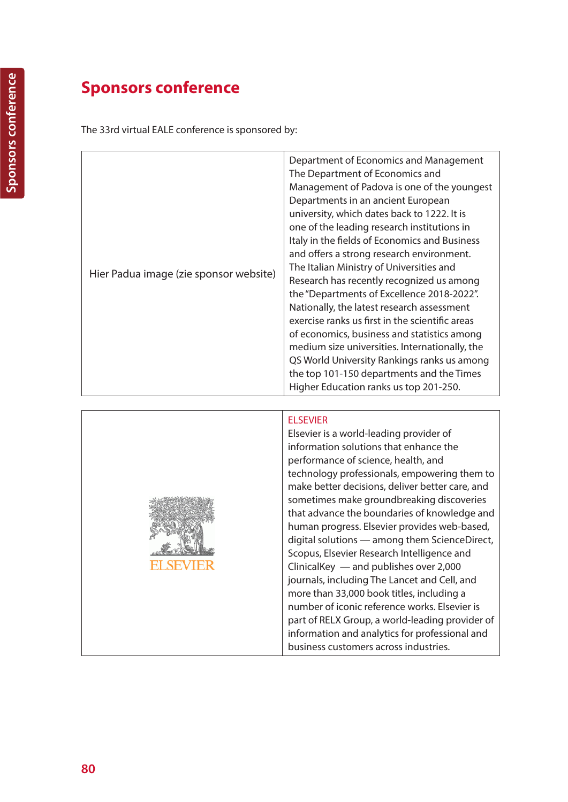## **Sponsors conference**

The 33rd virtual EALE conference is sponsored by:

| Hier Padua image (zie sponsor website) | Department of Economics and Management<br>The Department of Economics and<br>Management of Padova is one of the youngest<br>Departments in an ancient European<br>university, which dates back to 1222. It is<br>one of the leading research institutions in<br>Italy in the fields of Economics and Business<br>and offers a strong research environment.<br>The Italian Ministry of Universities and<br>Research has recently recognized us among<br>the "Departments of Excellence 2018-2022".<br>Nationally, the latest research assessment<br>exercise ranks us first in the scientific areas<br>of economics, business and statistics among<br>medium size universities. Internationally, the<br>QS World University Rankings ranks us among<br>the top 101-150 departments and the Times<br>Higher Education ranks us top 201-250. |
|----------------------------------------|-------------------------------------------------------------------------------------------------------------------------------------------------------------------------------------------------------------------------------------------------------------------------------------------------------------------------------------------------------------------------------------------------------------------------------------------------------------------------------------------------------------------------------------------------------------------------------------------------------------------------------------------------------------------------------------------------------------------------------------------------------------------------------------------------------------------------------------------|



## ELSEVIER

Elsevier is a world-leading provider of information solutions that enhance the performance of science, health, and technology professionals, empowering them to make better decisions, deliver better care, and sometimes make groundbreaking discoveries that advance the boundaries of knowledge and human progress. Elsevier provides web-based, digital solutions — among them ScienceDirect, Scopus, Elsevier Research Intelligence and ClinicalKey — and publishes over 2,000 journals, including The Lancet and Cell, and more than 33,000 book titles, including a number of iconic reference works. Elsevier is part of RELX Group, a world-leading provider of information and analytics for professional and business customers across industries.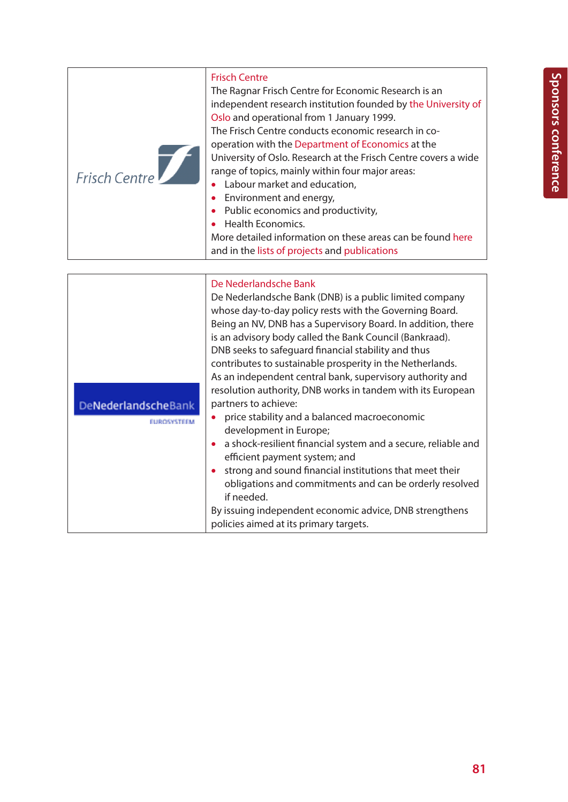| Frisch Centre | <b>Frisch Centre</b><br>The Ragnar Frisch Centre for Economic Research is an<br>independent research institution founded by the University of<br>Oslo and operational from 1 January 1999.<br>The Frisch Centre conducts economic research in co-<br>operation with the Department of Economics at the<br>University of Oslo. Research at the Frisch Centre covers a wide<br>range of topics, mainly within four major areas:<br>Labour market and education,<br>• Environment and energy,<br>Public economics and productivity,<br>Health Economics. |
|---------------|-------------------------------------------------------------------------------------------------------------------------------------------------------------------------------------------------------------------------------------------------------------------------------------------------------------------------------------------------------------------------------------------------------------------------------------------------------------------------------------------------------------------------------------------------------|
|               | More detailed information on these areas can be found here<br>and in the lists of projects and publications                                                                                                                                                                                                                                                                                                                                                                                                                                           |

|                     | De Nederlandsche Bank                                         |
|---------------------|---------------------------------------------------------------|
|                     | De Nederlandsche Bank (DNB) is a public limited company       |
|                     | whose day-to-day policy rests with the Governing Board.       |
|                     | Being an NV, DNB has a Supervisory Board. In addition, there  |
|                     | is an advisory body called the Bank Council (Bankraad).       |
|                     | DNB seeks to safeguard financial stability and thus           |
|                     | contributes to sustainable prosperity in the Netherlands.     |
|                     | As an independent central bank, supervisory authority and     |
|                     | resolution authority, DNB works in tandem with its European   |
| DeNederlandscheBank | partners to achieve:                                          |
| <b>EUROSYSTEEM</b>  | price stability and a balanced macroeconomic                  |
|                     | development in Europe;                                        |
|                     | a shock-resilient financial system and a secure, reliable and |
|                     | efficient payment system; and                                 |
|                     | strong and sound financial institutions that meet their       |
|                     | obligations and commitments and can be orderly resolved       |
|                     | if needed.                                                    |
|                     | By issuing independent economic advice, DNB strengthens       |
|                     | policies aimed at its primary targets.                        |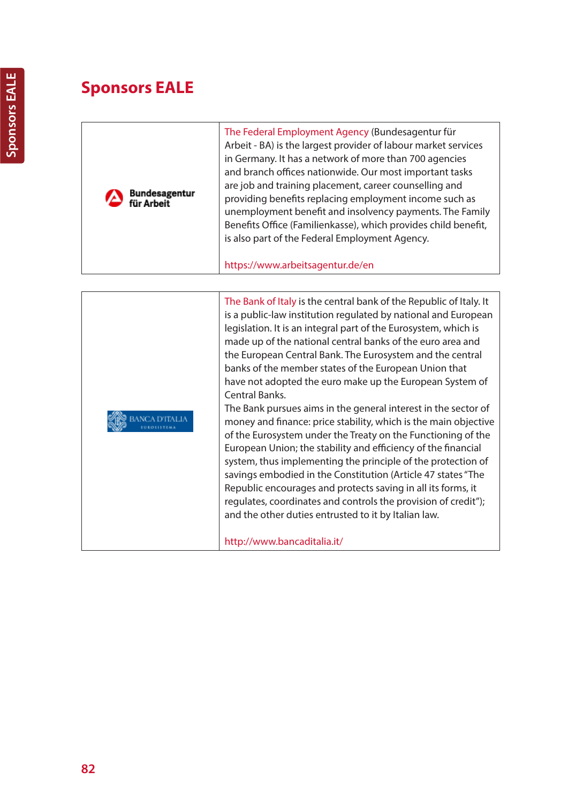# **Sponsors EALE**

| Bundesagentur<br>für Arbeit | The Federal Employment Agency (Bundesagentur für<br>Arbeit - BA) is the largest provider of labour market services<br>in Germany. It has a network of more than 700 agencies<br>and branch offices nationwide. Our most important tasks<br>are job and training placement, career counselling and<br>providing benefits replacing employment income such as<br>unemployment benefit and insolvency payments. The Family<br>Benefits Office (Familienkasse), which provides child benefit,<br>is also part of the Federal Employment Agency.<br>https://www.arbeitsagentur.de/en                                                                                                                                                                                                                                                                                                                                                                                                                                                                                                                                 |
|-----------------------------|-----------------------------------------------------------------------------------------------------------------------------------------------------------------------------------------------------------------------------------------------------------------------------------------------------------------------------------------------------------------------------------------------------------------------------------------------------------------------------------------------------------------------------------------------------------------------------------------------------------------------------------------------------------------------------------------------------------------------------------------------------------------------------------------------------------------------------------------------------------------------------------------------------------------------------------------------------------------------------------------------------------------------------------------------------------------------------------------------------------------|
|                             |                                                                                                                                                                                                                                                                                                                                                                                                                                                                                                                                                                                                                                                                                                                                                                                                                                                                                                                                                                                                                                                                                                                 |
|                             | The Bank of Italy is the central bank of the Republic of Italy. It<br>is a public-law institution regulated by national and European<br>legislation. It is an integral part of the Eurosystem, which is<br>made up of the national central banks of the euro area and<br>the European Central Bank. The Eurosystem and the central<br>banks of the member states of the European Union that<br>have not adopted the euro make up the European System of<br><b>Central Banks.</b><br>The Bank pursues aims in the general interest in the sector of<br>money and finance: price stability, which is the main objective<br>of the Eurosystem under the Treaty on the Functioning of the<br>European Union; the stability and efficiency of the financial<br>system, thus implementing the principle of the protection of<br>savings embodied in the Constitution (Article 47 states "The<br>Republic encourages and protects saving in all its forms, it<br>regulates, coordinates and controls the provision of credit");<br>and the other duties entrusted to it by Italian law.<br>http://www.bancaditalia.it/ |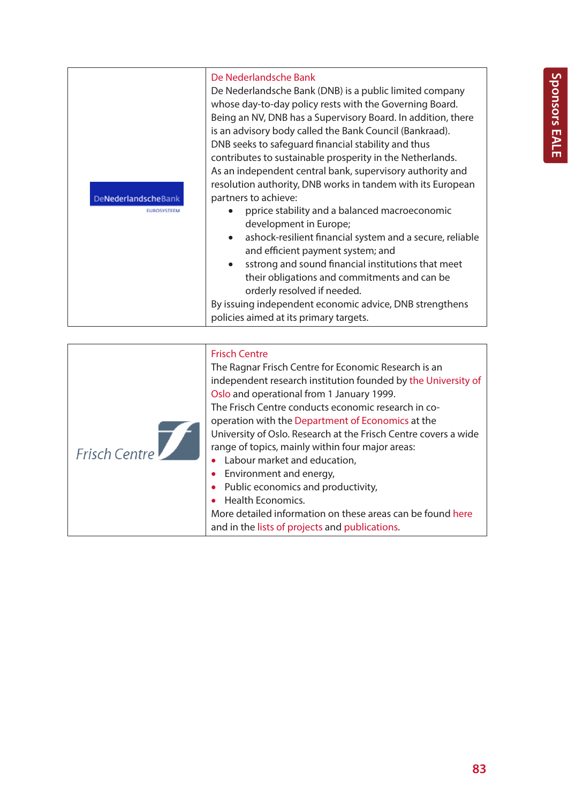| DeNederlandscheBank<br>EUROSYSTEEM | De Nederlandsche Bank<br>De Nederlandsche Bank (DNB) is a public limited company<br>whose day-to-day policy rests with the Governing Board.<br>Being an NV, DNB has a Supervisory Board. In addition, there<br>is an advisory body called the Bank Council (Bankraad).<br>DNB seeks to safeguard financial stability and thus<br>contributes to sustainable prosperity in the Netherlands.<br>As an independent central bank, supervisory authority and<br>resolution authority, DNB works in tandem with its European<br>partners to achieve:<br>pprice stability and a balanced macroeconomic<br>development in Europe;<br>ashock-resilient financial system and a secure, reliable<br>and efficient payment system; and<br>sstrong and sound financial institutions that meet<br>their obligations and commitments and can be<br>orderly resolved if needed.<br>By issuing independent economic advice, DNB strengthens |
|------------------------------------|----------------------------------------------------------------------------------------------------------------------------------------------------------------------------------------------------------------------------------------------------------------------------------------------------------------------------------------------------------------------------------------------------------------------------------------------------------------------------------------------------------------------------------------------------------------------------------------------------------------------------------------------------------------------------------------------------------------------------------------------------------------------------------------------------------------------------------------------------------------------------------------------------------------------------|
|                                    | policies aimed at its primary targets.                                                                                                                                                                                                                                                                                                                                                                                                                                                                                                                                                                                                                                                                                                                                                                                                                                                                                     |

| <b>Frisch Centre</b> | <b>Frisch Centre</b><br>The Ragnar Frisch Centre for Economic Research is an<br>independent research institution founded by the University of<br>Oslo and operational from 1 January 1999.<br>The Frisch Centre conducts economic research in co-<br>operation with the Department of Economics at the<br>University of Oslo. Research at the Frisch Centre covers a wide<br>range of topics, mainly within four major areas:<br>Labour market and education,<br>• Environment and energy,<br>• Public economics and productivity,<br>• Health Economics.<br>More detailed information on these areas can be found here<br>and in the lists of projects and publications. |
|----------------------|---------------------------------------------------------------------------------------------------------------------------------------------------------------------------------------------------------------------------------------------------------------------------------------------------------------------------------------------------------------------------------------------------------------------------------------------------------------------------------------------------------------------------------------------------------------------------------------------------------------------------------------------------------------------------|
|----------------------|---------------------------------------------------------------------------------------------------------------------------------------------------------------------------------------------------------------------------------------------------------------------------------------------------------------------------------------------------------------------------------------------------------------------------------------------------------------------------------------------------------------------------------------------------------------------------------------------------------------------------------------------------------------------------|